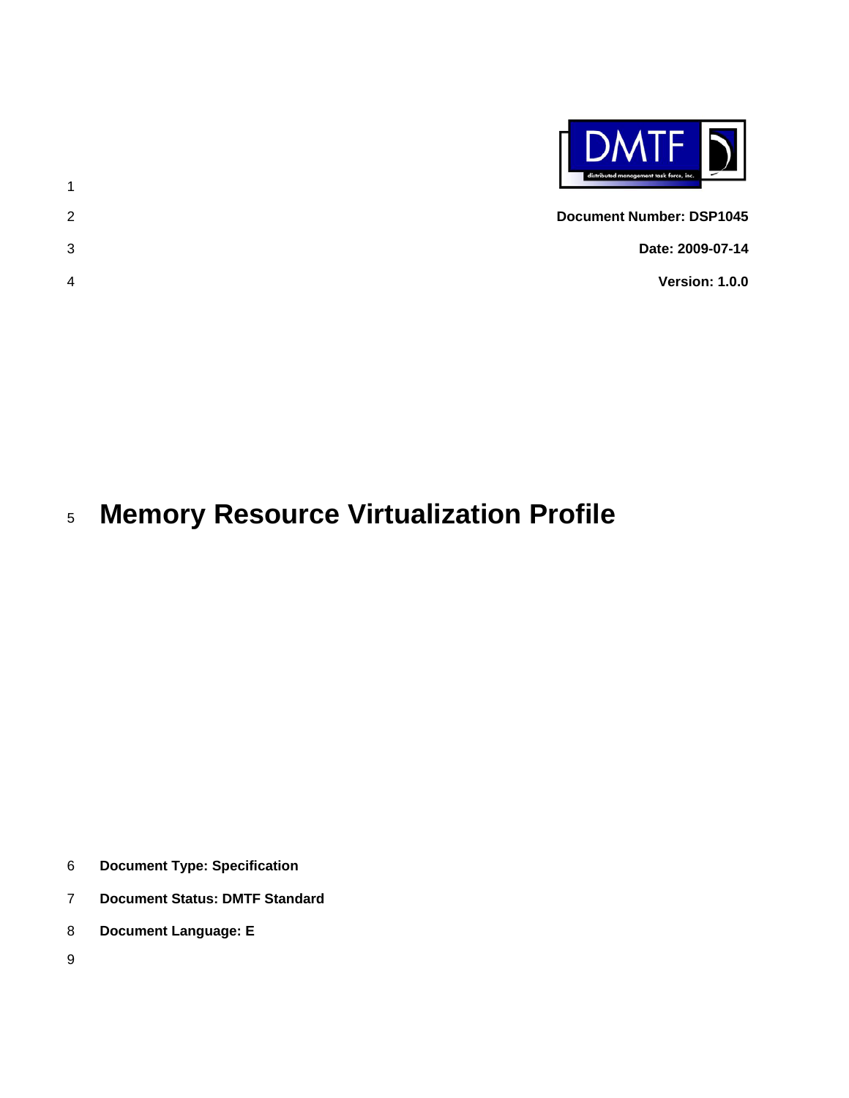

- 1 2 3 **Document Number: DSP1045 Date: 2009-07-14 Version: 1.0.0**
- 4

#### 5 **Memory Resource Virtualization Profile**

- 6 **Document Type: Specification**
- 7 **Document Status: DMTF Standard**
- 8 **Document Language: E**
- 9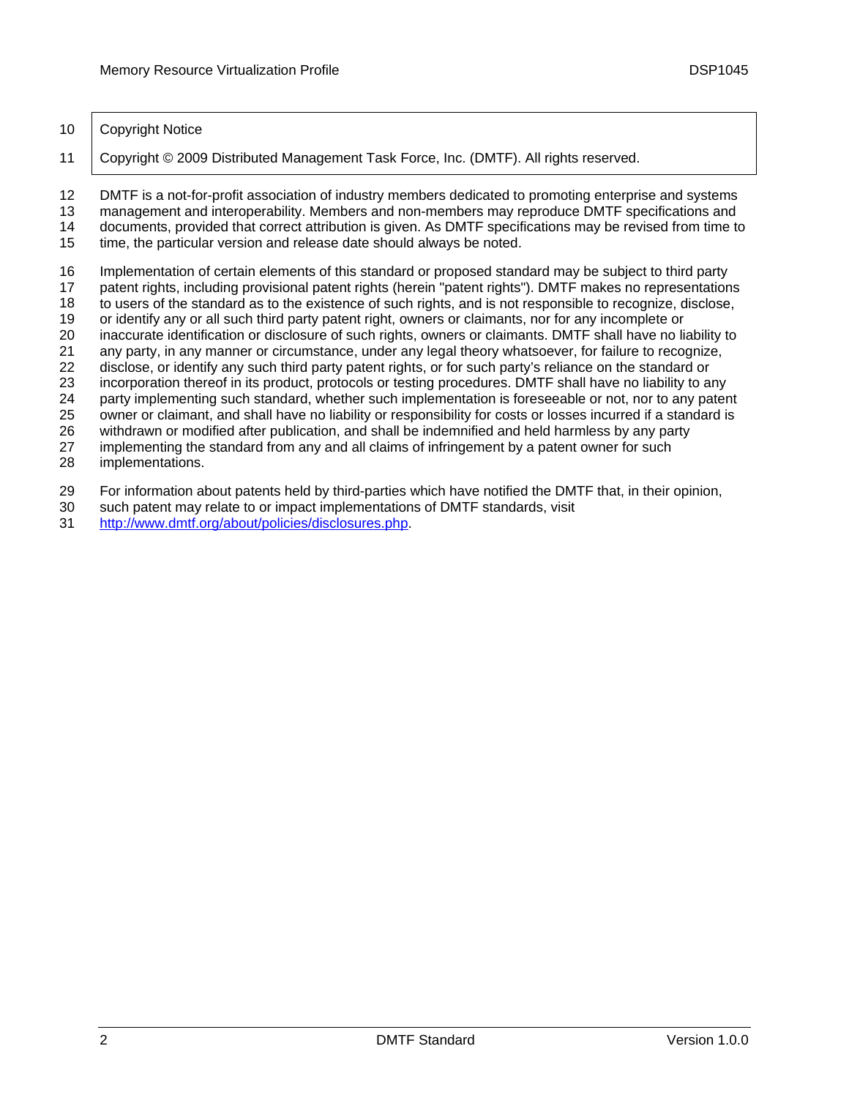10 | Copyright Notice

11 Copyright © 2009 Distributed Management Task Force, Inc. (DMTF). All rights reserved.

12 13 DMTF is a not-for-profit association of industry members dedicated to promoting enterprise and systems management and interoperability. Members and non-members may reproduce DMTF specifications and

14 15 documents, provided that correct attribution is given. As DMTF specifications may be revised from time to time, the particular version and release date should always be noted.

- 16 Implementation of certain elements of this standard or proposed standard may be subject to third party
- 17 patent rights, including provisional patent rights (herein "patent rights"). DMTF makes no representations
- 18 to users of the standard as to the existence of such rights, and is not responsible to recognize, disclose,
- 19 or identify any or all such third party patent right, owners or claimants, nor for any incomplete or
- 20 inaccurate identification or disclosure of such rights, owners or claimants. DMTF shall have no liability to
- 21 22 any party, in any manner or circumstance, under any legal theory whatsoever, for failure to recognize, disclose, or identify any such third party patent rights, or for such party's reliance on the standard or
- 23 incorporation thereof in its product, protocols or testing procedures. DMTF shall have no liability to any
- 24 party implementing such standard, whether such implementation is foreseeable or not, nor to any patent
- 25 owner or claimant, and shall have no liability or responsibility for costs or losses incurred if a standard is
- 26 withdrawn or modified after publication, and shall be indemnified and held harmless by any party

27 implementing the standard from any and all claims of infringement by a patent owner for such

- 28 implementations.
- 29 For information about patents held by third-parties which have notified the DMTF that, in their opinion,
- 30 such patent may relate to or impact implementations of DMTF standards, visit
- 31 <http://www.dmtf.org/about/policies/disclosures.php>.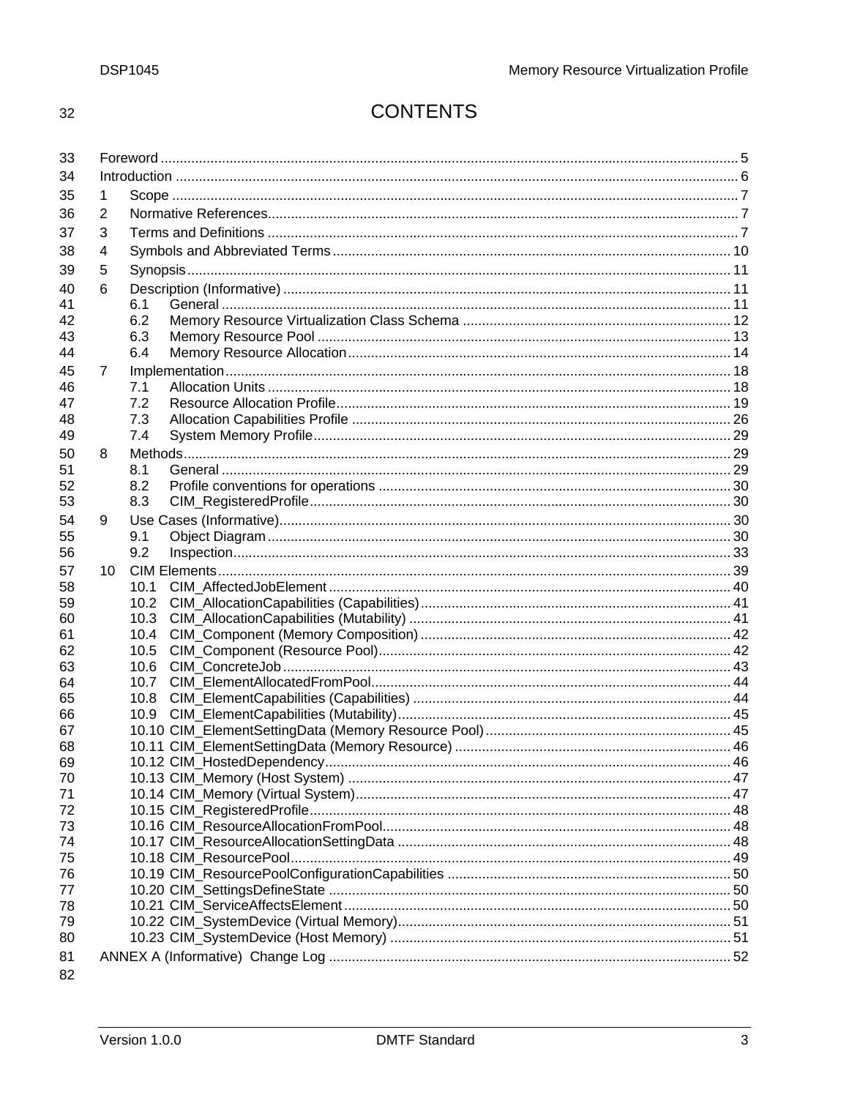32

# **CONTENTS**

| 33       |    |              |  |  |  |
|----------|----|--------------|--|--|--|
| 34       |    |              |  |  |  |
| 35       | 1  |              |  |  |  |
| 36       | 2  |              |  |  |  |
| 37       | 3  |              |  |  |  |
|          |    |              |  |  |  |
| 38       | 4  |              |  |  |  |
| 39       | 5  |              |  |  |  |
| 40       | 6  |              |  |  |  |
| 41       |    | 6.1          |  |  |  |
| 42       |    | 6.2          |  |  |  |
| 43       |    | 6.3          |  |  |  |
| 44       |    | 6.4          |  |  |  |
| 45       | 7  |              |  |  |  |
| 46       |    | 7.1          |  |  |  |
| 47       |    | 7.2          |  |  |  |
| 48       |    | 7.3          |  |  |  |
| 49       |    | 7.4          |  |  |  |
| 50       | 8  |              |  |  |  |
| 51       |    | 8.1          |  |  |  |
| 52       |    | 8.2          |  |  |  |
| 53       |    | 8.3          |  |  |  |
| 54       | 9  |              |  |  |  |
| 55       |    | 9.1          |  |  |  |
| 56       |    | 9.2          |  |  |  |
| 57       | 10 |              |  |  |  |
| 58       |    | 10.1         |  |  |  |
| 59       |    | 10.2         |  |  |  |
| 60       |    | 10.3         |  |  |  |
| 61       |    | 10.4         |  |  |  |
| 62       |    | 10.5         |  |  |  |
| 63<br>64 |    | 10.6<br>10.7 |  |  |  |
| 65       |    | 10.8         |  |  |  |
| 66       |    | 10.9         |  |  |  |
| 67       |    |              |  |  |  |
| 68       |    |              |  |  |  |
| 69       |    |              |  |  |  |
| 70       |    |              |  |  |  |
| 71       |    |              |  |  |  |
| 72       |    |              |  |  |  |
| 73       |    |              |  |  |  |
| 74       |    |              |  |  |  |
| 75       |    |              |  |  |  |
| 76       |    |              |  |  |  |
| 77       |    |              |  |  |  |
| 78       |    |              |  |  |  |
| 79       |    |              |  |  |  |
| 80       |    |              |  |  |  |
| 81       |    |              |  |  |  |
| 82       |    |              |  |  |  |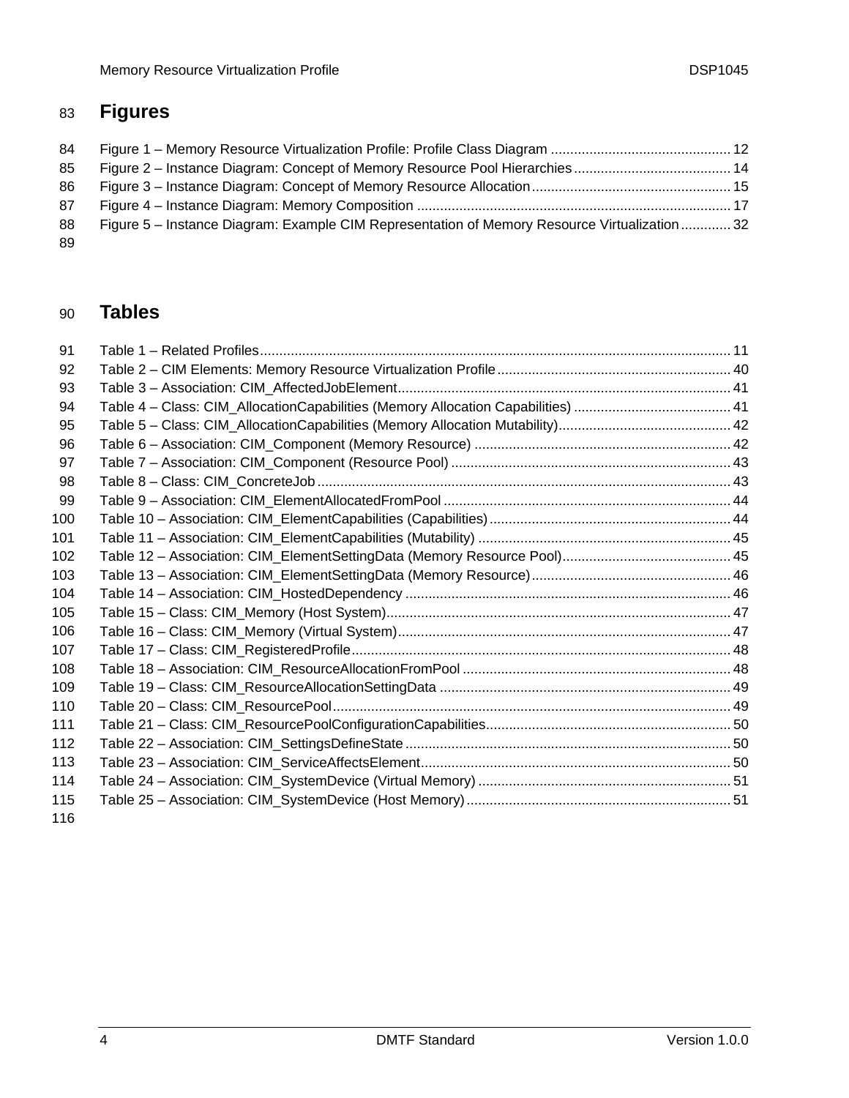# 83 **Figures**

| 84  |                                                                                               |  |
|-----|-----------------------------------------------------------------------------------------------|--|
| 85  |                                                                                               |  |
| 86  |                                                                                               |  |
| 87  |                                                                                               |  |
| 88  | Figure 5 – Instance Diagram: Example CIM Representation of Memory Resource Virtualization  32 |  |
| -89 |                                                                                               |  |

#### 90 **Tables**

| 91  |  |
|-----|--|
| 92  |  |
| 93  |  |
| 94  |  |
| 95  |  |
| 96  |  |
| 97  |  |
| 98  |  |
| 99  |  |
| 100 |  |
| 101 |  |
| 102 |  |
| 103 |  |
| 104 |  |
| 105 |  |
| 106 |  |
| 107 |  |
| 108 |  |
| 109 |  |
| 110 |  |
| 111 |  |
| 112 |  |
| 113 |  |
| 114 |  |
| 115 |  |
| 116 |  |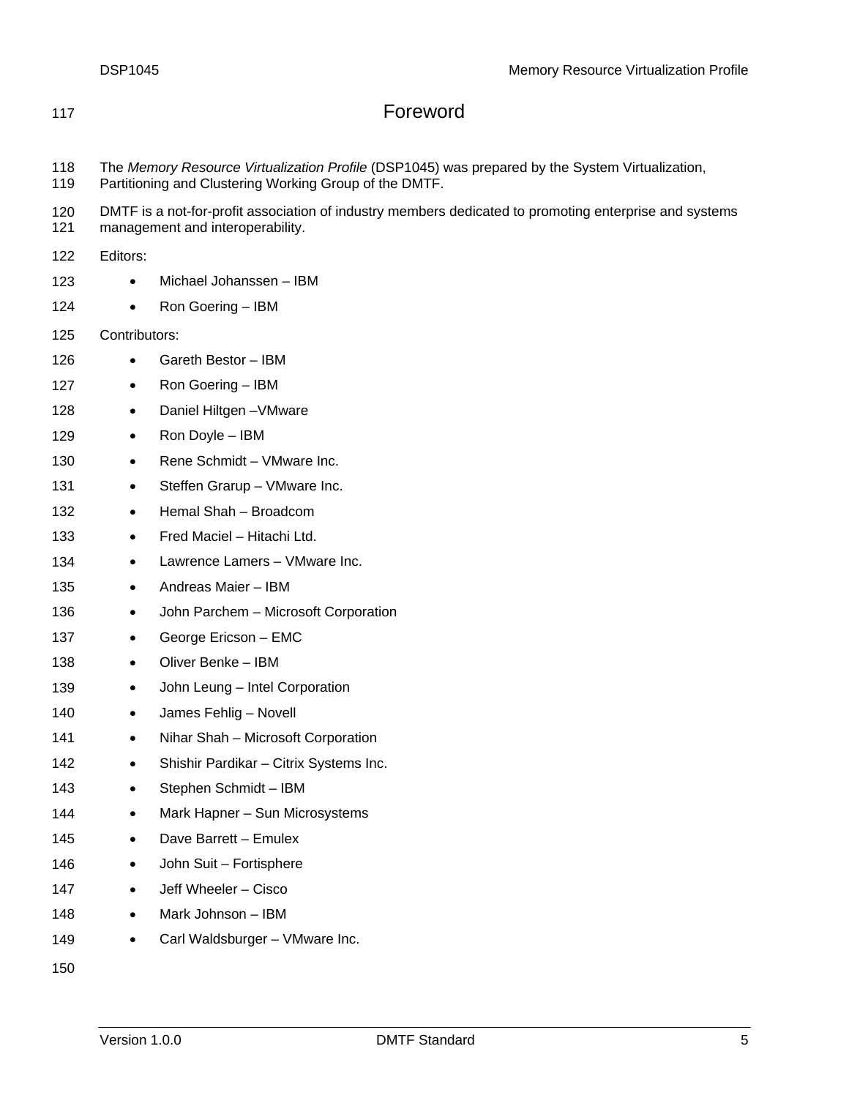# <span id="page-4-0"></span>117 **Foreword**

- 118 The *Memory Resource Virtualization Profile* (DSP1045) was prepared by the System Virtualization,
- 119 Partitioning and Clustering Working Group of the DMTF.
- 120 DMTF is a not-for-profit association of industry members dedicated to promoting enterprise and systems
- 121 management and interoperability.

122 Editors:

- 123 • Michael Johanssen – IBM
- 124 • Ron Goering – IBM

125 Contributors:

- 126 • Gareth Bestor – IBM
- 127 • Ron Goering – IBM
- 128 • Daniel Hiltgen –VMware
- 129 • Ron Doyle – IBM
- 130 • Rene Schmidt – VMware Inc.
- 131 • Steffen Grarup – VMware Inc.
- 132 • Hemal Shah – Broadcom
- 133 • Fred Maciel – Hitachi Ltd.
- 134 • Lawrence Lamers – VMware Inc.
- 135 • Andreas Maier – IBM
- 136 • John Parchem – Microsoft Corporation
- 137 • George Ericson – EMC
- 138 • Oliver Benke – IBM
- 139 • John Leung – Intel Corporation
- 140 • James Fehlig – Novell
- 141 • Nihar Shah – Microsoft Corporation
- 142 • Shishir Pardikar – Citrix Systems Inc.
- 143 • Stephen Schmidt – IBM
- 144 • Mark Hapner – Sun Microsystems
- 145 • Dave Barrett – Emulex
- 146 • John Suit – Fortisphere
- 147 • Jeff Wheeler – Cisco
- 148 • Mark Johnson – IBM
- 149 • Carl Waldsburger – VMware Inc.

150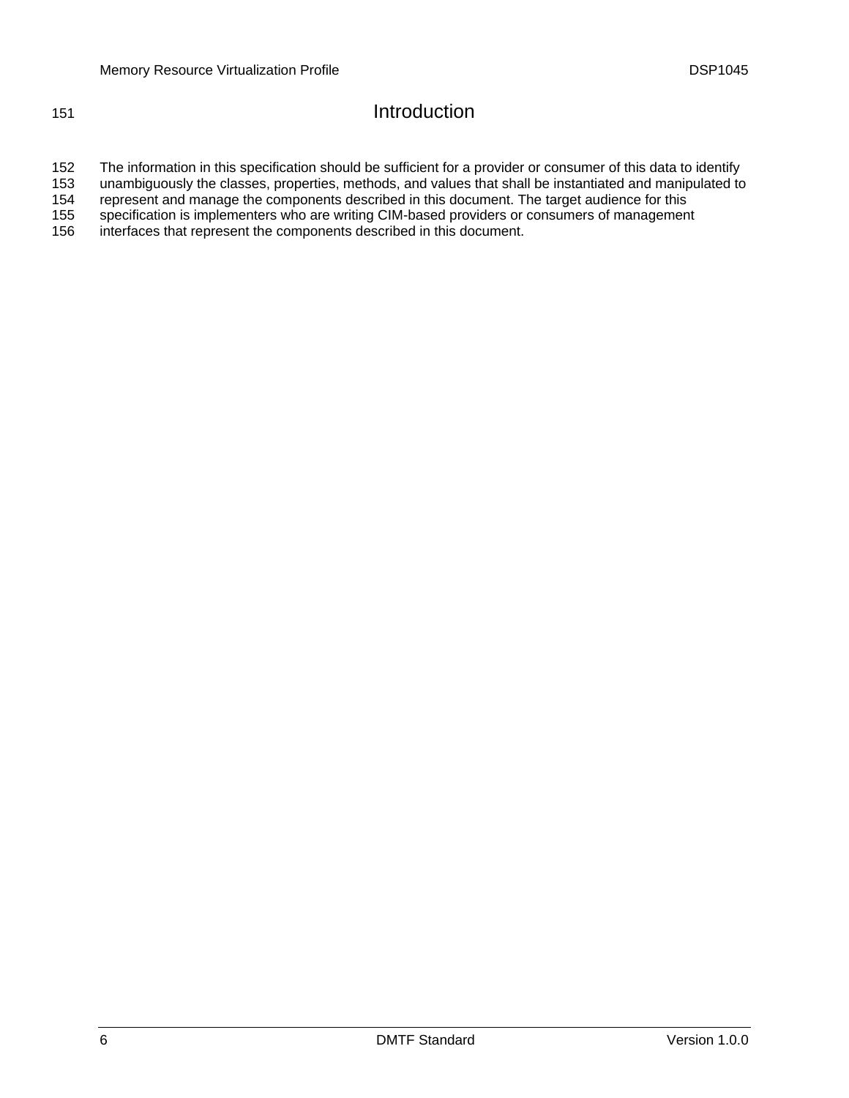# <span id="page-5-0"></span>151 **Introduction**

152 The information in this specification should be sufficient for a provider or consumer of this data to identify

153 unambiguously the classes, properties, methods, and values that shall be instantiated and manipulated to

154 represent and manage the components described in this document. The target audience for this

155 specification is implementers who are writing CIM-based providers or consumers of management

156 interfaces that represent the components described in this document.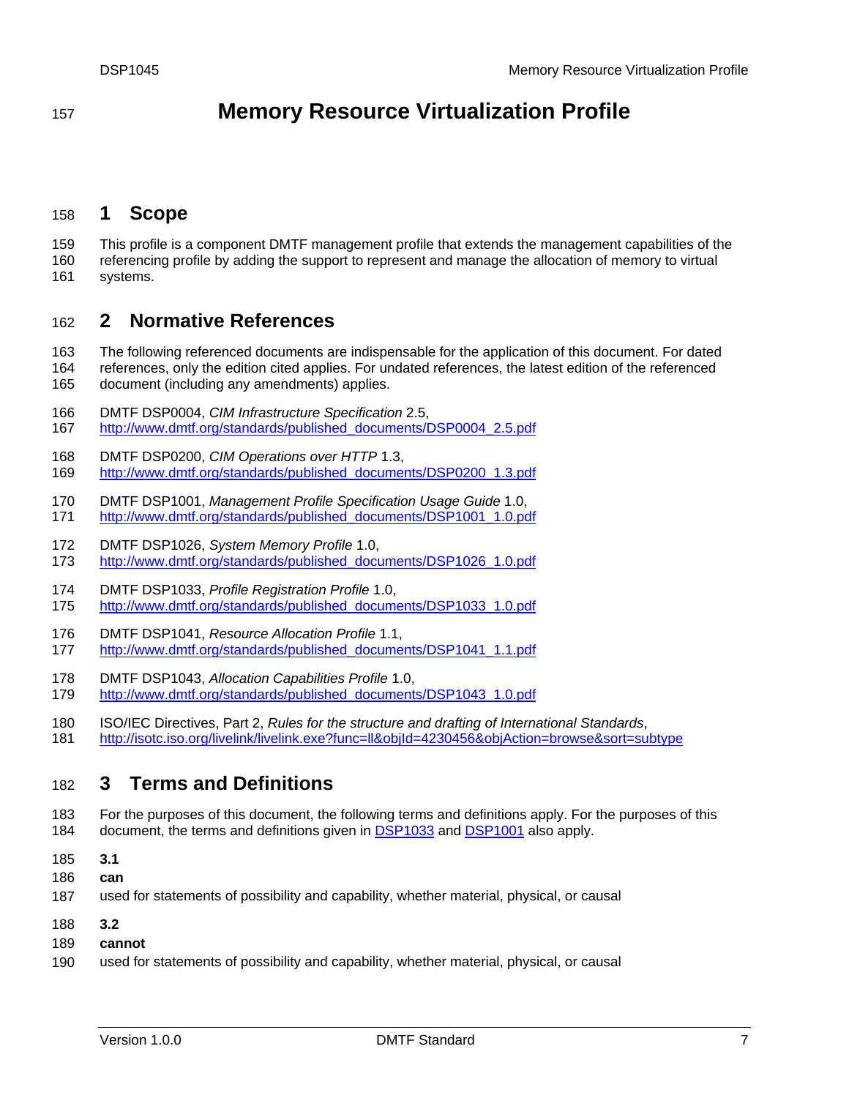# <span id="page-6-0"></span><sup>157</sup>**Memory Resource Virtualization Profile**

# 158 **1 Scope**

159 160 This profile is a component DMTF management profile that extends the management capabilities of the referencing profile by adding the support to represent and manage the allocation of memory to virtual

161 systems.

# 162 **2 Normative References**

163 The following referenced documents are indispensable for the application of this document. For dated

- 164 165 references, only the edition cited applies. For undated references, the latest edition of the referenced document (including any amendments) applies.
- 166 DMTF DSP0004, *CIM Infrastructure Specification* 2.5,
- 167 [http://www.dmtf.org/standards/published\\_documents/DSP0004\\_2.5.pdf](http://www.dmtf.org/standards/published_documents/DSP0004_2.5.pdf)
- 168 DMTF DSP0200, *CIM Operations over HTTP* 1.3,
- 169 [http://www.dmtf.org/standards/published\\_documents/DSP0200\\_1.3.pdf](http://www.dmtf.org/standards/published_documents/DSP0200_1.3.pdf)
- 170 DMTF DSP1001, *Management Profile Specification Usage Guide* 1.0, 171 [http://www.dmtf.org/standards/published\\_documents/DSP1001\\_1.0.pdf](http://www.dmtf.org/standards/published_documents/DSP1001_1.0.pdf)
- 172 DMTF DSP1026, *System Memory Profile* 1.0,
- 173 [http://www.dmtf.org/standards/published\\_documents/DSP1026\\_1.0.pdf](http://www.dmtf.org/standards/published_documents/DSP1026_1.0.pdf)
- 174 DMTF DSP1033, *Profile Registration Profile* 1.0,
- 175 [http://www.dmtf.org/standards/published\\_documents/DSP1033\\_1.0.pdf](http://www.dmtf.org/standards/published_documents/DSP1033_1.0.pdf)
- 176 DMTF DSP1041, *Resource Allocation Profile* 1.1,
- 177 [http://www.dmtf.org/standards/published\\_documents/DSP1041\\_1.1.pdf](http://www.dmtf.org/standards/published_documents/DSP1041_1.1.pdf)
- 178 DMTF DSP1043, *Allocation Capabilities Profile* 1.0,
- 179 [http://www.dmtf.org/standards/published\\_documents/DSP1043\\_1.0.pdf](http://www.dmtf.org/standards/published_documents/DSP1043_1.0.pdf)
- 180 ISO/IEC Directives, Part 2, *Rules for the structure and drafting of International Standards*,
- 181 <http://isotc.iso.org/livelink/livelink.exe?func=ll&objId=4230456&objAction=browse&sort=subtype>

# 182 **3 Terms and Definitions**

- 183 For the purposes of this document, the following terms and definitions apply. For the purposes of this 184 document, the terms and definitions given in [DSP1033](#page-6-0) and [DSP1001](#page-6-0) also apply.
- 185 **3.1**
- 186 **can**
- 187 used for statements of possibility and capability, whether material, physical, or causal
- 188 **3.2**
- 189 **cannot**
- 190 used for statements of possibility and capability, whether material, physical, or causal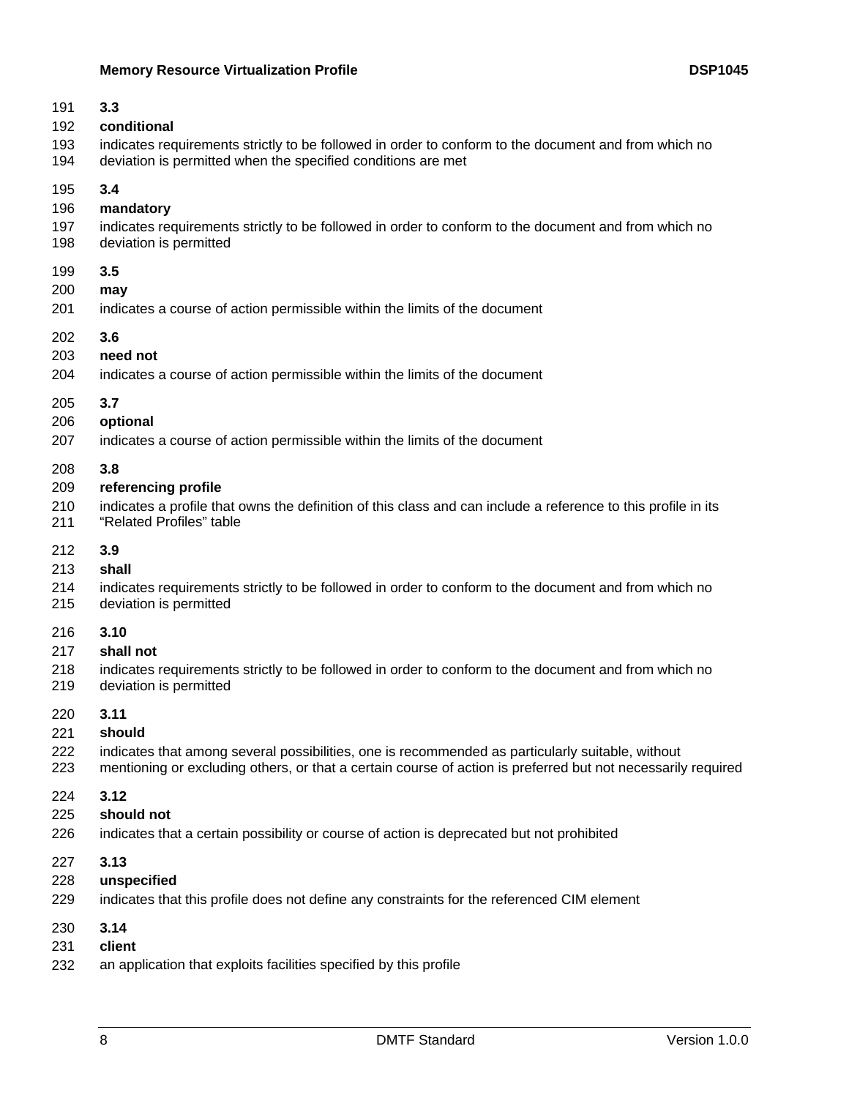# **Memory Resource Virtualization Profile Constrained Average COSP1045 DSP1045**

| 191 | 3.3                                                                                                           |
|-----|---------------------------------------------------------------------------------------------------------------|
| 192 | conditional                                                                                                   |
| 193 | indicates requirements strictly to be followed in order to conform to the document and from which no          |
| 194 | deviation is permitted when the specified conditions are met                                                  |
| 195 | 3.4                                                                                                           |
| 196 | mandatory                                                                                                     |
| 197 | indicates requirements strictly to be followed in order to conform to the document and from which no          |
| 198 | deviation is permitted                                                                                        |
| 199 | 3.5                                                                                                           |
| 200 | may                                                                                                           |
| 201 | indicates a course of action permissible within the limits of the document                                    |
| 202 | 3.6                                                                                                           |
| 203 | need not                                                                                                      |
| 204 | indicates a course of action permissible within the limits of the document                                    |
| 205 | 3.7                                                                                                           |
| 206 | optional                                                                                                      |
| 207 | indicates a course of action permissible within the limits of the document                                    |
| 208 | 3.8                                                                                                           |
| 209 | referencing profile                                                                                           |
| 210 | indicates a profile that owns the definition of this class and can include a reference to this profile in its |
| 211 | "Related Profiles" table                                                                                      |
| 212 | 3.9                                                                                                           |
| 213 | shall                                                                                                         |
| 214 | indicates requirements strictly to be followed in order to conform to the document and from which no          |
| 215 | deviation is permitted                                                                                        |
| 216 | 3.10                                                                                                          |
| 217 | shall not                                                                                                     |
| 218 | indicates requirements strictly to be followed in order to conform to the document and from which no          |
| 219 | deviation is permitted                                                                                        |
| 220 | 3.11                                                                                                          |
| 221 | should                                                                                                        |
| 222 | indicates that among several possibilities, one is recommended as particularly suitable, without              |
| 223 | mentioning or excluding others, or that a certain course of action is preferred but not necessarily required  |
| 224 | 3.12                                                                                                          |
| 225 | should not                                                                                                    |
| 226 | indicates that a certain possibility or course of action is deprecated but not prohibited                     |
| 227 | 3.13                                                                                                          |
| 228 | unspecified                                                                                                   |
| 229 | indicates that this profile does not define any constraints for the referenced CIM element                    |
| 230 | 3.14                                                                                                          |
| 231 | client                                                                                                        |
| 232 | an application that exploits facilities specified by this profile                                             |
|     |                                                                                                               |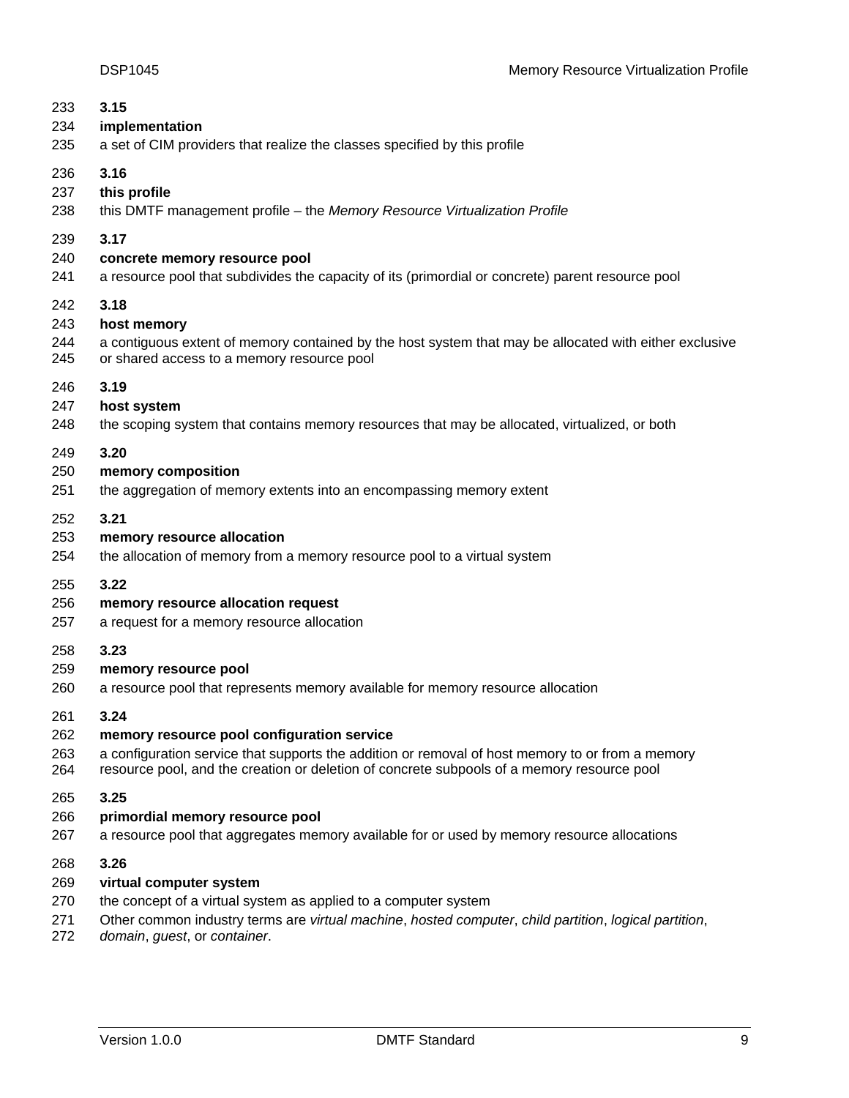| 233 | 3.15                                                                                                   |
|-----|--------------------------------------------------------------------------------------------------------|
| 234 | implementation                                                                                         |
| 235 | a set of CIM providers that realize the classes specified by this profile                              |
| 236 | 3.16                                                                                                   |
| 237 | this profile                                                                                           |
| 238 | this DMTF management profile - the Memory Resource Virtualization Profile                              |
| 239 | 3.17                                                                                                   |
| 240 | concrete memory resource pool                                                                          |
| 241 | a resource pool that subdivides the capacity of its (primordial or concrete) parent resource pool      |
| 242 | 3.18                                                                                                   |
| 243 | host memory                                                                                            |
| 244 | a contiguous extent of memory contained by the host system that may be allocated with either exclusive |
| 245 | or shared access to a memory resource pool                                                             |
| 246 | 3.19                                                                                                   |
| 247 | host system                                                                                            |
| 248 | the scoping system that contains memory resources that may be allocated, virtualized, or both          |
| 249 | 3.20                                                                                                   |
| 250 | memory composition                                                                                     |
| 251 | the aggregation of memory extents into an encompassing memory extent                                   |
| 252 | 3.21                                                                                                   |
| 253 | memory resource allocation                                                                             |
| 254 | the allocation of memory from a memory resource pool to a virtual system                               |
| 255 | 3.22                                                                                                   |
| 256 | memory resource allocation request                                                                     |
| 257 | a request for a memory resource allocation                                                             |
| 258 | 3.23                                                                                                   |
| 259 | memory resource pool                                                                                   |
| 260 | a resource pool that represents memory available for memory resource allocation                        |
| 261 | 3.24                                                                                                   |
| 262 | memory resource pool configuration service                                                             |
| 263 | a configuration service that supports the addition or removal of host memory to or from a memory       |
| 264 | resource pool, and the creation or deletion of concrete subpools of a memory resource pool             |
| 265 | 3.25                                                                                                   |
| 266 | primordial memory resource pool                                                                        |
| 267 | a resource pool that aggregates memory available for or used by memory resource allocations            |
| 268 | 3.26                                                                                                   |
| 269 | virtual computer system                                                                                |
| 270 | the concept of a virtual system as applied to a computer system                                        |
| 271 | Other common industry terms are virtual machine, hosted computer, child partition, logical partition,  |
| 272 | domain, guest, or container.                                                                           |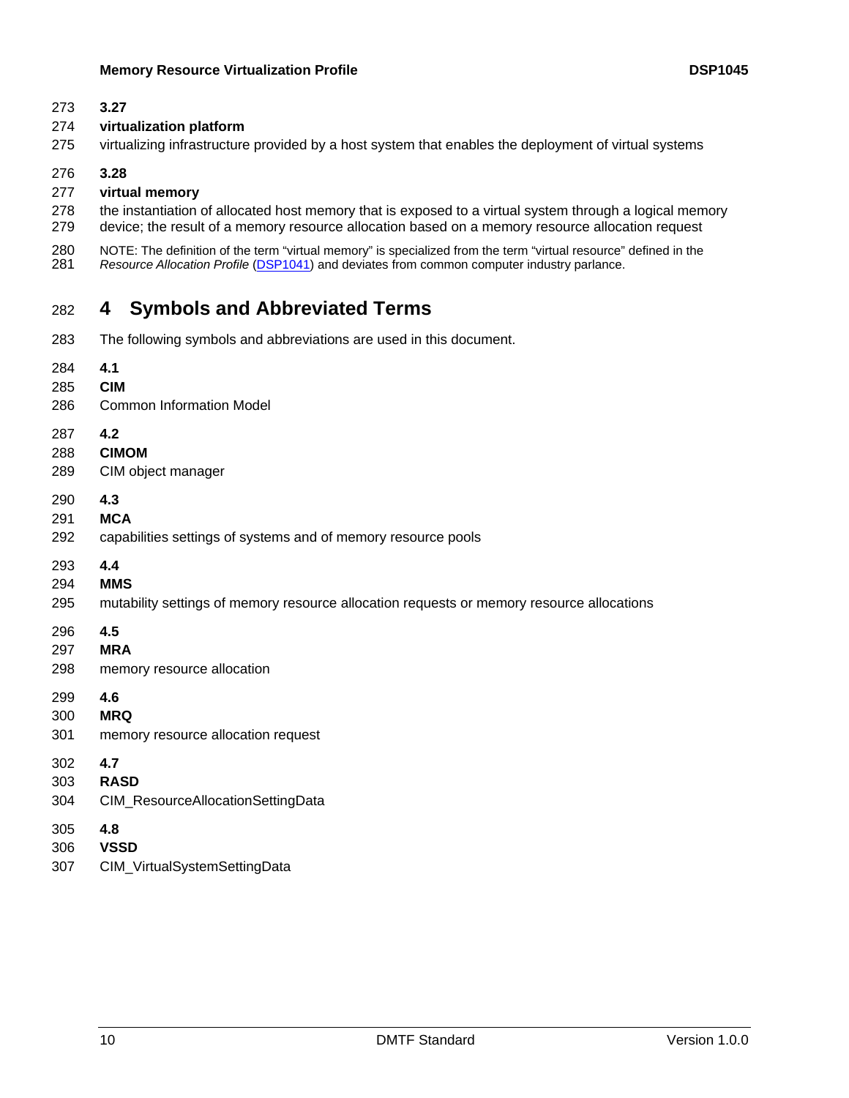#### <span id="page-9-0"></span>273 **3.27**

#### 274 **virtualization platform**

275 virtualizing infrastructure provided by a host system that enables the deployment of virtual systems

#### 276 **3.28**

#### 277 **virtual memory**

278 279 the instantiation of allocated host memory that is exposed to a virtual system through a logical memory device; the result of a memory resource allocation based on a memory resource allocation request

280 NOTE: The definition of the term "virtual memory" is specialized from the term "virtual resource" defined in the 281 *Resource Allocation Profile* [\(DSP1041\)](#page-6-0) and deviates from common computer industry parlance.

# 282 **4 Symbols and Abbreviated Terms**

- 283 The following symbols and abbreviations are used in this document.
- 284 **4.1**
- 285 **CIM**
- 286 Common Information Model
- 287 **4.2**
- 288 **CIMOM**
- 289 CIM object manager
- 290 **4.3**
- 291 **MCA**
- 292 capabilities settings of systems and of memory resource pools
- 293 **4.4**
- 294 **MMS**
- 295 mutability settings of memory resource allocation requests or memory resource allocations
- 296 **4.5**
- 297 **MRA**
- 298 memory resource allocation
- 299 **4.6**
- 300 **MRQ**
- 301 memory resource allocation request
- 302 **4.7**
- 303 **RASD**
- 304 CIM\_ResourceAllocationSettingData
- 305 **4.8**
- 306 **VSSD**
- 307 CIM\_VirtualSystemSettingData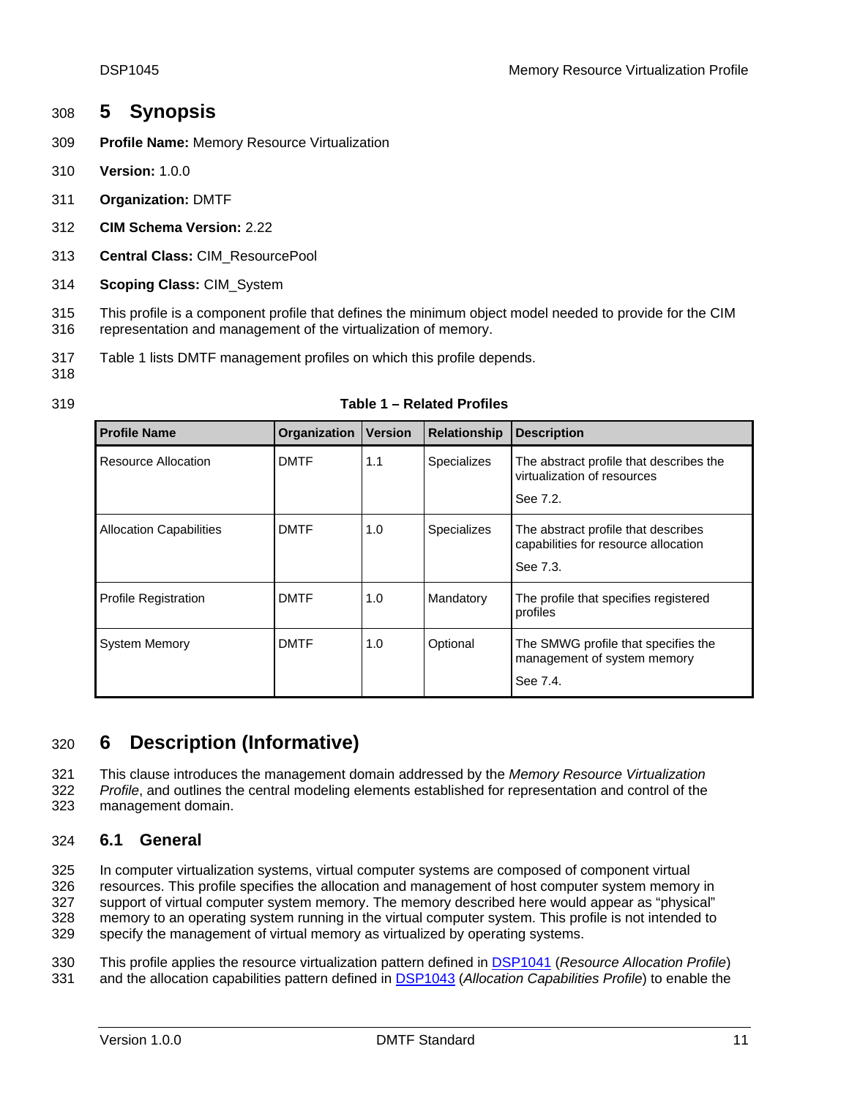# <span id="page-10-0"></span>308 **5 Synopsis**

- 309 **Profile Name:** Memory Resource Virtualization
- 310 **Version:** 1.0.0
- 311 **Organization:** DMTF
- 312 **CIM Schema Version:** 2.22
- 313 **Central Class:** CIM\_ResourcePool
- 314 **Scoping Class:** CIM\_System

315 316 This profile is a component profile that defines the minimum object model needed to provide for the CIM representation and management of the virtualization of memory.

317 [Table 1](#page-10-1) lists DMTF management profiles on which this profile depends.

<span id="page-10-1"></span>318 319

#### **Table 1 – Related Profiles**

| <b>Profile Name</b>            | Organization | <b>Version</b> | Relationship | <b>Description</b>                                                                      |
|--------------------------------|--------------|----------------|--------------|-----------------------------------------------------------------------------------------|
| Resource Allocation            | <b>DMTF</b>  | 1.1            | Specializes  | The abstract profile that describes the<br>virtualization of resources<br>See 7.2.      |
| <b>Allocation Capabilities</b> | <b>DMTF</b>  | 1.0            | Specializes  | The abstract profile that describes<br>capabilities for resource allocation<br>See 7.3. |
| <b>Profile Registration</b>    | <b>DMTF</b>  | 1.0            | Mandatory    | The profile that specifies registered<br>profiles                                       |
| <b>System Memory</b>           | <b>DMTF</b>  | 1.0            | Optional     | The SMWG profile that specifies the<br>management of system memory<br>See 7.4.          |

# 320 **6 Description (Informative)**

This clause introduces the management domain addressed by the *Memory Resource Virtualization*  321

*Profile*, and outlines the central modeling elements established for representation and control of the management domain. 322 323

# 324 **6.1 General**

325 326 327 328 In computer virtualization systems, virtual computer systems are composed of component virtual resources. This profile specifies the allocation and management of host computer system memory in support of virtual computer system memory. The memory described here would appear as "physical" memory to an operating system running in the virtual computer system. This profile is not intended to

329 specify the management of virtual memory as virtualized by operating systems.

This profile applies the resource virtualization pattern defined in [DSP1041](#page-6-0) (*Resource Allocation Profile*) 331 and the allocation capabilities pattern defined in **[DSP1043](#page-6-0)** (Allocation Capabilities Profile) to enable the 330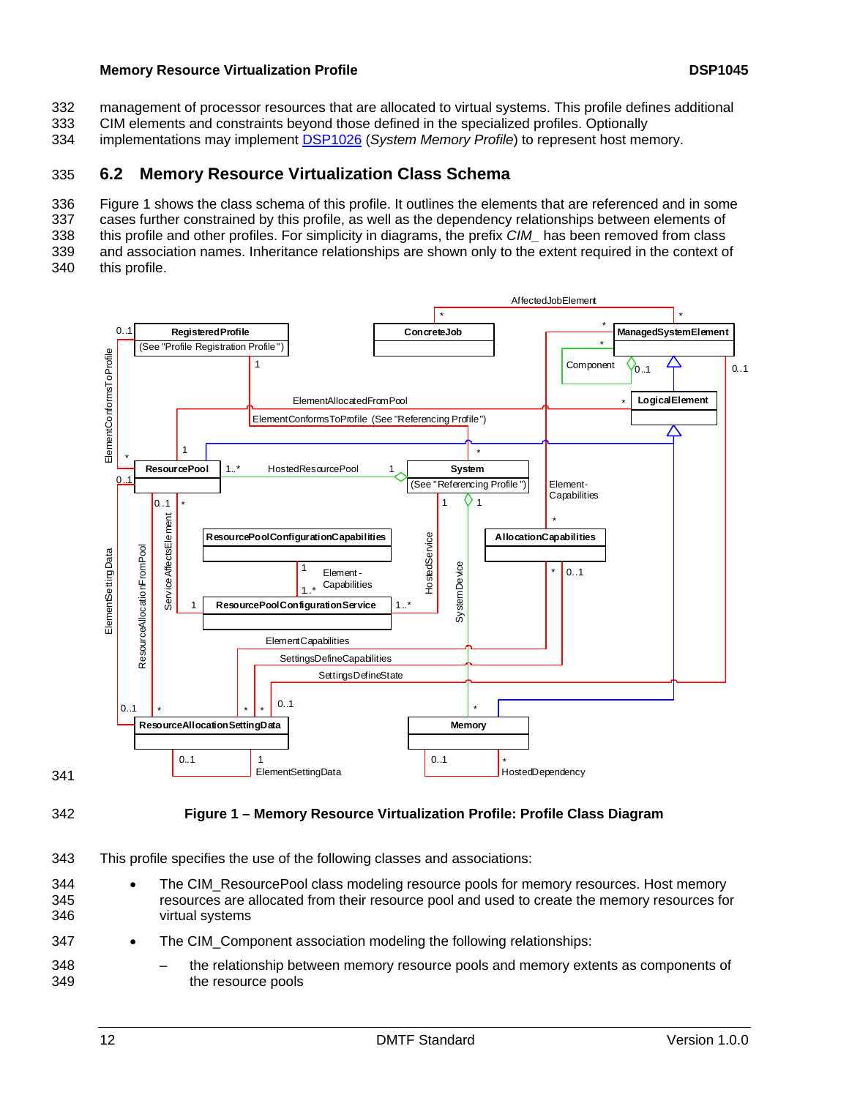<span id="page-11-0"></span>management of processor resources that are allocated to virtual systems. This profile defines additional 332

CIM elements and constraints beyond those defined in the specialized profiles. Optionally 333

334 implementations may implement **[DSP1026](#page-6-0)** (System Memory Profile) to represent host memory.

# 335 **6.2 Memory Resource Virtualization Class Schema**

336 Figure 1 [shows the class schema of this profile. It outlines the elements that are referenced and in some](#page-11-1) 

337 [cases further constrained by this profile, as well as the dependency relationships between elements of](#page-11-1) 

338 339 [this profile and other profiles. For simplicity in diagrams, the prefix](#page-11-1) *CIM\_* has been removed from class [and association names. Inheritance relationships are shown only to the extent required in the context of](#page-11-1) 

340 [this profile.](#page-11-1) 



341

<span id="page-11-1"></span>342

# **Figure 1 – Memory Resource Virtualization Profile: Profile Class Diagram**

- 343 This profile specifies the use of the following classes and associations:
- 344 345 346 • The CIM\_ResourcePool class modeling resource pools for memory resources. Host memory resources are allocated from their resource pool and used to create the memory resources for virtual systems
- 347 The CIM Component association modeling the following relationships:
- 348 349 – the relationship between memory resource pools and memory extents as components of the resource pools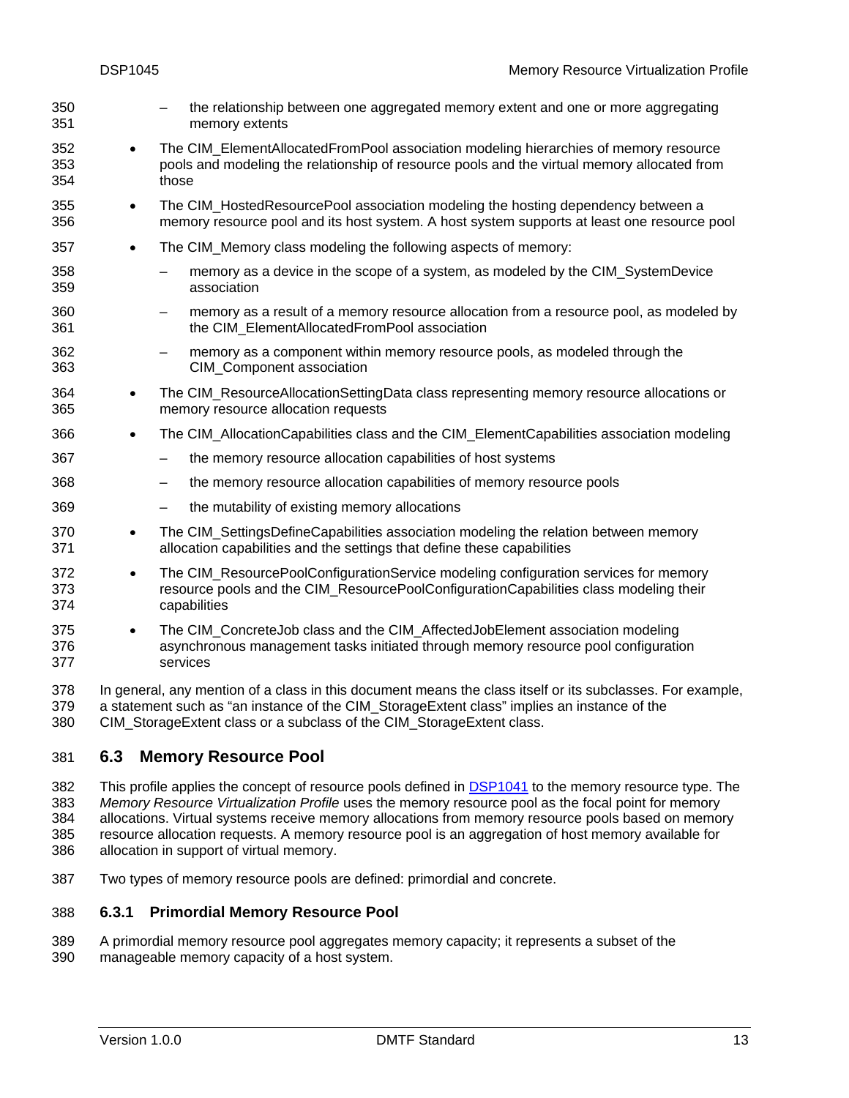<span id="page-12-0"></span>– the relationship between one aggregated memory extent and one or more aggregating memory extents 350 351 352 353 354 355 356 357 358 359 360 361 362 363 364 365 366 367 368 369 370 371 372 373 374 375 376 377 378 379 • The CIM ElementAllocatedFromPool association modeling hierarchies of memory resource pools and modeling the relationship of resource pools and the virtual memory allocated from those • The CIM\_HostedResourcePool association modeling the hosting dependency between a memory resource pool and its host system. A host system supports at least one resource pool • The CIM Memory class modeling the following aspects of memory: – memory as a device in the scope of a system, as modeled by the CIM\_SystemDevice association – memory as a result of a memory resource allocation from a resource pool, as modeled by the CIM\_ElementAllocatedFromPool association – memory as a component within memory resource pools, as modeled through the CIM\_Component association • The CIM\_ResourceAllocationSettingData class representing memory resource allocations or memory resource allocation requests • The CIM\_AllocationCapabilities class and the CIM\_ElementCapabilities association modeling – the memory resource allocation capabilities of host systems – the memory resource allocation capabilities of memory resource pools – the mutability of existing memory allocations • The CIM\_SettingsDefineCapabilities association modeling the relation between memory allocation capabilities and the settings that define these capabilities • The CIM\_ResourcePoolConfigurationService modeling configuration services for memory resource pools and the CIM\_ResourcePoolConfigurationCapabilities class modeling their capabilities • The CIM\_ConcreteJob class and the CIM\_AffectedJobElement association modeling asynchronous management tasks initiated through memory resource pool configuration services In general, any mention of a class in this document means the class itself or its subclasses. For example, a statement such as "an instance of the CIM\_StorageExtent class" implies an instance of the

380 CIM\_StorageExtent class or a subclass of the CIM\_StorageExtent class.

# 381 **6.3 Memory Resource Pool**

This profile applies the concept of resource pools defined in [DSP1041](#page-6-0) to the memory resource type. The *Memory Resource Virtualization Profile* uses the memory resource pool as the focal point for memory allocations. Virtual systems receive memory allocations from memory resource pools based on memory resource allocation requests. A memory resource pool is an aggregation of host memory available for allocation in support of virtual memory. 382 383 384 385 386

387 Two types of memory resource pools are defined: primordial and concrete.

#### 388 **6.3.1 Primordial Memory Resource Pool**

389 390 A primordial memory resource pool aggregates memory capacity; it represents a subset of the manageable memory capacity of a host system.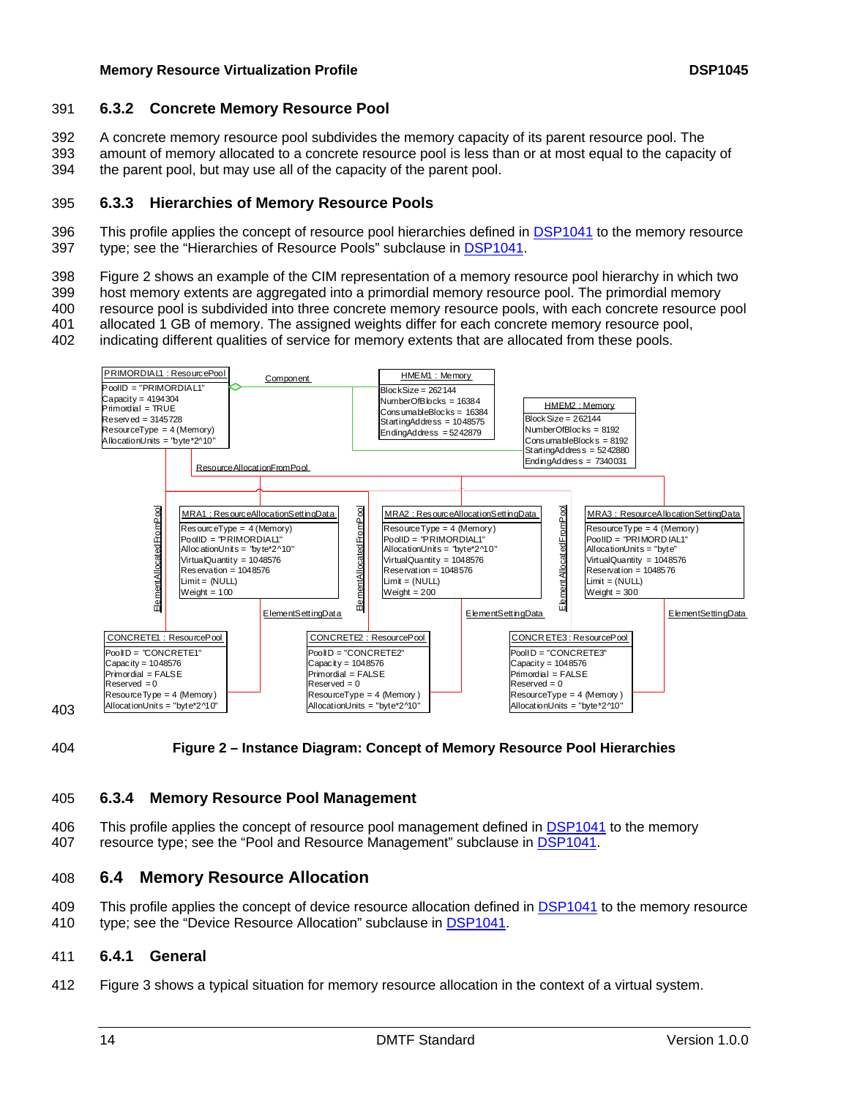## <span id="page-13-0"></span>391 **6.3.2 Concrete Memory Resource Pool**

A concrete memory resource pool subdivides the memory capacity of its parent resource pool. The 392

amount of memory allocated to a concrete resource pool is less than or at most equal to the capacity of the parent pool, but may use all of the capacity of the parent pool. 393 394

## 395 **6.3.3 Hierarchies of Memory Resource Pools**

This profile applies the concept of resource pool hierarchies defined in [DSP1041](#page-6-0) to the memory resource 397 type; see the "Hierarchies of Resource Pools" subclause in **DSP1041**. 396

398 Figure 2 [shows an example of the CIM representation of a memory resource pool hierarchy in which two](#page-13-1) 

399 [host memory extents are aggregated into a primordial memory resource pool. The primordial memory](#page-13-1) 

400 [resource pool is subdivided into three concrete memory resource pools, with each concrete resource pool](#page-13-1) 

401 [allocated 1 GB of memory. The assigned weights differ for each concrete memory resource pool,](#page-13-1) 

402 [indicating different qualities of service for memory extents that are allocated from these pools.](#page-13-1) 



<span id="page-13-1"></span>404 **Figure 2 – Instance Diagram: Concept of Memory Resource Pool Hierarchies** 

# 405 **6.3.4 Memory Resource Pool Management**

This profile applies the concept of resource pool management defined in [DSP1041](#page-6-0) to the memory 407 resource type; see the "Pool and Resource Management" subclause in [DSP1041.](#page-6-0) 406

# 408 **6.4 Memory Resource Allocation**

This profile applies the concept of device resource allocation defined in [DSP1041](#page-6-0) to the memory resource 410 type; see the "Device Resource Allocation" subclause in **DSP1041**. 409

#### 411 **6.4.1 General**

412 Figure 3 [shows a typical situation for memory resource allocation in the context of a virtual system.](#page-14-1)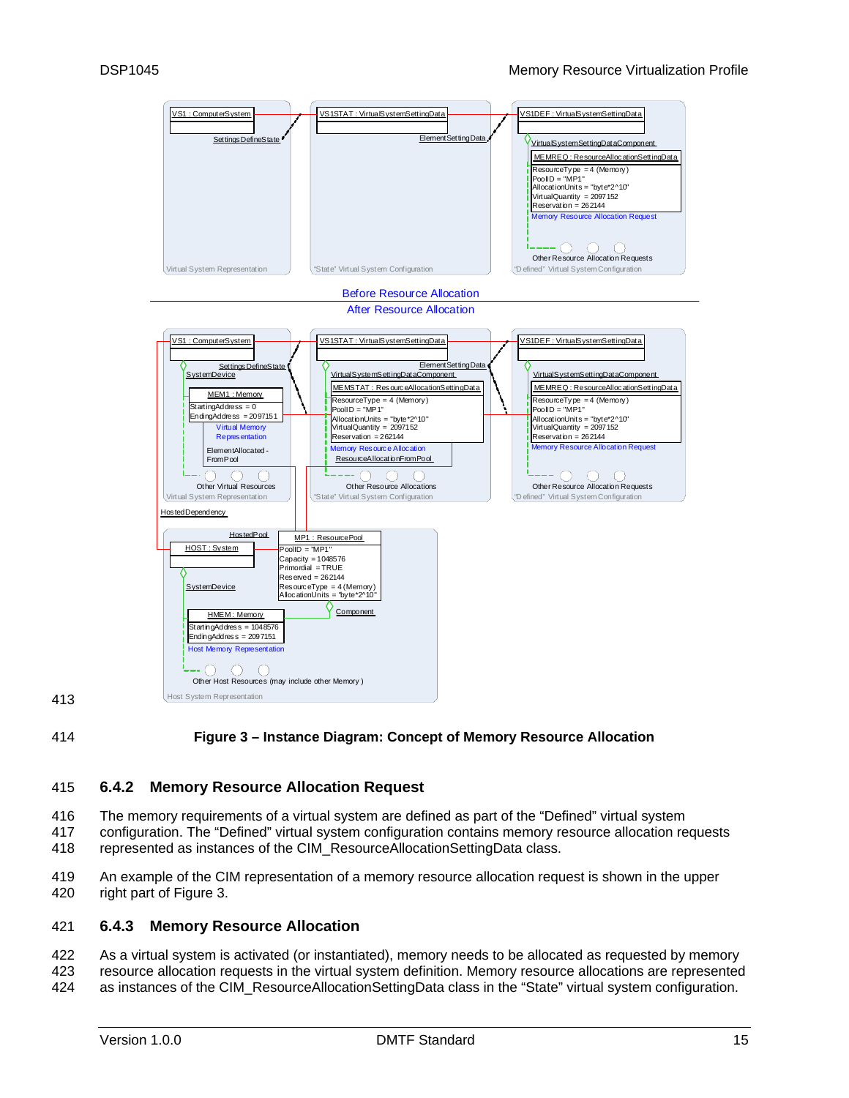<span id="page-14-0"></span>

413

<span id="page-14-1"></span>414

#### **Figure 3 – Instance Diagram: Concept of Memory Resource Allocation**

#### 415 **6.4.2 Memory Resource Allocation Request**

416 The memory requirements of a virtual system are defined as part of the "Defined" virtual system

417 418 configuration. The "Defined" virtual system configuration contains memory resource allocation requests represented as instances of the CIM\_ResourceAllocationSettingData class.

419 420 An example of the CIM representation of a memory resource allocation request is shown in the upper right part of Figure [3.](#page-14-1) 

#### 421 **6.4.3 Memory Resource Allocation**

422 423 424 As a virtual system is activated (or instantiated), memory needs to be allocated as requested by memory resource allocation requests in the virtual system definition. Memory resource allocations are represented as instances of the CIM\_ResourceAllocationSettingData class in the "State" virtual system configuration.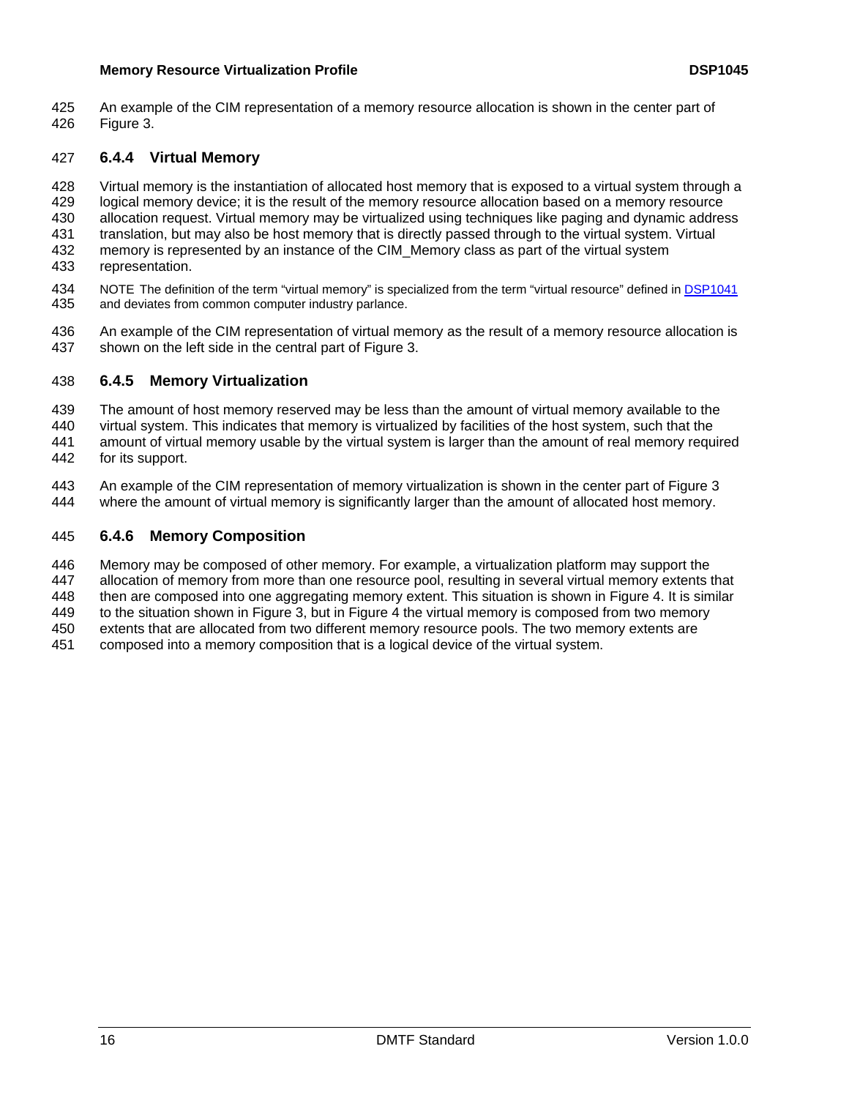An example of the CIM representation of a memory resource allocation is shown in the center part of Figure 3 [.](#page-14-1)  425 426

# 427 **6.4.4 Virtual Memory**

428 429 430 431 432 433 Virtual memory is the instantiation of allocated host memory that is exposed to a virtual system through a logical memory device; it is the result of the memory resource allocation based on a memory resource allocation request. Virtual memory may be virtualized using techniques like paging and dynamic address translation, but may also be host memory that is directly passed through to the virtual system. Virtual memory is represented by an instance of the CIM\_Memory class as part of the virtual system representation.

- NOTE The definition of the term "virtual memory" is specialized from the term "virtual resource" defined in [DSP1041](#page-6-0) and deviates from common computer industry parlance. 434 435
- 436 437 An example of the CIM representation of virtual memory as the result of a memory resource allocation is shown on the left side in the central part of Figure [3.](#page-14-1)

## 438 **6.4.5 Memory Virtualization**

- 439 The amount of host memory reserved may be less than the amount of virtual memory available to the
- 440 virtual system. This indicates that memory is virtualized by facilities of the host system, such that the
- 441 442 amount of virtual memory usable by the virtual system is larger than the amount of real memory required for its support.
- 443 444 An example of the CIM representation of memory virtualization is shown in the center part of Figure 3 where the amount of virtual memory is significantly larger than the amount of allocated host memory.

## 445 **6.4.6 Memory Composition**

- 446 Memory may be composed of other memory. For example, a virtualization platform may support the
- 447 allocation of memory from more than one resource pool, resulting in several virtual memory extents that
- 448 then are composed into one aggregating memory extent. This situation is shown in Figure 4[. It is similar](#page-16-1)
- 449 450 [to the situation shown in](#page-16-1) [Figure 3,](#page-14-1) but in Figure [4 the virtual memory is composed from two memory](#page-16-1)  [extents that are allocated from two different memory resource pools. The two memory extents are](#page-16-1)
- 451 [composed into a memory composition that is a logical device of the virtual system.](#page-16-1)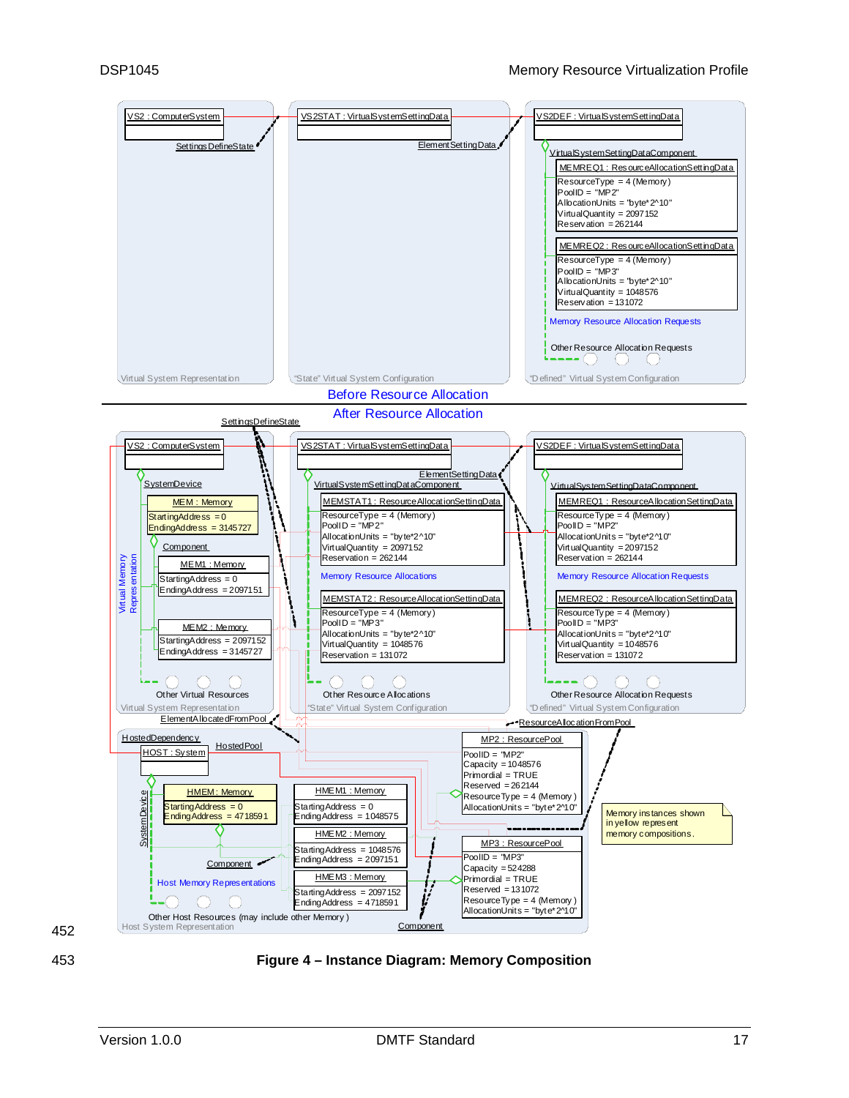<span id="page-16-0"></span>

452

<span id="page-16-1"></span>453 **Figure 4 – Instance Diagram: Memory Composition**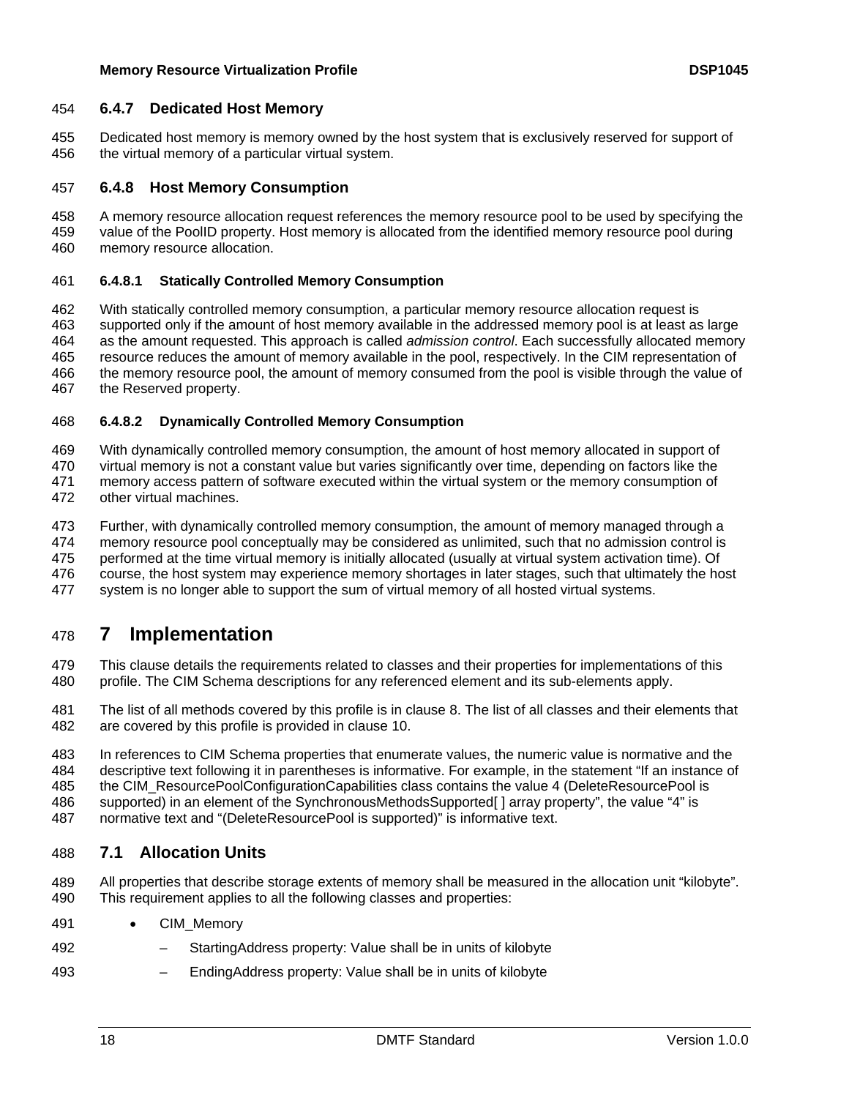## <span id="page-17-0"></span>454 **6.4.7 Dedicated Host Memory**

Dedicated host memory is memory owned by the host system that is exclusively reserved for support of the virtual memory of a particular virtual system. 455 456

## 457 **6.4.8 Host Memory Consumption**

458 459 460 A memory resource allocation request references the memory resource pool to be used by specifying the value of the PoolID property. Host memory is allocated from the identified memory resource pool during memory resource allocation.

### 461 **6.4.8.1 Statically Controlled Memory Consumption**

462 463 464 465 466 467 With statically controlled memory consumption, a particular memory resource allocation request is supported only if the amount of host memory available in the addressed memory pool is at least as large as the amount requested. This approach is called *admission control*. Each successfully allocated memory resource reduces the amount of memory available in the pool, respectively. In the CIM representation of the memory resource pool, the amount of memory consumed from the pool is visible through the value of the Reserved property.

#### 468 **6.4.8.2 Dynamically Controlled Memory Consumption**

469 With dynamically controlled memory consumption, the amount of host memory allocated in support of

470 virtual memory is not a constant value but varies significantly over time, depending on factors like the

471 memory access pattern of software executed within the virtual system or the memory consumption of

472 other virtual machines.

473 Further, with dynamically controlled memory consumption, the amount of memory managed through a

474 memory resource pool conceptually may be considered as unlimited, such that no admission control is

475 performed at the time virtual memory is initially allocated (usually at virtual system activation time). Of

476 477 course, the host system may experience memory shortages in later stages, such that ultimately the host system is no longer able to support the sum of virtual memory of all hosted virtual systems.

# <span id="page-17-2"></span>478 **7 Implementation**

479 480 This clause details the requirements related to classes and their properties for implementations of this profile. The CIM Schema descriptions for any referenced element and its sub-elements apply.

481 482 The list of all methods covered by this profile is in clause 8[. The list of all classes and their elements that](#page-28-2)  [are covered by this profile is provided in clause](#page-28-2) [10.](#page-38-1)

483 484 In references to CIM Schema properties that enumerate values, the numeric value is normative and the descriptive text following it in parentheses is informative. For example, in the statement "If an instance of

485 the CIM\_ResourcePoolConfigurationCapabilities class contains the value 4 (DeleteResourcePool is

486 supported) in an element of the SynchronousMethodsSupported[] array property", the value "4" is

487 normative text and "(DeleteResourcePool is supported)" is informative text.

# <span id="page-17-1"></span>488 **7.1 Allocation Units**

489 490 All properties that describe storage extents of memory shall be measured in the allocation unit "kilobyte". This requirement applies to all the following classes and properties:

- 491 • CIM\_Memory
- 492 – StartingAddress property: Value shall be in units of kilobyte
- 493 – EndingAddress property: Value shall be in units of kilobyte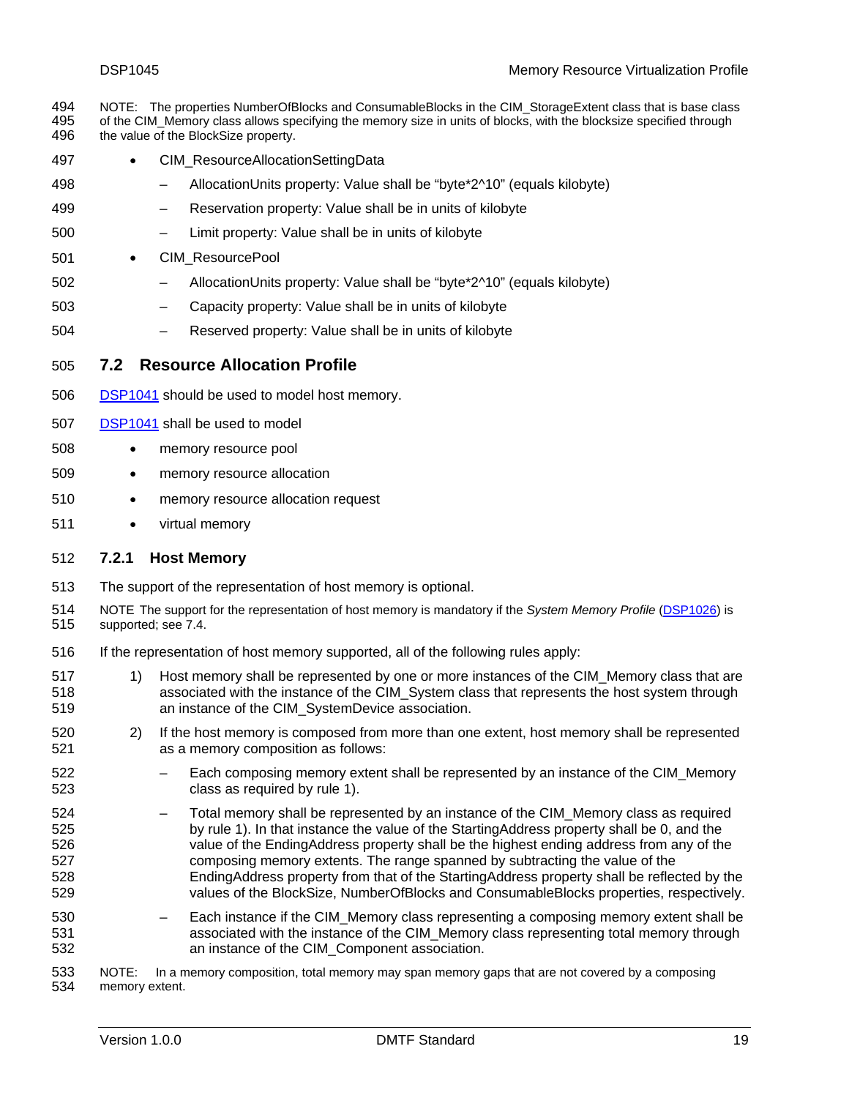<span id="page-18-0"></span>NOTE: The properties NumberOfBlocks and ConsumableBlocks in the CIM\_StorageExtent class that is base class of the CIM\_Memory class allows specifying the memory size in units of blocks, with the blocksize specified through the value of the BlockSize property. 494 495 496

- 497 • CIM\_ResourceAllocationSettingData
- 498 – AllocationUnits property: Value shall be "byte\*2^10" (equals kilobyte)
- 499 – Reservation property: Value shall be in units of kilobyte
- 500 – Limit property: Value shall be in units of kilobyte
- 501 • CIM\_ResourcePool
- 502 – AllocationUnits property: Value shall be "byte\*2^10" (equals kilobyte)
- 503 – Capacity property: Value shall be in units of kilobyte
- 504 – Reserved property: Value shall be in units of kilobyte
- <span id="page-18-1"></span>505 **7.2 Resource Allocation Profile**
- 506 [DSP1041](#page-6-0) should be used to model host memory.
- 507 [DSP1041](#page-6-0) shall be used to model
- 508 • memory resource pool
- 509 • memory resource allocation
- 510 • memory resource allocation request
- 511 • virtual memory

#### <span id="page-18-3"></span>512 **7.2.1 Host Memory**

- 513 The support of the representation of host memory is optional.
- NOTE The support for the representation of host memory is mandatory if the *System Memory Profile* [\(DSP1026\)](#page-6-0) is supported; see 7.4 [.](#page-28-1)  514 515
- 516 If the representation of host memory supported, all of the following rules apply:
- <span id="page-18-2"></span>517 518 519 1) Host memory shall be represented by one or more instances of the CIM\_Memory class that are associated with the instance of the CIM\_System class that represents the host system through an instance of the CIM\_SystemDevice association.
- 520 521 2) If the host memory is composed from more than one extent, host memory shall be represented as a memory composition as follows:
- 522 523 – Each composing memory extent shall be represented by an instance of the CIM\_Memory class as required by rule 1)[.](#page-18-2)
- 524 525 526 527 528 529 – Total memory shall be represented by an instance of the CIM\_Memory class as required by rule 1[\). In that instance the value of the StartingAddress property shall be 0, and the](#page-18-2)  [value of the EndingAddress property shall be the highest ending address from any of the](#page-18-2)  [composing memory extents. The range spanned by subtracting the value of the](#page-18-2)  [EndingAddress property from that of the StartingAddress property shall be reflected by the](#page-18-2)  [values of the BlockSize, NumberOfBlocks and ConsumableBlocks properties, respectively.](#page-18-2)
- 530 531 532 – Each instance if the CIM\_Memory class representing a composing memory extent shall be associated with the instance of the CIM\_Memory class representing total memory through an instance of the CIM\_Component association.

533 534 NOTE: In a memory composition, total memory may span memory gaps that are not covered by a composing memory extent.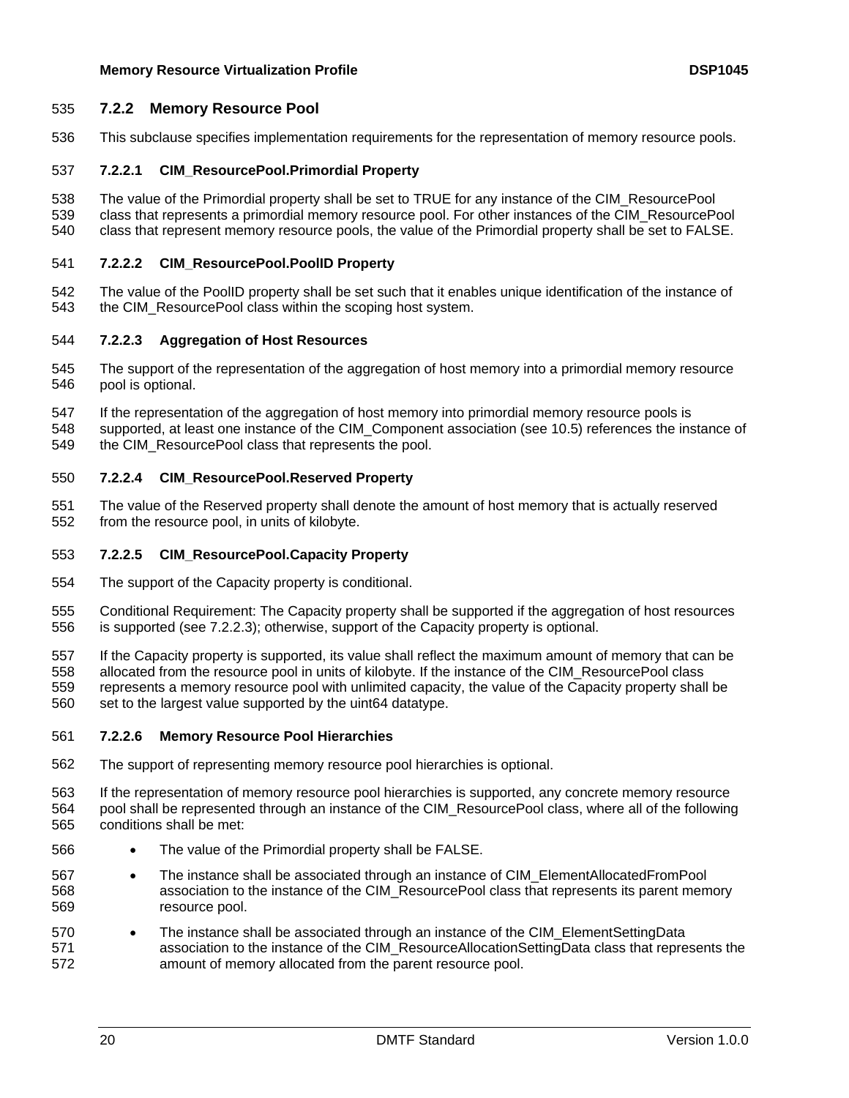#### 535 **7.2.2 Memory Resource Pool**

536 This subclause specifies implementation requirements for the representation of memory resource pools.

## <span id="page-19-1"></span>537 **7.2.2.1 CIM\_ResourcePool.Primordial Property**

- 538 539 The value of the Primordial property shall be set to TRUE for any instance of the CIM\_ResourcePool class that represents a primordial memory resource pool. For other instances of the CIM\_ResourcePool
- 540 class that represent memory resource pools, the value of the Primordial property shall be set to FALSE.

## <span id="page-19-2"></span>541 **7.2.2.2 CIM\_ResourcePool.PoolID Property**

542 543 The value of the PoolID property shall be set such that it enables unique identification of the instance of the CIM\_ResourcePool class within the scoping host system.

#### <span id="page-19-0"></span>544 **7.2.2.3 Aggregation of Host Resources**

- 545 546 The support of the representation of the aggregation of host memory into a primordial memory resource pool is optional.
- 547 If the representation of the aggregation of host memory into primordial memory resource pools is
- 548 549 supported, at least one instance of the CIM Component association (see 10.5) references the instance of [the CIM\\_ResourcePool class that represents the pool.](#page-41-1)

## <span id="page-19-4"></span>550 **7.2.2.4 CIM\_ResourcePool.Reserved Property**

551 552 The value of the Reserved property shall denote the amount of host memory that is actually reserved from the resource pool, in units of kilobyte.

#### <span id="page-19-3"></span>553 **7.2.2.5 CIM\_ResourcePool.Capacity Property**

- 554 The support of the Capacity property is conditional.
- 555 556 Conditional Requirement: The Capacity property shall be supported if the aggregation of host resources is supported (see 7.2.2.[3\); otherwise, support of the Capacity property is optional.](#page-19-0)
- 557 558 559 560 If the Capacity property is supported, its value shall reflect the maximum amount of memory that can be allocated from the resource pool in units of kilobyte. If the instance of the CIM\_ResourcePool class represents a memory resource pool with unlimited capacity, the value of the Capacity property shall be set to the largest value supported by the uint64 datatype.

#### 561 **7.2.2.6 Memory Resource Pool Hierarchies**

- 562 The support of representing memory resource pool hierarchies is optional.
- 563 564 565 If the representation of memory resource pool hierarchies is supported, any concrete memory resource pool shall be represented through an instance of the CIM\_ResourcePool class, where all of the following conditions shall be met:
- 566 The value of the Primordial property shall be FALSE.
- 567 568 569 • The instance shall be associated through an instance of CIM\_ElementAllocatedFromPool association to the instance of the CIM\_ResourcePool class that represents its parent memory resource pool.
- 570 571 572 • The instance shall be associated through an instance of the CIM\_ElementSettingData association to the instance of the CIM\_ResourceAllocationSettingData class that represents the amount of memory allocated from the parent resource pool.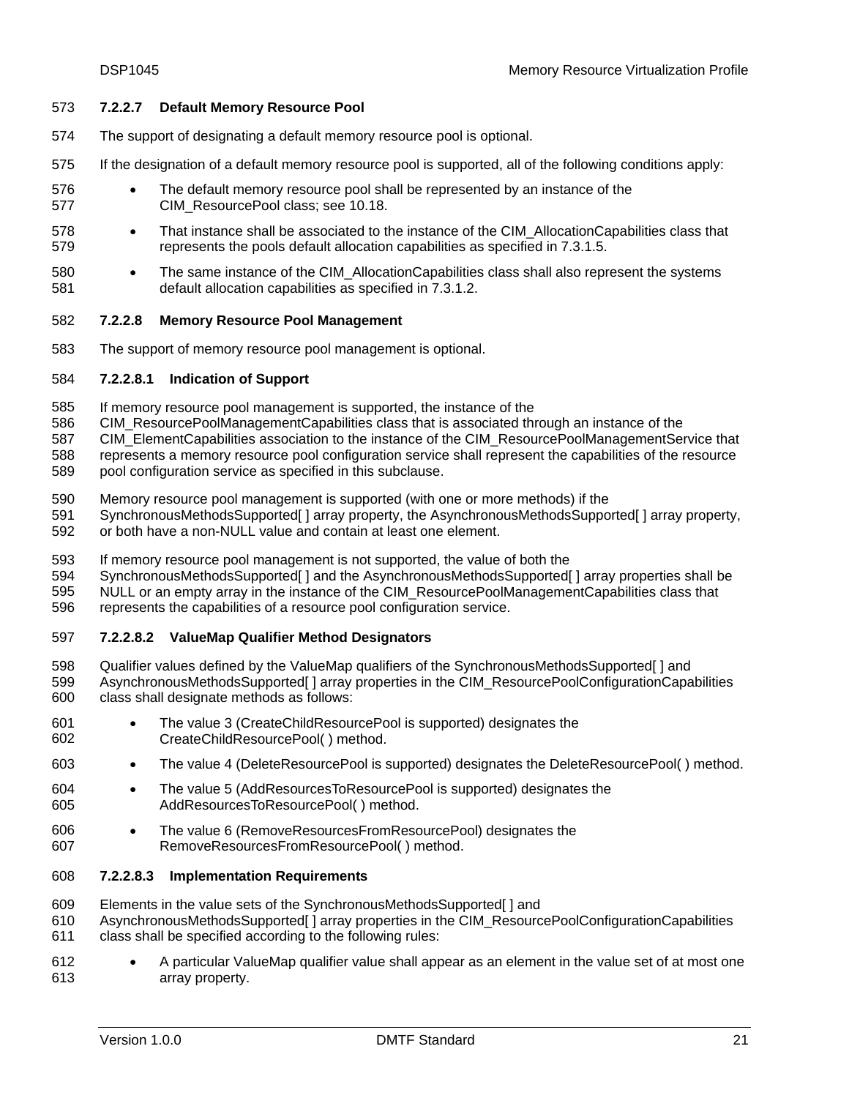#### 573 **7.2.2.7 Default Memory Resource Pool**

- 574 The support of designating a default memory resource pool is optional.
- 575 If the designation of a default memory resource pool is supported, all of the following conditions apply:
- 576 577 • The default memory resource pool shall be represented by an instance of the CIM\_ResourcePool class; see 10.1[8.](#page-48-1)
- 578 579 • That instance shall be associated to the instance of the CIM AllocationCapabilities class that represents the pools default allocation capabilities as specified in 7.3.1.[5.](#page-27-0)
- 580 581 • The same instance of the CIM AllocationCapabilities class shall also represent the systems default allocation capabilities as specified in 7.3.1.[2.](#page-26-0)

#### <span id="page-20-0"></span>582 **7.2.2.8 Memory Resource Pool Management**

583 The support of memory resource pool management is optional.

#### 584 **7.2.2.8.1 Indication of Support**

- 585 If memory resource pool management is supported, the instance of the
- 586 CIM\_ResourcePoolManagementCapabilities class that is associated through an instance of the

587 CIM\_ElementCapabilities association to the instance of the CIM\_ResourcePoolManagementService that

- 588 represents a memory resource pool configuration service shall represent the capabilities of the resource
- 589 pool configuration service as specified in this subclause.
- 590 Memory resource pool management is supported (with one or more methods) if the
- 591 SynchronousMethodsSupported[ ] array property, the AsynchronousMethodsSupported[ ] array property,
- 592 or both have a non-NULL value and contain at least one element.
- 593 If memory resource pool management is not supported, the value of both the
- 594 SynchronousMethodsSupported[ ] and the AsynchronousMethodsSupported[ ] array properties shall be
- 595 596 NULL or an empty array in the instance of the CIM ResourcePoolManagementCapabilities class that represents the capabilities of a resource pool configuration service.
- 597 **7.2.2.8.2 ValueMap Qualifier Method Designators**
- 598 599 600 Qualifier values defined by the ValueMap qualifiers of the SynchronousMethodsSupported[ ] and AsynchronousMethodsSupported[ ] array properties in the CIM\_ResourcePoolConfigurationCapabilities class shall designate methods as follows:
- 601 602 • The value 3 (CreateChildResourcePool is supported) designates the CreateChildResourcePool( ) method.
- 603 • The value 4 (DeleteResourcePool is supported) designates the DeleteResourcePool() method.
- 604 605 • The value 5 (AddResourcesToResourcePool is supported) designates the AddResourcesToResourcePool( ) method.
- 606 607 • The value 6 (RemoveResourcesFromResourcePool) designates the RemoveResourcesFromResourcePool( ) method.

#### 608 **7.2.2.8.3 Implementation Requirements**

- 609 Elements in the value sets of the SynchronousMethodsSupported[ ] and
- 610 AsynchronousMethodsSupported[ ] array properties in the CIM\_ResourcePoolConfigurationCapabilities
- 611 class shall be specified according to the following rules:
- 612 613 • A particular ValueMap qualifier value shall appear as an element in the value set of at most one array property.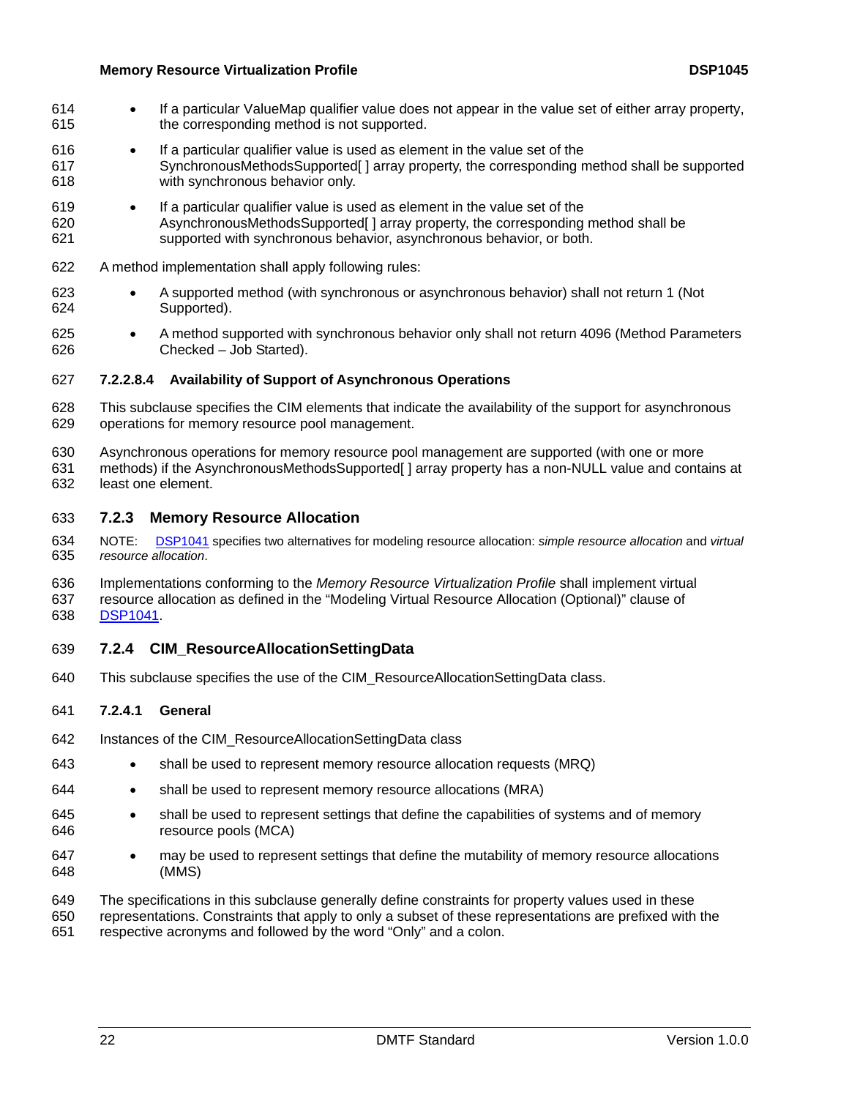- If a particular ValueMap qualifier value does not appear in the value set of either array property, the corresponding method is not supported. 614 615
- 616 617 618 • If a particular qualifier value is used as element in the value set of the SynchronousMethodsSupported[ ] array property, the corresponding method shall be supported with synchronous behavior only.
- 619 620 621 • If a particular qualifier value is used as element in the value set of the AsynchronousMethodsSupported[ ] array property, the corresponding method shall be supported with synchronous behavior, asynchronous behavior, or both.
- 622 A method implementation shall apply following rules:
- 623 624 • A supported method (with synchronous or asynchronous behavior) shall not return 1 (Not Supported).
- 625 626 • A method supported with synchronous behavior only shall not return 4096 (Method Parameters Checked – Job Started).

#### <span id="page-21-0"></span>627 **7.2.2.8.4 Availability of Support of Asynchronous Operations**

- 628 629 This subclause specifies the CIM elements that indicate the availability of the support for asynchronous operations for memory resource pool management.
- 630 Asynchronous operations for memory resource pool management are supported (with one or more
- 631 632 methods) if the AsynchronousMethodsSupported [ ] array property has a non-NULL value and contains at least one element.

#### 633 **7.2.3 Memory Resource Allocation**

- NOTE: [DSP1041](#page-6-0) specifies two alternatives for modeling resource allocation: *simple resource allocation* and *virtual resource allocation*. 634 635
- 636 637 Implementations conforming to the *Memory Resource Virtualization Profile* shall implement virtual resource allocation as defined in the "Modeling Virtual Resource Allocation (Optional)" clause of 638 [DSP1041.](#page-6-0)
- 639 **7.2.4 CIM\_ResourceAllocationSettingData**
- 640 This subclause specifies the use of the CIM\_ResourceAllocationSettingData class.

#### 641 **7.2.4.1 General**

- 642 Instances of the CIM\_ResourceAllocationSettingData class
- 643 • shall be used to represent memory resource allocation requests (MRQ)
- 644 • shall be used to represent memory resource allocations (MRA)
- 645 646 • shall be used to represent settings that define the capabilities of systems and of memory resource pools (MCA)
- 647 648 • may be used to represent settings that define the mutability of memory resource allocations (MMS)
- 649 650 The specifications in this subclause generally define constraints for property values used in these representations. Constraints that apply to only a subset of these representations are prefixed with the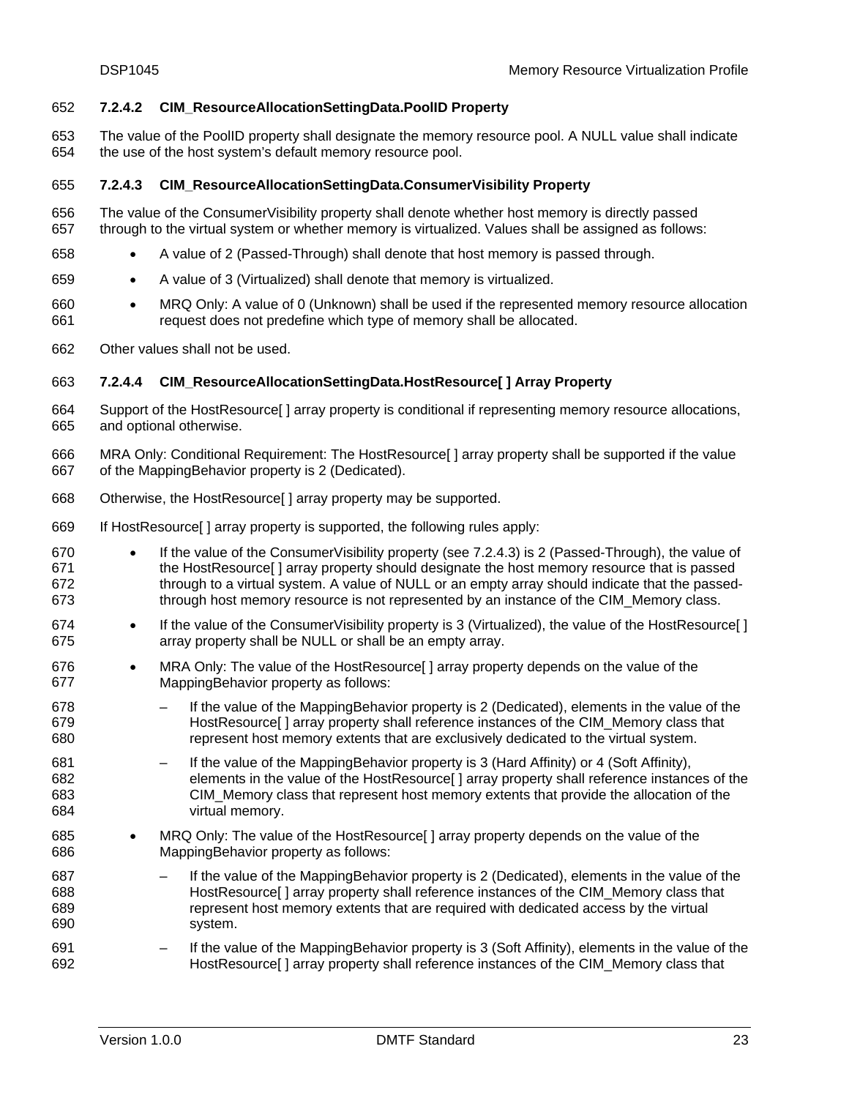#### <span id="page-22-1"></span>652 **7.2.4.2 CIM\_ResourceAllocationSettingData.PoolID Property**

The value of the PoolID property shall designate the memory resource pool. A NULL value shall indicate the use of the host system's default memory resource pool. 653 654

#### <span id="page-22-0"></span>655 **7.2.4.3 CIM\_ResourceAllocationSettingData.ConsumerVisibility Property**

- 656 657 The value of the ConsumerVisibility property shall denote whether host memory is directly passed through to the virtual system or whether memory is virtualized. Values shall be assigned as follows:
- 658 • A value of 2 (Passed-Through) shall denote that host memory is passed through.
- 659 • A value of 3 (Virtualized) shall denote that memory is virtualized.
- 660 661 • MRQ Only: A value of 0 (Unknown) shall be used if the represented memory resource allocation request does not predefine which type of memory shall be allocated.
- 662 Other values shall not be used.

# <span id="page-22-2"></span>663 **7.2.4.4 CIM\_ResourceAllocationSettingData.HostResource[ ] Array Property**

- 664 665 Support of the HostResource[ ] array property is conditional if representing memory resource allocations, and optional otherwise.
- 666 667 MRA Only: Conditional Requirement: The HostResource[] array property shall be supported if the value of the MappingBehavior property is 2 (Dedicated).
- 668 Otherwise, the HostResource[ ] array property may be supported.
- 669 If HostResource[ ] array property is supported, the following rules apply:
- 670 671 672 673 • If the value of the ConsumerVisibility property (see 7.2.4.[3\) is 2 \(Passed-Through\), the value of](#page-22-0)  [the HostResource\[ \] array property should designate the host memory resource that is passed](#page-22-0)  [through to a virtual system. A value of NULL or an empty array should indicate that the passed](#page-22-0)[through host memory resource is not represented by an instance of the CIM\\_Memory class.](#page-22-0)
- 674 675 • If the value of the Consumer Visibility property is 3 (Virtualized), the value of the HostResource [] array property shall be NULL or shall be an empty array.
- 676 677 • MRA Only: The value of the HostResource | array property depends on the value of the MappingBehavior property as follows:
- 678 679 680 – If the value of the MappingBehavior property is 2 (Dedicated), elements in the value of the HostResource[ ] array property shall reference instances of the CIM\_Memory class that represent host memory extents that are exclusively dedicated to the virtual system.
- 681 682 683 684 If the value of the MappingBehavior property is 3 (Hard Affinity) or 4 (Soft Affinity), elements in the value of the HostResource[ ] array property shall reference instances of the CIM\_Memory class that represent host memory extents that provide the allocation of the virtual memory.
- 685 686 • MRQ Only: The value of the HostResource [ ] array property depends on the value of the MappingBehavior property as follows:
- 687 688 689 690 If the value of the MappingBehavior property is 2 (Dedicated), elements in the value of the HostResource[ ] array property shall reference instances of the CIM\_Memory class that represent host memory extents that are required with dedicated access by the virtual system.
- 691 692 – If the value of the MappingBehavior property is 3 (Soft Affinity), elements in the value of the HostResource[ ] array property shall reference instances of the CIM\_Memory class that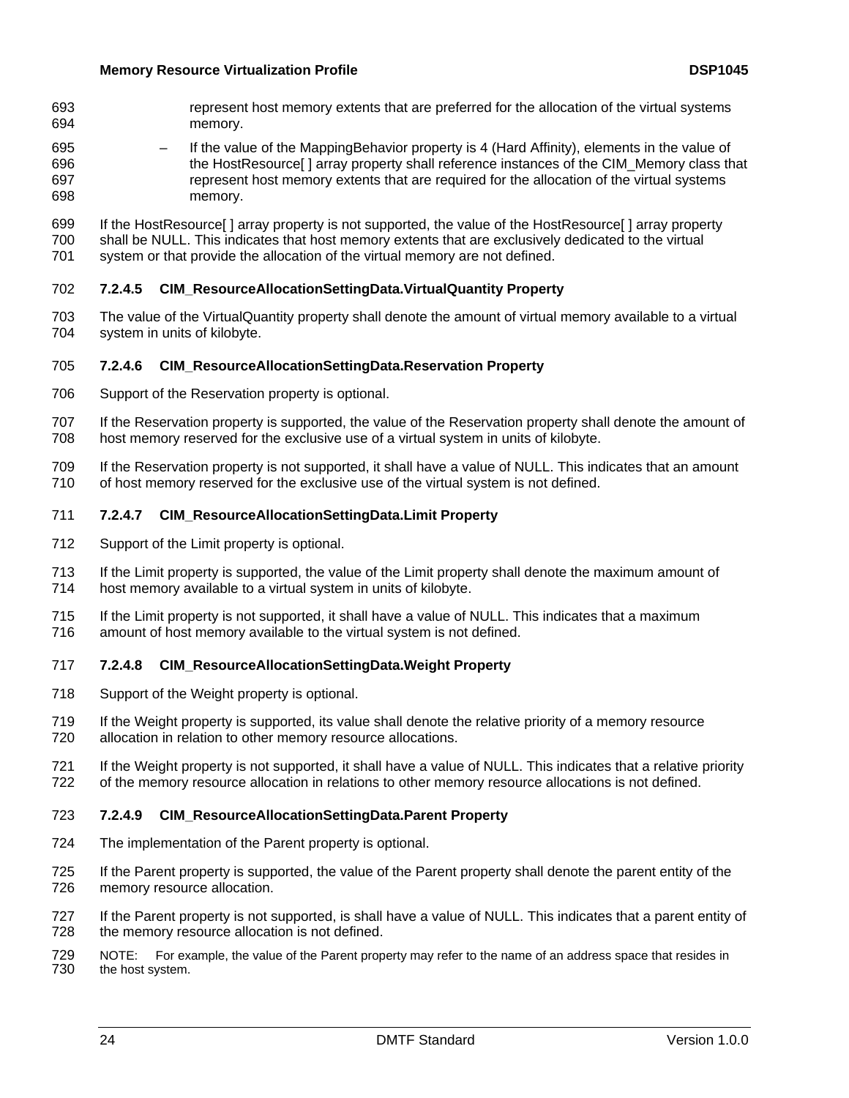- represent host memory extents that are preferred for the allocation of the virtual systems memory. 693 694
- 695 696 697 698 – If the value of the MappingBehavior property is 4 (Hard Affinity), elements in the value of the HostResource[ ] array property shall reference instances of the CIM\_Memory class that represent host memory extents that are required for the allocation of the virtual systems memory.

699 700 701 If the HostResource[] array property is not supported, the value of the HostResource[] array property shall be NULL. This indicates that host memory extents that are exclusively dedicated to the virtual system or that provide the allocation of the virtual memory are not defined.

- <span id="page-23-0"></span>702 **7.2.4.5 CIM\_ResourceAllocationSettingData.VirtualQuantity Property**
- 703 704 The value of the VirtualQuantity property shall denote the amount of virtual memory available to a virtual system in units of kilobyte.

## <span id="page-23-1"></span>705 **7.2.4.6 CIM\_ResourceAllocationSettingData.Reservation Property**

- 706 Support of the Reservation property is optional.
- 707 708 If the Reservation property is supported, the value of the Reservation property shall denote the amount of host memory reserved for the exclusive use of a virtual system in units of kilobyte.
- 709 710 If the Reservation property is not supported, it shall have a value of NULL. This indicates that an amount of host memory reserved for the exclusive use of the virtual system is not defined.

## <span id="page-23-2"></span>711 **7.2.4.7 CIM\_ResourceAllocationSettingData.Limit Property**

- 712 Support of the Limit property is optional.
- 713 714 If the Limit property is supported, the value of the Limit property shall denote the maximum amount of host memory available to a virtual system in units of kilobyte.
- 715 716 If the Limit property is not supported, it shall have a value of NULL. This indicates that a maximum amount of host memory available to the virtual system is not defined.

#### <span id="page-23-3"></span>717 **7.2.4.8 CIM\_ResourceAllocationSettingData.Weight Property**

- 718 Support of the Weight property is optional.
- 719 720 If the Weight property is supported, its value shall denote the relative priority of a memory resource allocation in relation to other memory resource allocations.
- 721 722 If the Weight property is not supported, it shall have a value of NULL. This indicates that a relative priority of the memory resource allocation in relations to other memory resource allocations is not defined.

#### <span id="page-23-4"></span>723 **7.2.4.9 CIM\_ResourceAllocationSettingData.Parent Property**

- 724 The implementation of the Parent property is optional.
- 725 726 If the Parent property is supported, the value of the Parent property shall denote the parent entity of the memory resource allocation.
- 727 728 If the Parent property is not supported, is shall have a value of NULL. This indicates that a parent entity of the memory resource allocation is not defined.
- 729 730 NOTE: For example, the value of the Parent property may refer to the name of an address space that resides in the host system.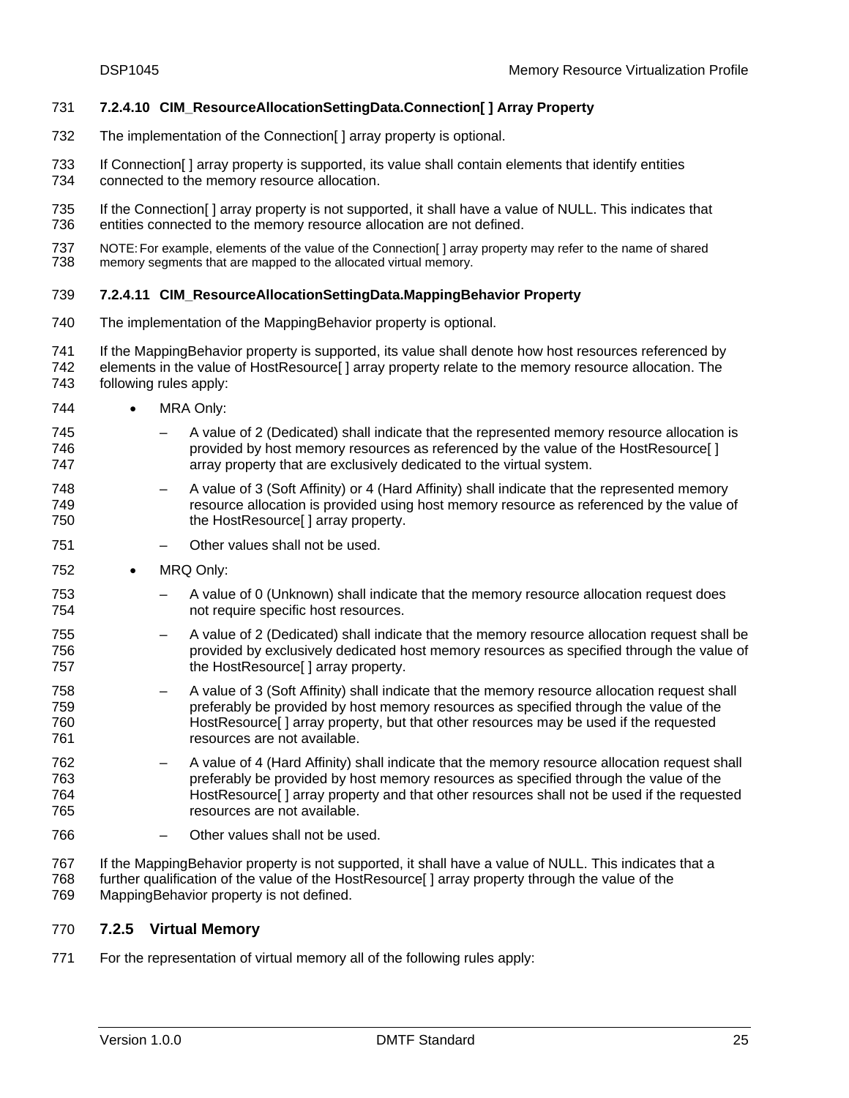#### <span id="page-24-1"></span>731 **7.2.4.10 CIM\_ResourceAllocationSettingData.Connection[ ] Array Property**

- 732 The implementation of the Connection[ ] array property is optional.
- 733 734 If Connection[ ] array property is supported, its value shall contain elements that identify entities connected to the memory resource allocation.
- 735 736 If the Connection [] array property is not supported, it shall have a value of NULL. This indicates that entities connected to the memory resource allocation are not defined.
- 737 738 NOTE: For example, elements of the value of the Connection[ ] array property may refer to the name of shared memory segments that are mapped to the allocated virtual memory.

#### <span id="page-24-2"></span>739 **7.2.4.11 CIM\_ResourceAllocationSettingData.MappingBehavior Property**

- 740 The implementation of the MappingBehavior property is optional.
- 741 742 743 If the MappingBehavior property is supported, its value shall denote how host resources referenced by elements in the value of HostResource[ ] array property relate to the memory resource allocation. The following rules apply:
- 744 • MRA Only:
- 745 746 747 – A value of 2 (Dedicated) shall indicate that the represented memory resource allocation is provided by host memory resources as referenced by the value of the HostResource[ ] array property that are exclusively dedicated to the virtual system.
- 748 749 750 – A value of 3 (Soft Affinity) or 4 (Hard Affinity) shall indicate that the represented memory resource allocation is provided using host memory resource as referenced by the value of the HostResource<sup>[]</sup> array property.
- 751 – Other values shall not be used.
- 752 • MRQ Only:
- 753 754 – A value of 0 (Unknown) shall indicate that the memory resource allocation request does not require specific host resources.
- 755 756 757 – A value of 2 (Dedicated) shall indicate that the memory resource allocation request shall be provided by exclusively dedicated host memory resources as specified through the value of the HostResource[ ] array property.
- 758 759 760 761 – A value of 3 (Soft Affinity) shall indicate that the memory resource allocation request shall preferably be provided by host memory resources as specified through the value of the HostResource[ ] array property, but that other resources may be used if the requested resources are not available.
- 762 763 764 765 – A value of 4 (Hard Affinity) shall indicate that the memory resource allocation request shall preferably be provided by host memory resources as specified through the value of the HostResource[ ] array property and that other resources shall not be used if the requested resources are not available.
- 766 – Other values shall not be used.
- 767 768 769 If the MappingBehavior property is not supported, it shall have a value of NULL. This indicates that a further qualification of the value of the HostResource [] array property through the value of the MappingBehavior property is not defined.

#### <span id="page-24-0"></span>770 **7.2.5 Virtual Memory**

771 For the representation of virtual memory all of the following rules apply: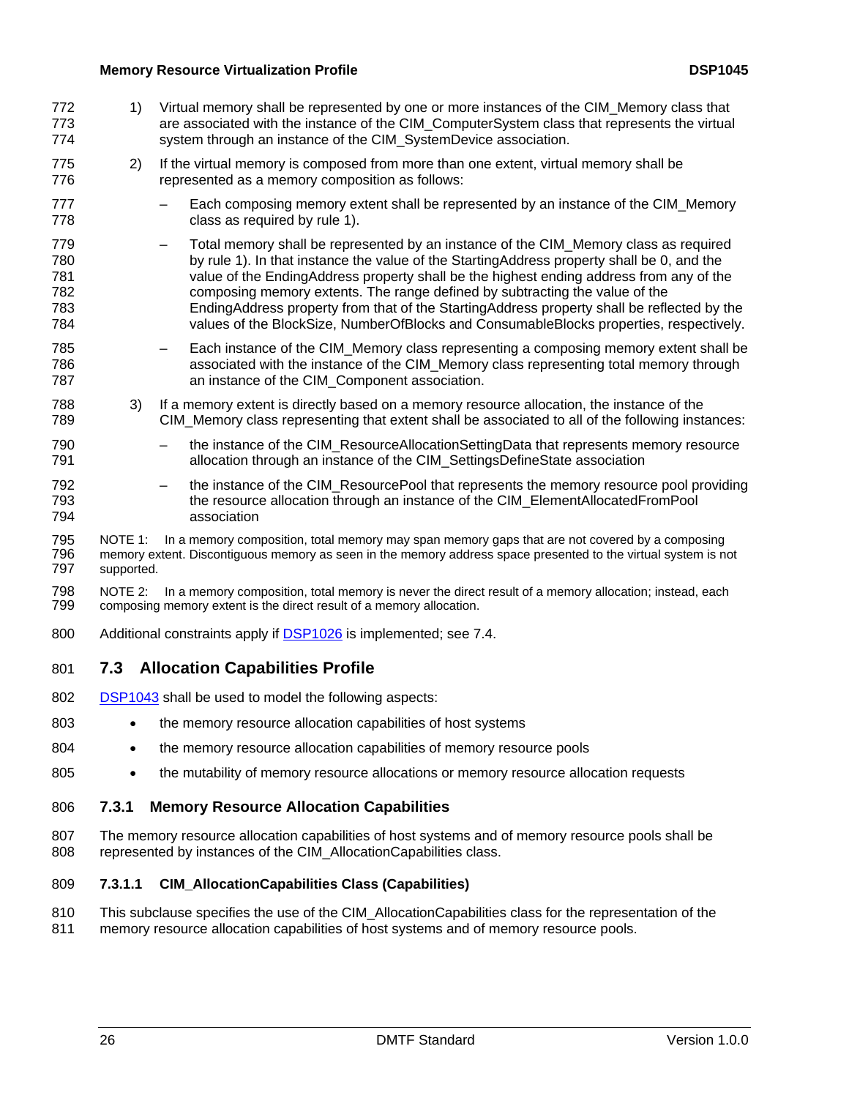- <span id="page-25-2"></span><span id="page-25-0"></span>1) Virtual memory shall be represented by one or more instances of the CIM\_Memory class that are associated with the instance of the CIM\_ComputerSystem class that represents the virtual system through an instance of the CIM\_SystemDevice association. 772 773 774
- 775 776 2) If the virtual memory is composed from more than one extent, virtual memory shall be represented as a memory composition as follows:
- 777 778 – Each composing memory extent shall be represented by an instance of the CIM\_Memory class as required by rule 1)[.](#page-18-2)
- 779 780 781 782 783 784 – Total memory shall be represented by an instance of the CIM\_Memory class as required by rule 1[\). In that instance the value of the StartingAddress property shall be 0, and the](#page-25-2)  [value of the EndingAddress property shall be the highest ending address from any of the](#page-25-2)  [composing memory extents. The range defined by subtracting the value of the](#page-25-2)  [EndingAddress property from that of the StartingAddress property shall be reflected by the](#page-25-2)  [values of the BlockSize, NumberOfBlocks and ConsumableBlocks properties, respectively.](#page-25-2)
- 785 786 787 – Each instance of the CIM\_Memory class representing a composing memory extent shall be associated with the instance of the CIM\_Memory class representing total memory through an instance of the CIM\_Component association.
- 788 789 3) If a memory extent is directly based on a memory resource allocation, the instance of the CIM\_Memory class representing that extent shall be associated to all of the following instances:
- 790 791 the instance of the CIM\_ResourceAllocationSettingData that represents memory resource allocation through an instance of the CIM\_SettingsDefineState association
- 792 793 794 the instance of the CIM\_ResourcePool that represents the memory resource pool providing the resource allocation through an instance of the CIM\_ElementAllocatedFromPool association
- 795 796 797 NOTE 1: In a memory composition, total memory may span memory gaps that are not covered by a composing memory extent. Discontiguous memory as seen in the memory address space presented to the virtual system is not supported.
- 798 799 NOTE 2: In a memory composition, total memory is never the direct result of a memory allocation; instead, each composing memory extent is the direct result of a memory allocation.
- 800 Additional constraints apply if **DSP1026** is implemented; see 7.4.

# <span id="page-25-1"></span>801 **7.3 Allocation Capabilities Profile**

- 802 [DSP1043](#page-6-0) shall be used to model the following aspects:
- 803 • the memory resource allocation capabilities of host systems
- 804 • the memory resource allocation capabilities of memory resource pools
- 805 • the mutability of memory resource allocations or memory resource allocation requests

# 806 **7.3.1 Memory Resource Allocation Capabilities**

807 808 The memory resource allocation capabilities of host systems and of memory resource pools shall be represented by instances of the CIM\_AllocationCapabilities class.

# <span id="page-25-3"></span>809 **7.3.1.1 CIM\_AllocationCapabilities Class (Capabilities)**

- 810 This subclause specifies the use of the CIM\_AllocationCapabilities class for the representation of the
- 811 memory resource allocation capabilities of host systems and of memory resource pools.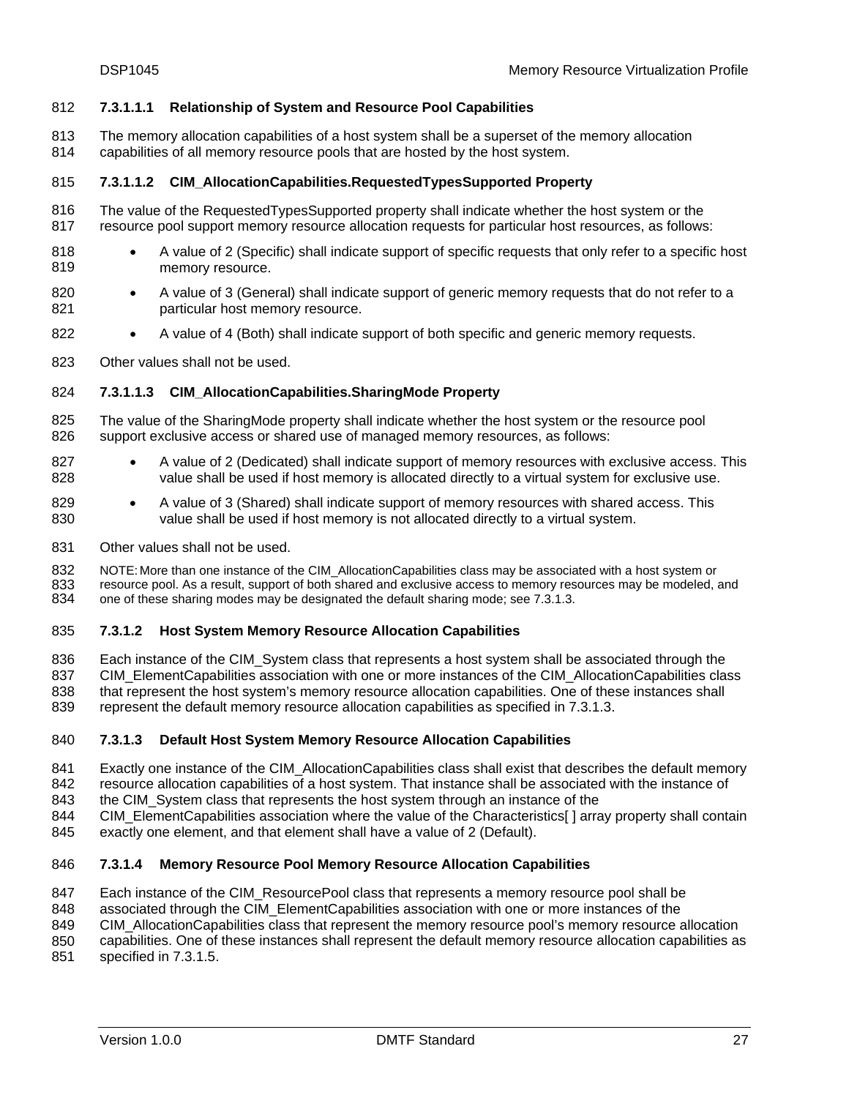#### 812 **7.3.1.1.1 Relationship of System and Resource Pool Capabilities**

- The memory allocation capabilities of a host system shall be a superset of the memory allocation 813
- capabilities of all memory resource pools that are hosted by the host system. 814

#### <span id="page-26-2"></span>815 **7.3.1.1.2 CIM\_AllocationCapabilities.RequestedTypesSupported Property**

- 816 817 The value of the RequestedTypesSupported property shall indicate whether the host system or the resource pool support memory resource allocation requests for particular host resources, as follows:
- 818 819 • A value of 2 (Specific) shall indicate support of specific requests that only refer to a specific host memory resource.
- 820 821 • A value of 3 (General) shall indicate support of generic memory requests that do not refer to a particular host memory resource.
- 822 • A value of 4 (Both) shall indicate support of both specific and generic memory requests.
- 823 Other values shall not be used.

#### <span id="page-26-3"></span>824 **7.3.1.1.3 CIM\_AllocationCapabilities.SharingMode Property**

- 825 826 The value of the SharingMode property shall indicate whether the host system or the resource pool support exclusive access or shared use of managed memory resources, as follows:
- 827 828 • A value of 2 (Dedicated) shall indicate support of memory resources with exclusive access. This value shall be used if host memory is allocated directly to a virtual system for exclusive use.
- 829 830 • A value of 3 (Shared) shall indicate support of memory resources with shared access. This value shall be used if host memory is not allocated directly to a virtual system.
- 831 Other values shall not be used.

832 833 834 NOTE: More than one instance of the CIM\_AllocationCapabilities class may be associated with a host system or resource pool. As a result, support of both shared and exclusive access to memory resources may be modeled, and one of these sharing modes may be designated the default sharing mode; see 7.3.1.3[.](#page-26-1) 

#### <span id="page-26-0"></span>835 **7.3.1.2 Host System Memory Resource Allocation Capabilities**

836 837 838 839 Each instance of the CIM\_System class that represents a host system shall be associated through the CIM\_ElementCapabilities association with one or more instances of the CIM\_AllocationCapabilities class that represent the host system's memory resource allocation capabilities. One of these instances shall represent the default memory resource allocation capabilities as specified in 7.3.1.[3.](#page-26-1) 

#### <span id="page-26-1"></span>840 **7.3.1.3 Default Host System Memory Resource Allocation Capabilities**

- 841 842 Exactly one instance of the CIM\_AllocationCapabilities class shall exist that describes the default memory resource allocation capabilities of a host system. That instance shall be associated with the instance of
- 843 the CIM\_System class that represents the host system through an instance of the
- 844 845 CIM\_ElementCapabilities association where the value of the Characteristics[ ] array property shall contain exactly one element, and that element shall have a value of 2 (Default).
- 

#### <span id="page-26-4"></span>846 **7.3.1.4 Memory Resource Pool Memory Resource Allocation Capabilities**

- 847 Each instance of the CIM\_ResourcePool class that represents a memory resource pool shall be
- 848 associated through the CIM\_ElementCapabilities association with one or more instances of the
- 849 CIM\_AllocationCapabilities class that represent the memory resource pool's memory resource allocation
- 850 capabilities. One of these instances shall represent the default memory resource allocation capabilities as
- 851 specified in 7.3.1.[5.](#page-27-0)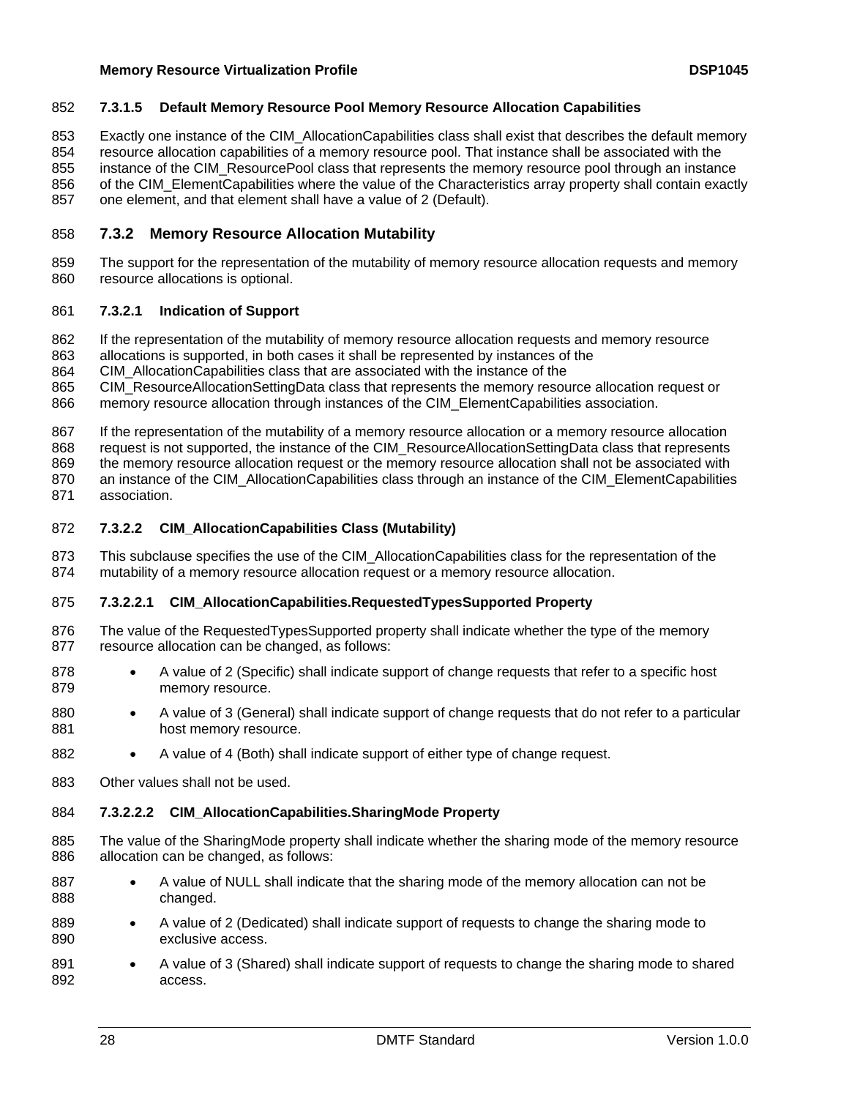#### <span id="page-27-0"></span>852 **7.3.1.5 Default Memory Resource Pool Memory Resource Allocation Capabilities**

Exactly one instance of the CIM\_AllocationCapabilities class shall exist that describes the default memory 853

resource allocation capabilities of a memory resource pool. That instance shall be associated with the 854

instance of the CIM ResourcePool class that represents the memory resource pool through an instance 855

of the CIM\_ElementCapabilities where the value of the Characteristics array property shall contain exactly one element, and that element shall have a value of 2 (Default). 856 857

#### 858 **7.3.2 Memory Resource Allocation Mutability**

859 860 The support for the representation of the mutability of memory resource allocation requests and memory resource allocations is optional.

#### 861 **7.3.2.1 Indication of Support**

- 862 If the representation of the mutability of memory resource allocation requests and memory resource
- 863 allocations is supported, in both cases it shall be represented by instances of the

864 CIM\_AllocationCapabilities class that are associated with the instance of the

865 CIM\_ResourceAllocationSettingData class that represents the memory resource allocation request or

866 memory resource allocation through instances of the CIM\_ElementCapabilities association.

867 If the representation of the mutability of a memory resource allocation or a memory resource allocation

868 request is not supported, the instance of the CIM\_ResourceAllocationSettingData class that represents

869 870 the memory resource allocation request or the memory resource allocation shall not be associated with an instance of the CIM\_AllocationCapabilities class through an instance of the CIM\_ElementCapabilities

871 association.

#### <span id="page-27-1"></span>872 **7.3.2.2 CIM\_AllocationCapabilities Class (Mutability)**

873 874 This subclause specifies the use of the CIM\_AllocationCapabilities class for the representation of the mutability of a memory resource allocation request or a memory resource allocation.

#### <span id="page-27-2"></span>875 **7.3.2.2.1 CIM\_AllocationCapabilities.RequestedTypesSupported Property**

- 876 877 The value of the RequestedTypesSupported property shall indicate whether the type of the memory resource allocation can be changed, as follows:
- 878 879 • A value of 2 (Specific) shall indicate support of change requests that refer to a specific host memory resource.
- 880 881 • A value of 3 (General) shall indicate support of change requests that do not refer to a particular host memory resource.
- 882 • A value of 4 (Both) shall indicate support of either type of change request.
- 883 Other values shall not be used.

#### <span id="page-27-3"></span>884 **7.3.2.2.2 CIM\_AllocationCapabilities.SharingMode Property**

- 885 886 The value of the SharingMode property shall indicate whether the sharing mode of the memory resource allocation can be changed, as follows:
- 887 888 • A value of NULL shall indicate that the sharing mode of the memory allocation can not be changed.
- 889 890 • A value of 2 (Dedicated) shall indicate support of requests to change the sharing mode to exclusive access.
- 891 892 • A value of 3 (Shared) shall indicate support of requests to change the sharing mode to shared access.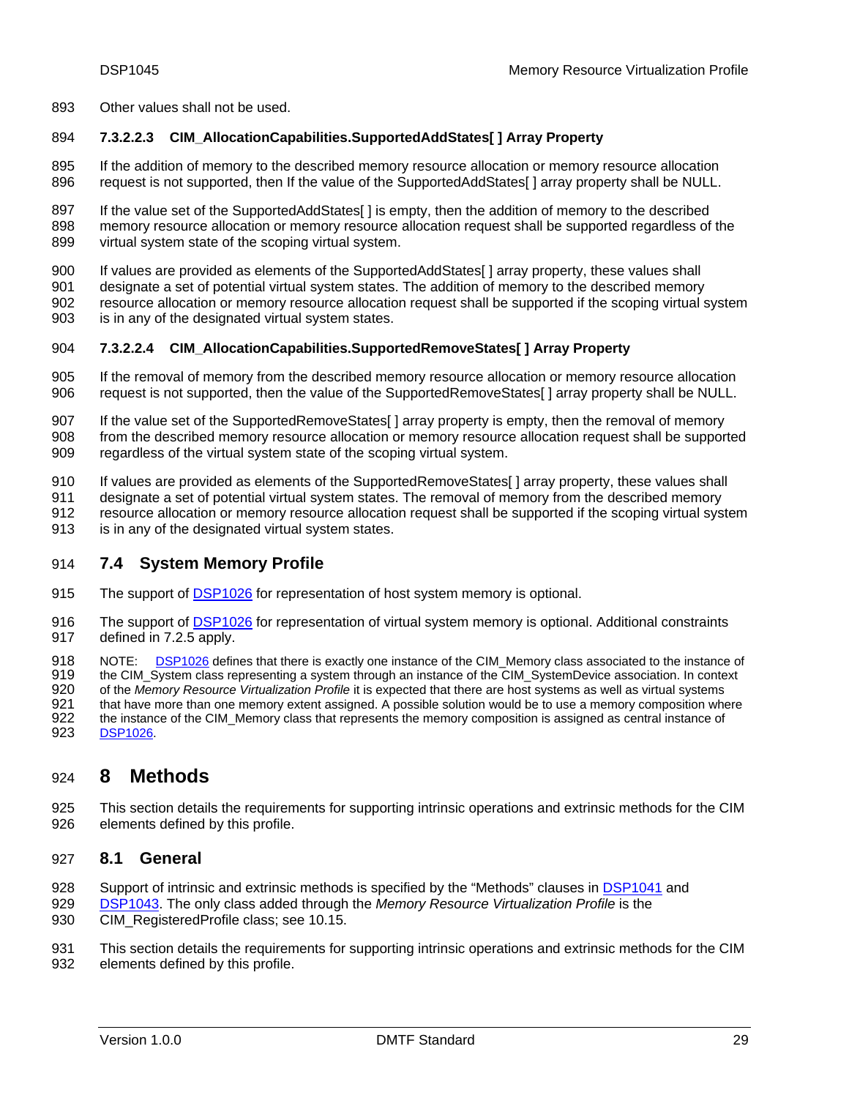<span id="page-28-0"></span>893 Other values shall not be used.

#### <span id="page-28-3"></span>894 **7.3.2.2.3 CIM\_AllocationCapabilities.SupportedAddStates[ ] Array Property**

895 896 If the addition of memory to the described memory resource allocation or memory resource allocation request is not supported, then If the value of the SupportedAddStates[ ] array property shall be NULL.

897 898 899 If the value set of the SupportedAddStates[ ] is empty, then the addition of memory to the described memory resource allocation or memory resource allocation request shall be supported regardless of the virtual system state of the scoping virtual system.

- 900 If values are provided as elements of the SupportedAddStates[ ] array property, these values shall
- 901 902 903 designate a set of potential virtual system states. The addition of memory to the described memory resource allocation or memory resource allocation request shall be supported if the scoping virtual system is in any of the designated virtual system states.

#### <span id="page-28-4"></span>904 **7.3.2.2.4 CIM\_AllocationCapabilities.SupportedRemoveStates[ ] Array Property**

- 905 906 If the removal of memory from the described memory resource allocation or memory resource allocation request is not supported, then the value of the SupportedRemoveStates[ ] array property shall be NULL.
- 907 If the value set of the SupportedRemoveStates[] array property is empty, then the removal of memory
- 908 909 from the described memory resource allocation or memory resource allocation request shall be supported regardless of the virtual system state of the scoping virtual system.
- 910 If values are provided as elements of the SupportedRemoveStates[ ] array property, these values shall
- 911 designate a set of potential virtual system states. The removal of memory from the described memory
- 912 resource allocation or memory resource allocation request shall be supported if the scoping virtual system
- 913 is in any of the designated virtual system states.

#### <span id="page-28-1"></span>914 **7.4 System Memory Profile**

- 915 The support of [DSP1026](#page-6-0) for representation of host system memory is optional.
- The support of [DSP1026](#page-6-0) for representation of virtual system memory is optional. Additional constraints 917 defined in 7.2.5 apply. 916

NOTE: [DSP1026](#page-6-0) defines that there is exactly one instance of the CIM\_Memory class associated to the instance of 918

- the CIM\_System class representing a system through an instance of the CIM\_SystemDevice association. In context 919
- of the *Memory Resource Virtualization Profile* it is expected that there are host systems as well as virtual systems 920
- that have more than one memory extent assigned. A possible solution would be to use a memory composition where the instance of the CIM\_Memory class that represents the memory composition is assigned as central instance of 921
- 922<br>923 [DSP1026](#page-6-0).

# <span id="page-28-2"></span>924 **8 Methods**

925 926 This section details the requirements for supporting intrinsic operations and extrinsic methods for the CIM elements defined by this profile.

#### 927 **8.1 General**

- 928 Support of intrinsic and extrinsic methods is specified by the "Methods" clauses in [DSP1041](#page-6-0) and
- [DSP1043.](#page-6-0) The only class added through the *Memory Resource Virtualization Profile* is the 929
- CIM\_RegisteredProfile class; see [10.15.](#page-47-1) 930
- 931 932 This section details the requirements for supporting intrinsic operations and extrinsic methods for the CIM elements defined by this profile.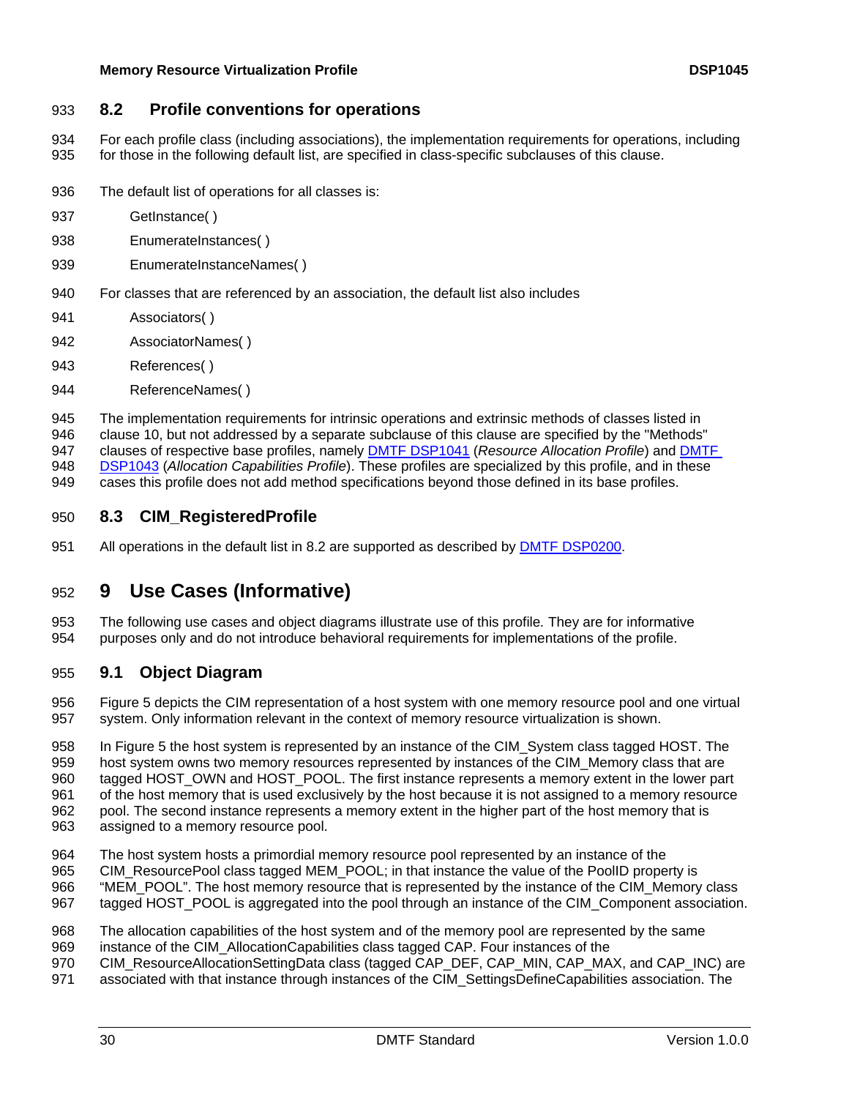# <span id="page-29-1"></span><span id="page-29-0"></span>933 **8.2 Profile conventions for operations**

For each profile class (including associations), the implementation requirements for operations, including for those in the following default list, are specified in class-specific subclauses of this clause. 934 935

- 936 The default list of operations for all classes is:
- 937 GetInstance( )
- 938 EnumerateInstances( )
- 939 EnumerateInstanceNames()
- 940 For classes that are referenced by an association, the default list also includes
- 941 Associators( )
- 942 AssociatorNames( )
- 943 References( )
- 944 ReferenceNames( )

945 946 The implementation requirements for intrinsic operations and extrinsic methods of classes listed in clause [10,](#page-38-1) but not addressed by a separate subclause of this clause are specified by the "Methods" 947 clauses of respective base profiles, namely [DMTF DSP1041](#page-6-0) (*Resource Allocation Profile*) and [DMTF](#page-6-0)  [DSP1043](#page-6-0) (*Allocation Capabilities Profile*). These profiles are specialized by this profile, and in these 948

cases this profile does not add method specifications beyond those defined in its base profiles. 949

# 950 **8.3 CIM\_RegisteredProfile**

951 All operations in the default list in [8.2](#page-29-1) are supported as described by [DMTF DSP0200](#page-6-0).

# 952 **9 Use Cases (Informative)**

953 954 The following use cases and object diagrams illustrate use of this profile*.* They are for informative purposes only and do not introduce behavioral requirements for implementations of the profile.

# 955 **9.1 Object Diagram**

956 957 Figure 5 [depicts the CIM representation of a host system with one memory resource pool and one virtual](#page-31-1)  [system. Only information relevant in the context of memory resource virtualization is shown.](#page-31-1) 

958 959 960 961 962 963 In Figure 5 the host system is represented by an instance of the CIM System class tagged HOST. The [host system owns two memory resources represented by instances of the CIM\\_Memory class that are](#page-31-1)  [tagged HOST\\_OWN and HOST\\_POOL. The first instance represents a memory extent in the lower part](#page-31-1)  [of the host memory that is used exclusively by the host because it is not assigned to a memory resource](#page-31-1)  [pool. The second instance represents a memory extent in the higher part of the host memory that is](#page-31-1)  [assigned to a memory resource pool.](#page-31-1) 

- 964 The host system hosts a primordial memory resource pool represented by an instance of the
- 965 CIM\_ResourcePool class tagged MEM\_POOL; in that instance the value of the PoolID property is
- 966 "MEM\_POOL". The host memory resource that is represented by the instance of the CIM\_Memory class
- 967 tagged HOST POOL is aggregated into the pool through an instance of the CIM Component association.
- 968 The allocation capabilities of the host system and of the memory pool are represented by the same
- 969 instance of the CIM\_AllocationCapabilities class tagged CAP. Four instances of the
- 970 CIM\_ResourceAllocationSettingData class (tagged CAP\_DEF, CAP\_MIN, CAP\_MAX, and CAP\_INC) are
- 971 associated with that instance through instances of the CIM\_SettingsDefineCapabilities association. The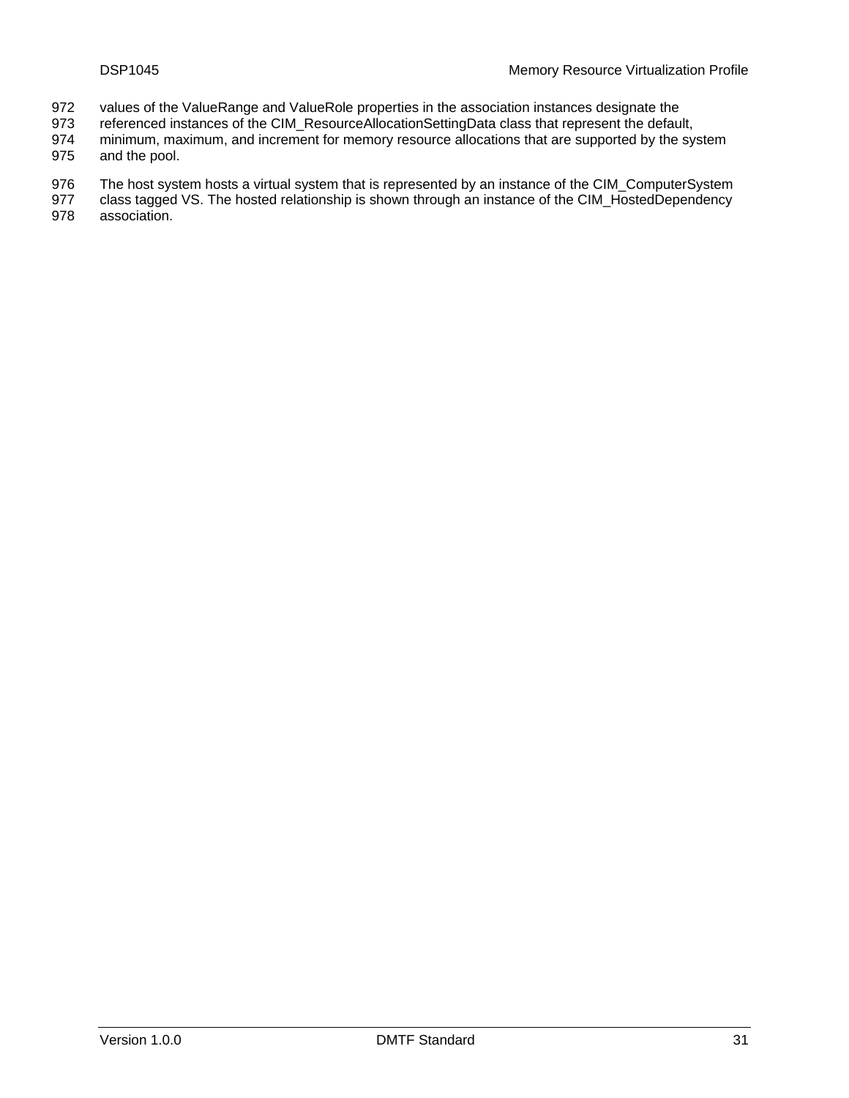- values of the ValueRange and ValueRole properties in the association instances designate the 972
- referenced instances of the CIM\_ResourceAllocationSettingData class that represent the default, 973
- minimum, maximum, and increment for memory resource allocations that are supported by the system 974
- and the pool. 975
- 976 The host system hosts a virtual system that is represented by an instance of the CIM\_ComputerSystem class tagged VS. The hosted relationship is shown through an instance of the CIM\_HostedDependency
- 977 978 association.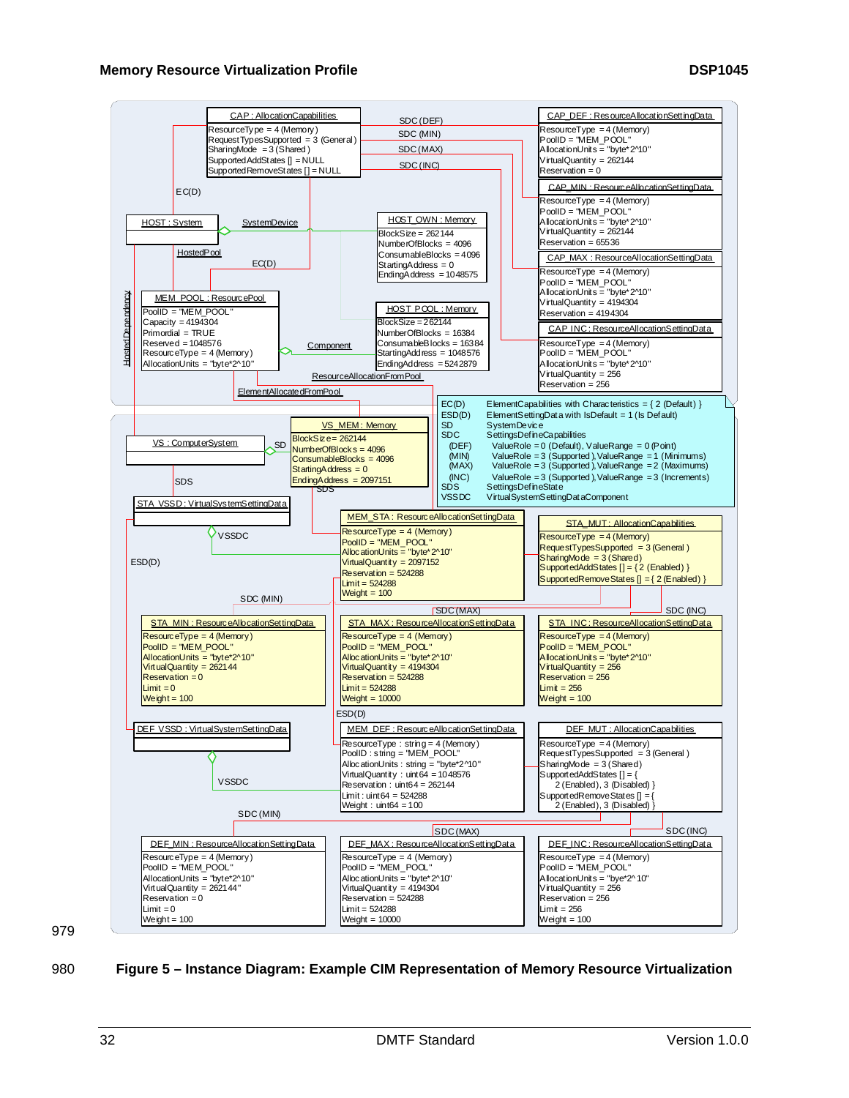<span id="page-31-0"></span>

979

#### <span id="page-31-1"></span>980 **Figure 5 – Instance Diagram: Example CIM Representation of Memory Resource Virtualization**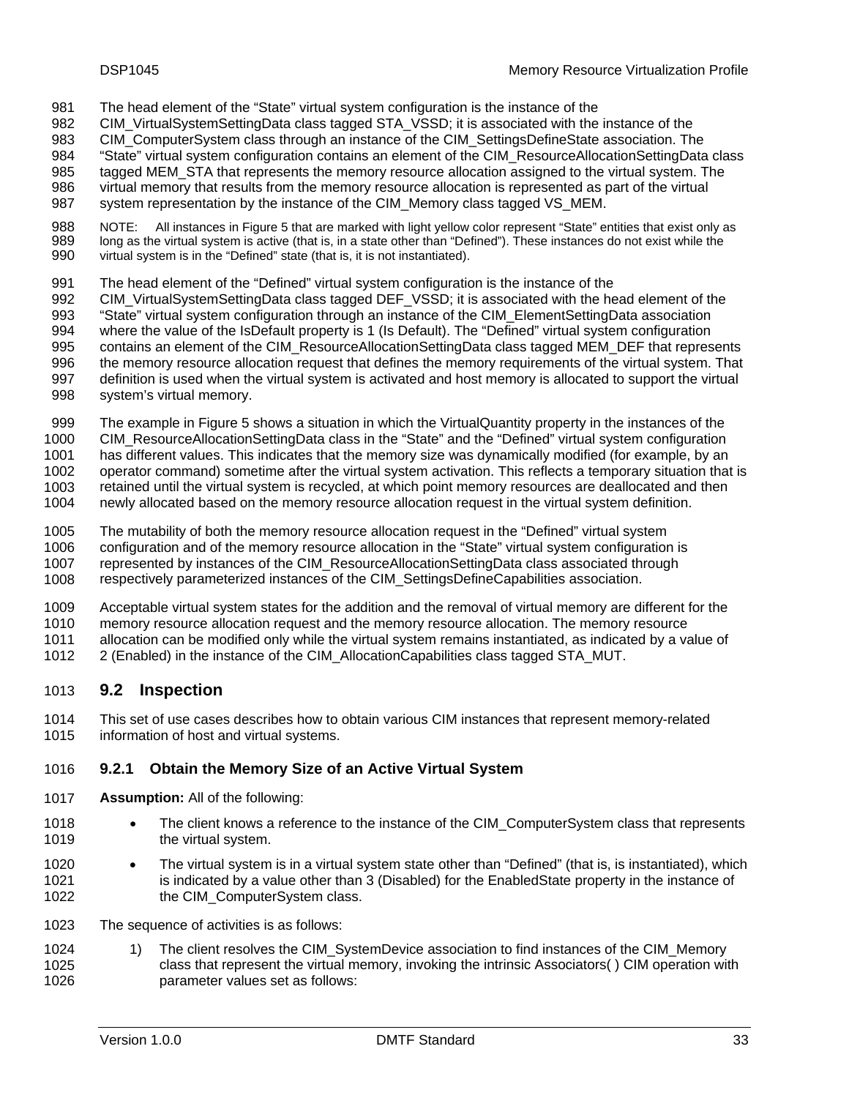- <span id="page-32-0"></span>The head element of the "State" virtual system configuration is the instance of the 981
- CIM\_VirtualSystemSettingData class tagged STA\_VSSD; it is associated with the instance of the 982
- CIM\_ComputerSystem class through an instance of the CIM\_SettingsDefineState association. The 983
- "State" virtual system configuration contains an element of the CIM\_ResourceAllocationSettingData class 984
- tagged MEM\_STA that represents the memory resource allocation assigned to the virtual system. The 985
- virtual memory that results from the memory resource allocation is represented as part of the virtual 986
- system representation by the instance of the CIM\_Memory class tagged VS\_MEM. 987
- 988 989 990 NOTE: All instances in Figure 5 [that are marked with light yellow color represent "State" entities that exist only as](#page-31-1)  [long as the virtual system is active \(that is, in a state other than "Defined"\). These instances do not exist while the](#page-31-1)  [virtual system is in the "Defined" state \(that is, it is not instantiated\).](#page-31-1)
- 991 The head element of the "Defined" virtual system configuration is the instance of the
- 992 993 994 995 CIM\_VirtualSystemSettingData class tagged DEF\_VSSD; it is associated with the head element of the "State" virtual system configuration through an instance of the CIM\_ElementSettingData association where the value of the IsDefault property is 1 (Is Default). The "Defined" virtual system configuration contains an element of the CIM\_ResourceAllocationSettingData class tagged MEM\_DEF that represents
- 996 the memory resource allocation request that defines the memory requirements of the virtual system. That
- 997 definition is used when the virtual system is activated and host memory is allocated to support the virtual
- 998 system's virtual memory.
- 999 The example in Figure 5 [shows a situation in which the VirtualQuantity property in the instances of the](#page-31-1)
- 1000 [CIM\\_ResourceAllocationSettingData class in the "State" and the "Defined" virtual system configuration](#page-31-1)
- 1001 [has different values. This indicates that the memory size was dynamically modified \(for example, by an](#page-31-1)
- 1002 1003 [operator command\) sometime after the virtual system activation. This reflects a temporary situation that is](#page-31-1)  [retained until the virtual system is recycled, at which point memory resources are deallocated and then](#page-31-1)
- 1004 [newly allocated based on the memory resource allocation request in the virtual system definition.](#page-31-1)
- 1005 The mutability of both the memory resource allocation request in the "Defined" virtual system
- 1006 configuration and of the memory resource allocation in the "State" virtual system configuration is
- 1007 represented by instances of the CIM\_ResourceAllocationSettingData class associated through
- 1008 respectively parameterized instances of the CIM\_SettingsDefineCapabilities association.
- 1009 Acceptable virtual system states for the addition and the removal of virtual memory are different for the
- 1010 memory resource allocation request and the memory resource allocation. The memory resource
- 1011 allocation can be modified only while the virtual system remains instantiated, as indicated by a value of
- 1012 2 (Enabled) in the instance of the CIM\_AllocationCapabilities class tagged STA\_MUT.

# 1013 **9.2 Inspection**

1014 1015 This set of use cases describes how to obtain various CIM instances that represent memory-related information of host and virtual systems.

# 1016 **9.2.1 Obtain the Memory Size of an Active Virtual System**

- 1017 **Assumption:** All of the following:
- 1018 1019 • The client knows a reference to the instance of the CIM ComputerSystem class that represents the virtual system.
- 1020 1021 1022 • The virtual system is in a virtual system state other than "Defined" (that is, is instantiated), which is indicated by a value other than 3 (Disabled) for the EnabledState property in the instance of the CIM\_ComputerSystem class.
- 1023 The sequence of activities is as follows:
- <span id="page-32-1"></span>1024 1025 1026 1) The client resolves the CIM\_SystemDevice association to find instances of the CIM\_Memory class that represent the virtual memory, invoking the intrinsic Associators( ) CIM operation with parameter values set as follows: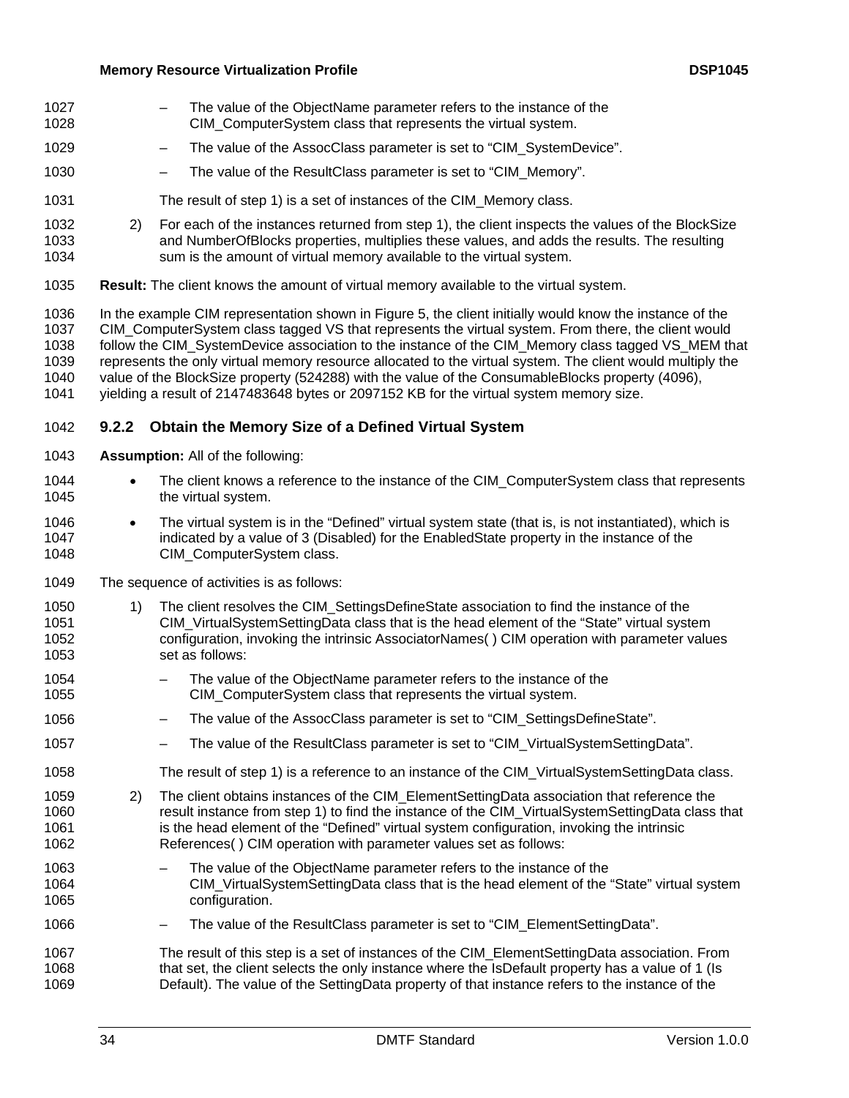- The value of the ObjectName parameter refers to the instance of the CIM\_ComputerSystem class that represents the virtual system. 1027 1028
- 1029 The value of the AssocClass parameter is set to "CIM\_SystemDevice".
- 1030 – The value of the ResultClass parameter is set to "CIM\_Memory".
- 1031 The result of step 1[\) is a set of instances of the CIM\\_Memory class.](#page-32-1)
- 1032 1033 1034 2) For each of the instances returned from step 1)[, the client inspects the values of the BlockSize](#page-32-1)  [and NumberOfBlocks properties, multiplies these values, and adds the results. The resulting](#page-32-1)  [sum is the amount of virtual memory available to the virtual system.](#page-32-1)
- 1035 **Result:** The client knows the amount of virtual memory available to the virtual system.

1036 1037 1038 1039 1040 1041 In the example CIM representation shown in Figure [5, the client initially would know the instance of the](#page-31-1)  [CIM\\_ComputerSystem class tagged VS that represents the virtual system. From there, the client would](#page-31-1)  follow the CIM\_SystemDevice association to the instance of the CIM\_Memory class tagged VS\_MEM that [represents the only virtual memory resource allocated to the virtual system. The client would multiply the](#page-31-1)  [value of the BlockSize property \(524288\) with the value of the ConsumableBlocks property \(4096\),](#page-31-1)  [yielding a result of 2147483648 bytes or 2097152 KB for the virtual system memory size.](#page-31-1) 

# 1042 **9.2.2 Obtain the Memory Size of a Defined Virtual System**

- 1043 **Assumption:** All of the following:
- 1044 1045 • The client knows a reference to the instance of the CIM\_ComputerSystem class that represents the virtual system.
- 1046 1047 1048 • The virtual system is in the "Defined" virtual system state (that is, is not instantiated), which is indicated by a value of 3 (Disabled) for the EnabledState property in the instance of the CIM\_ComputerSystem class.
- 1049 The sequence of activities is as follows:
- <span id="page-33-0"></span>1050 1051 1052 1053 1) The client resolves the CIM\_SettingsDefineState association to find the instance of the CIM\_VirtualSystemSettingData class that is the head element of the "State" virtual system configuration, invoking the intrinsic AssociatorNames( ) CIM operation with parameter values set as follows:
- 1054 1055 The value of the ObjectName parameter refers to the instance of the CIM\_ComputerSystem class that represents the virtual system.
- 1056 The value of the AssocClass parameter is set to "CIM\_SettingsDefineState".
- 1057 – The value of the ResultClass parameter is set to "CIM\_VirtualSystemSettingData".
- 1058 The result of step 1[\) is a reference to an instance of the CIM\\_VirtualSystemSettingData class.](#page-33-0)
- 1059 1060 1061 1062 2) The client obtains instances of the CIM\_ElementSettingData association that reference the result instance from step 1) [to find the instance of the CIM\\_VirtualSystemSettingData class that](#page-33-0)  [is the head element of the "Defined" virtual system configuration, invoking the intrinsic](#page-33-0)  [References\( \) CIM operation with parameter values set as follows:](#page-33-0)
- 1063 1064 1065 The value of the ObjectName parameter refers to the instance of the CIM\_VirtualSystemSettingData class that is the head element of the "State" virtual system configuration.
- 1066 – The value of the ResultClass parameter is set to "CIM\_ElementSettingData".

<sup>1067</sup>  1068 1069 The result of this step is a set of instances of the CIM\_ElementSettingData association. From that set, the client selects the only instance where the IsDefault property has a value of 1 (Is Default). The value of the SettingData property of that instance refers to the instance of the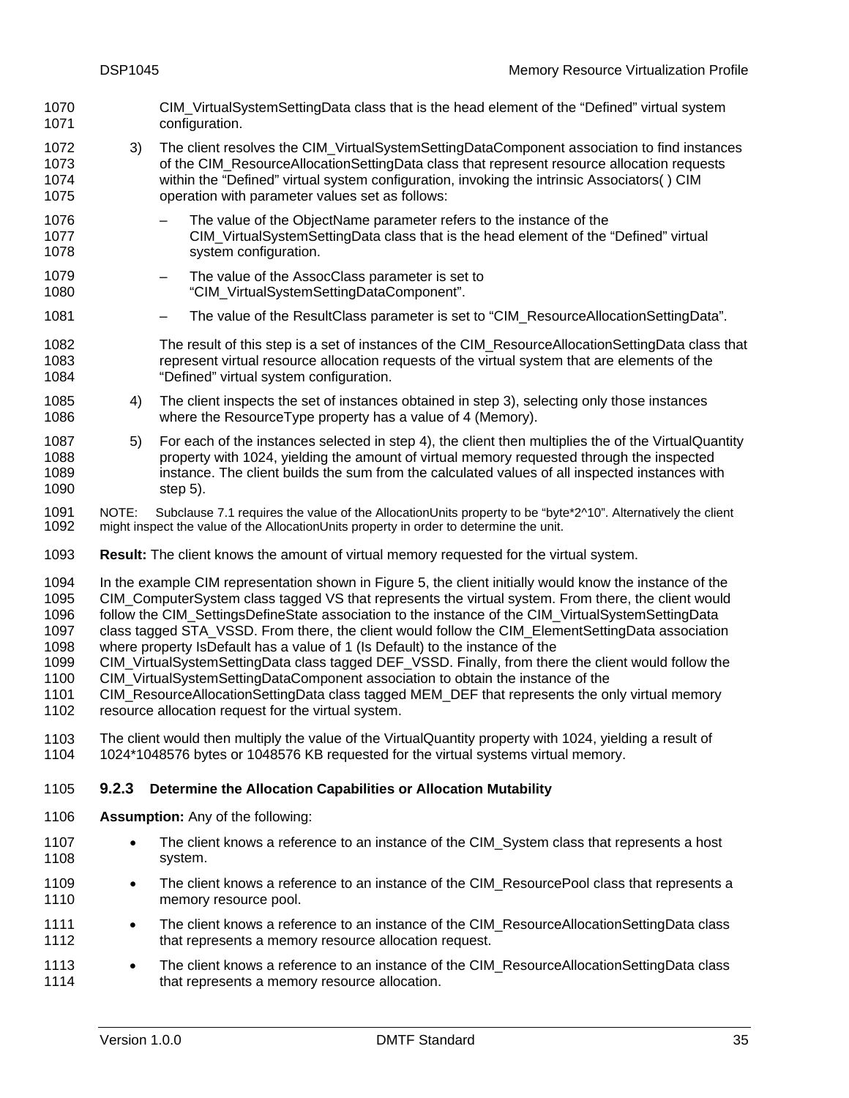- CIM\_VirtualSystemSettingData class that is the head element of the "Defined" virtual system configuration. 1070 1071
- <span id="page-34-0"></span>1072 1073 1074 1075 3) The client resolves the CIM\_VirtualSystemSettingDataComponent association to find instances of the CIM\_ResourceAllocationSettingData class that represent resource allocation requests within the "Defined" virtual system configuration, invoking the intrinsic Associators( ) CIM operation with parameter values set as follows:
- 1076 1077 1078 The value of the ObjectName parameter refers to the instance of the CIM\_VirtualSystemSettingData class that is the head element of the "Defined" virtual system configuration.
- 1079 1080 The value of the AssocClass parameter is set to "CIM\_VirtualSystemSettingDataComponent".
- 1081 – The value of the ResultClass parameter is set to "CIM\_ResourceAllocationSettingData".
- 1082 1083 1084 The result of this step is a set of instances of the CIM\_ResourceAllocationSettingData class that represent virtual resource allocation requests of the virtual system that are elements of the "Defined" virtual system configuration.
- <span id="page-34-1"></span>1085 1086 4) The client inspects the set of instances obtained in step 3[\), selecting only those instances](#page-34-0)  [where the ResourceType property has a value of 4 \(Memory\).](#page-34-0)
- <span id="page-34-2"></span>1087 1088 1089 1090 5) For each of the instances selected in step 4[\), the client then multiplies the of the VirtualQuantity](#page-34-1)  [property with 1024, yielding the amount of virtual memory requested through the inspected](#page-34-1)  [instance. The client builds the sum from the calculated values of all inspected instances with](#page-34-1)  [step](#page-34-1) [5\).](#page-34-2)
- 1091 1092 NOTE: Subclause 7.[1 requires the value of the AllocationUnits property to be "byte\\*2^10". Alternatively the client](#page-17-1)  [might inspect the value of the AllocationUnits property in order to determine the unit.](#page-17-1)
- 1093 **Result:** The client knows the amount of virtual memory requested for the virtual system.
- 1094 1095 1096 In the example CIM representation shown in Figure [5, the client initially would know the instance of the](#page-31-1)  [CIM\\_ComputerSystem class tagged VS that represents the virtual system. From there, the client would](#page-31-1)  follow the CIM\_SettingsDefineState association to the instance of the CIM\_VirtualSystemSettingData
- 1097 1098 [class tagged STA\\_VSSD. From there, the client would follow the CIM\\_ElementSettingData association](#page-31-1)  [where property IsDefault has a value of 1 \(Is Default\) to the instance of the](#page-31-1)
- 1099 CIM VirtualSystemSettingData class tagged DEF\_VSSD. Finally, from there the client would follow the
- 1100 [CIM\\_VirtualSystemSettingDataComponent association to obtain the instance of the](#page-31-1)
- 1101 1102 [CIM\\_ResourceAllocationSettingData class tagged MEM\\_DEF that represents the only virtual memory](#page-31-1)  [resource allocation request for the virtual system.](#page-31-1)
- 1103 1104 The client would then multiply the value of the VirtualQuantity property with 1024, yielding a result of 1024\*1048576 bytes or 1048576 KB requested for the virtual systems virtual memory.

#### <span id="page-34-3"></span>1105 **9.2.3 Determine the Allocation Capabilities or Allocation Mutability**

- 1106 **Assumption:** Any of the following:
- 1107 1108 The client knows a reference to an instance of the CIM\_System class that represents a host system.
- 1109 1110 • The client knows a reference to an instance of the CIM ResourcePool class that represents a memory resource pool.
- 1111 1112 • The client knows a reference to an instance of the CIM\_ResourceAllocationSettingData class that represents a memory resource allocation request.
- 1113 1114 • The client knows a reference to an instance of the CIM\_ResourceAllocationSettingData class that represents a memory resource allocation.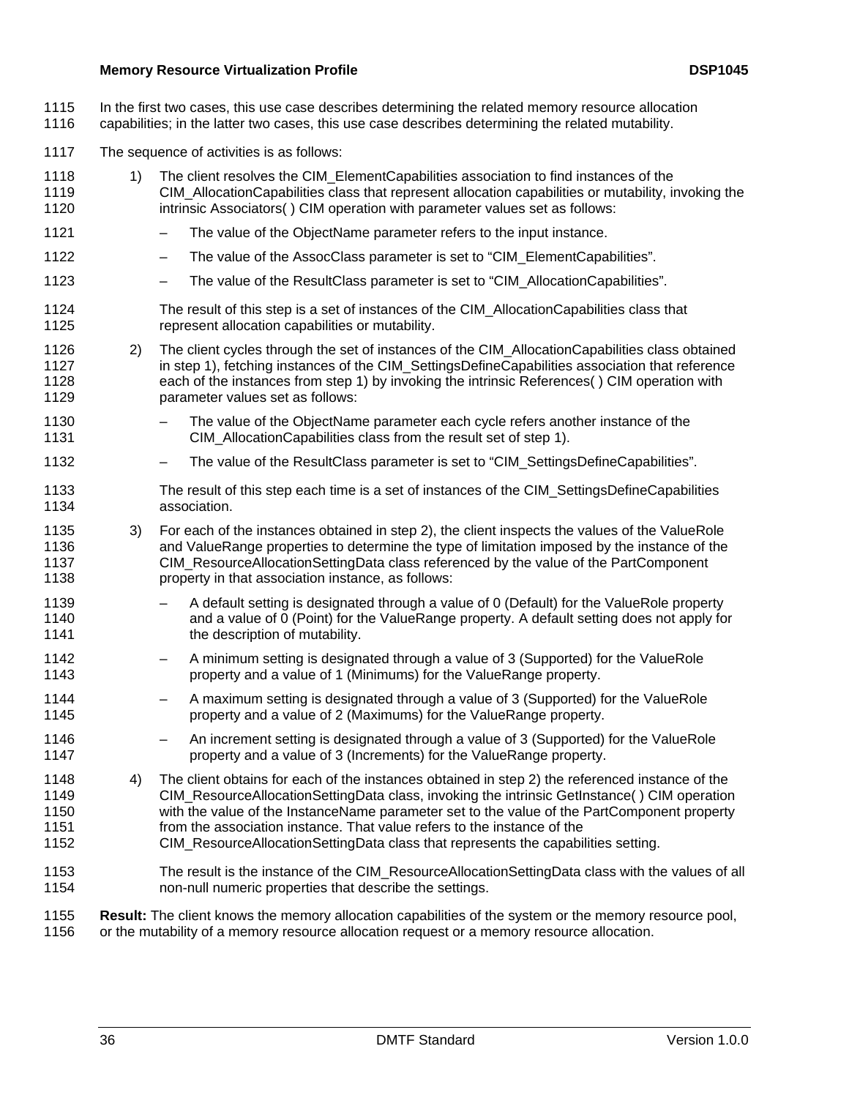- In the first two cases, this use case describes determining the related memory resource allocation 1115
- capabilities; in the latter two cases, this use case describes determining the related mutability. 1116
- 1117 The sequence of activities is as follows:
- <span id="page-35-0"></span>1118 1119 1120 1121 1) The client resolves the CIM\_ElementCapabilities association to find instances of the CIM\_AllocationCapabilities class that represent allocation capabilities or mutability, invoking the intrinsic Associators( ) CIM operation with parameter values set as follows:
- The value of the ObjectName parameter refers to the input instance.
- 1122 – The value of the AssocClass parameter is set to "CIM\_ElementCapabilities".
- 1123 – The value of the ResultClass parameter is set to "CIM\_AllocationCapabilities".
- 1124 1125 The result of this step is a set of instances of the CIM\_AllocationCapabilities class that represent allocation capabilities or mutability.
- <span id="page-35-1"></span>1126 1127 1128 1129 2) The client cycles through the set of instances of the CIM\_AllocationCapabilities class obtained in step 1), fetching instances of the CIM\_SettingsDefineCapabilities association that reference [each of the instances from step 1\)](#page-35-0) by invoking the intrinsic References( ) CIM operation with parameter values set as follows:
- 1130 1131 – The value of the ObjectName parameter each cycle refers another instance of the CIM\_AllocationCapabilities class from the result set of step 1)[.](#page-35-0)
- 1132 – The value of the ResultClass parameter is set to "CIM\_SettingsDefineCapabilities".
- 1133 1134 The result of this step each time is a set of instances of the CIM\_SettingsDefineCapabilities association.
- 1135 1136 1137 1138 3) For each of the instances obtained in step 2[\), the client inspects the values of the ValueRole](#page-35-1)  [and ValueRange properties to determine the type of limitation imposed by the instance of the](#page-35-1)  [CIM\\_ResourceAllocationSettingData class referenced by the value of the PartComponent](#page-35-1)  [property in that association instance, as follows:](#page-35-1)
- 1139 1140 1141 – A default setting is designated through a value of 0 (Default) for the ValueRole property and a value of 0 (Point) for the ValueRange property. A default setting does not apply for the description of mutability.
- 1142 1143 – A minimum setting is designated through a value of 3 (Supported) for the ValueRole property and a value of 1 (Minimums) for the ValueRange property.
- 1144 1145 – A maximum setting is designated through a value of 3 (Supported) for the ValueRole property and a value of 2 (Maximums) for the ValueRange property.
- 1146 1147 – An increment setting is designated through a value of 3 (Supported) for the ValueRole property and a value of 3 (Increments) for the ValueRange property.
- 1148 1149 1150 1151 4) The client obtains for each of the instances obtained in step 2[\) the referenced instance of the](#page-35-1)  [CIM\\_ResourceAllocationSettingData class, invoking the intrinsic GetInstance\( \) CIM operation](#page-35-1)  [with the value of the InstanceName parameter set to the value of the PartComponent property](#page-35-1)  [from the association instance. That value refers to the instance of the](#page-35-1)
- 1152 [CIM\\_ResourceAllocationSettingData class that represents the capabilities setting.](#page-35-1)
- 1153 1154 The result is the instance of the CIM\_ResourceAllocationSettingData class with the values of all non-null numeric properties that describe the settings.
- 1155 1156 **Result:** The client knows the memory allocation capabilities of the system or the memory resource pool, or the mutability of a memory resource allocation request or a memory resource allocation.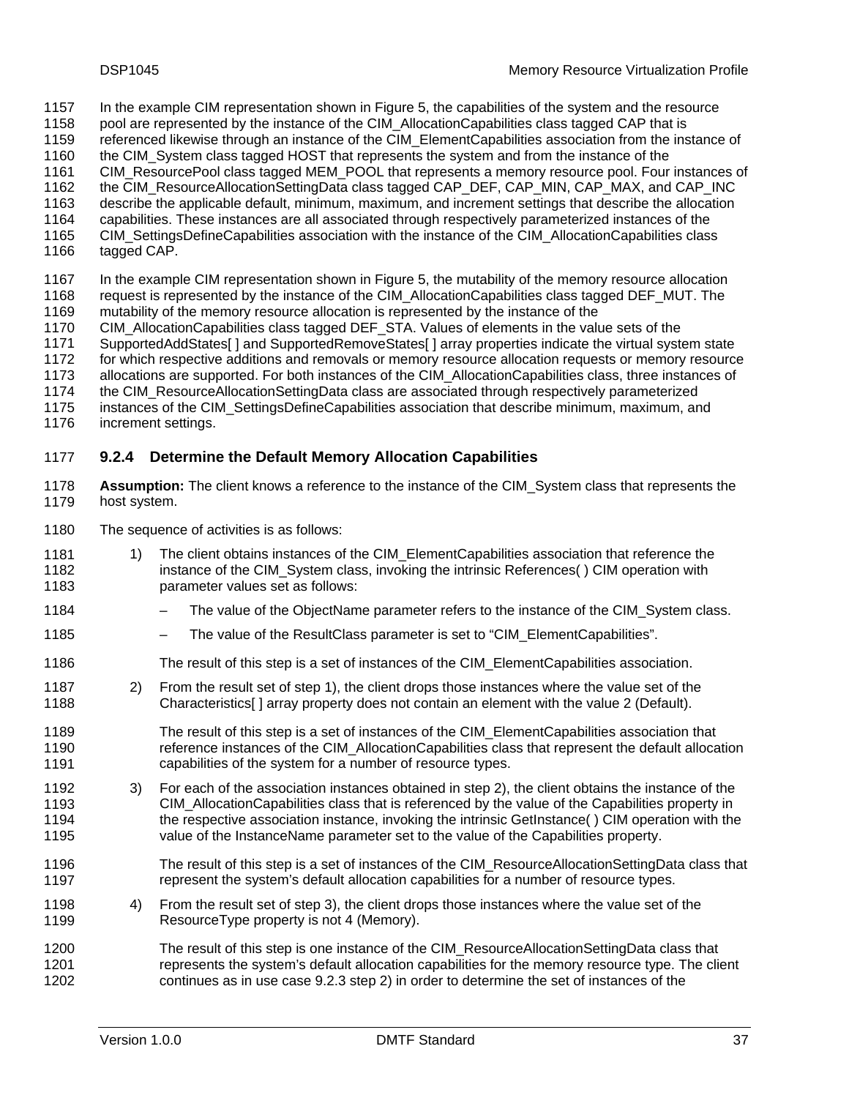- In the example CIM representation shown in Figure 5, the capabilities of the system and the resource 1157
- [pool are represented by the instance of the CIM\\_AllocationCapabilities class tagged CAP that is](#page-31-1)  1158
- [referenced likewise through an instance of the CIM\\_ElementCapabilities association from the instance of](#page-31-1)  1159
- [the CIM\\_System class tagged HOST that represents the system and from the instance of the](#page-31-1)  1160
- [CIM\\_ResourcePool class tagged MEM\\_POOL that represents a memory resource pool. Four instances of](#page-31-1)  1161
- [the CIM\\_ResourceAllocationSettingData class tagged CAP\\_DEF, CAP\\_MIN, CAP\\_MAX, and CAP\\_INC](#page-31-1)  1162
- [describe the applicable default, minimum, maximum, and increment settings that describe the allocation](#page-31-1)  1163
- [capabilities. These instances are all associated through respectively parameterized instances of the](#page-31-1)  1164
- [CIM\\_SettingsDefineCapabilities association with the instance of the CIM\\_AllocationCapabilities class](#page-31-1)  [tagged CAP.](#page-31-1)  1165 1166
- 
- 1167 1168 1169 In the example CIM representation shown in Figure [5, the mutability of the memory resource allocation](#page-31-1)  [request is represented by the instance of the CIM\\_AllocationCapabilities class tagged DEF\\_MUT. The](#page-31-1)  [mutability of the memory resource allocation is represented by the instance of the](#page-31-1)
- 
- 1170 [CIM\\_AllocationCapabilities class tagged DEF\\_STA. Values of elements in the value sets of the](#page-31-1)
- 1171 1172 [SupportedAddStates\[ \] and SupportedRemoveStates\[ \] array properties indicate the virtual system state](#page-31-1)
- 1173 [for which respective additions and removals or memory resource allocation requests or memory resource](#page-31-1)  [allocations are supported. For both instances of the CIM\\_AllocationCapabilities class, three instances of](#page-31-1)
- 1174 [the CIM\\_ResourceAllocationSettingData class are associated through respectively parameterized](#page-31-1)
- 1175 [instances of the CIM\\_SettingsDefineCapabilities association that describe minimum, maximum, and](#page-31-1)
- 1176 [increment settings.](#page-31-1)

## <span id="page-36-3"></span>1177 **9.2.4 Determine the Default Memory Allocation Capabilities**

- 1178 1179 **Assumption:** The client knows a reference to the instance of the CIM\_System class that represents the host system.
- 1180 The sequence of activities is as follows:
- <span id="page-36-0"></span>1181 1182 1183 1) The client obtains instances of the CIM\_ElementCapabilities association that reference the instance of the CIM System class, invoking the intrinsic References() CIM operation with parameter values set as follows:
- 1184 The value of the ObjectName parameter refers to the instance of the CIM System class.
- 1185 The value of the ResultClass parameter is set to "CIM\_ElementCapabilities".
- 1186 The result of this step is a set of instances of the CIM\_ElementCapabilities association.
- <span id="page-36-1"></span>1187 1188 2) From the result set of step [1\)](#page-36-0), the client drops those instances where the value set of the Characteristics[ ] array property does not contain an element with the value 2 (Default).
- 1189 1190 1191 The result of this step is a set of instances of the CIM\_ElementCapabilities association that reference instances of the CIM\_AllocationCapabilities class that represent the default allocation capabilities of the system for a number of resource types.
- <span id="page-36-2"></span>1192 1193 1194 1195 3) For each of the association instances obtained in step 2[\), the client obtains the instance of the](#page-36-1)  [CIM\\_AllocationCapabilities class that is referenced by the value of the Capabilities property in](#page-36-1)  [the respective association instance, invoking the intrinsic GetInstance\( \) CIM operation with the](#page-36-1)  [value of the InstanceName parameter set to the value of the Capabilities property.](#page-36-1)
- 1196 1197 The result of this step is a set of instances of the CIM\_ResourceAllocationSettingData class that represent the system's default allocation capabilities for a number of resource types.
- 1198 1199 4) From the result set of step 3[\), the client drops those instances where the value set of the](#page-36-2)  [ResourceType property is not 4 \(Memory\).](#page-36-2)
- 1200 1201 1202 The result of this step is one instance of the CIM\_ResourceAllocationSettingData class that represents the system's default allocation capabilities for the memory resource type. The client continues as in use case 9.2.3 [step](#page-34-3) [2\)](#page-35-1) in order to determine the set of instances of the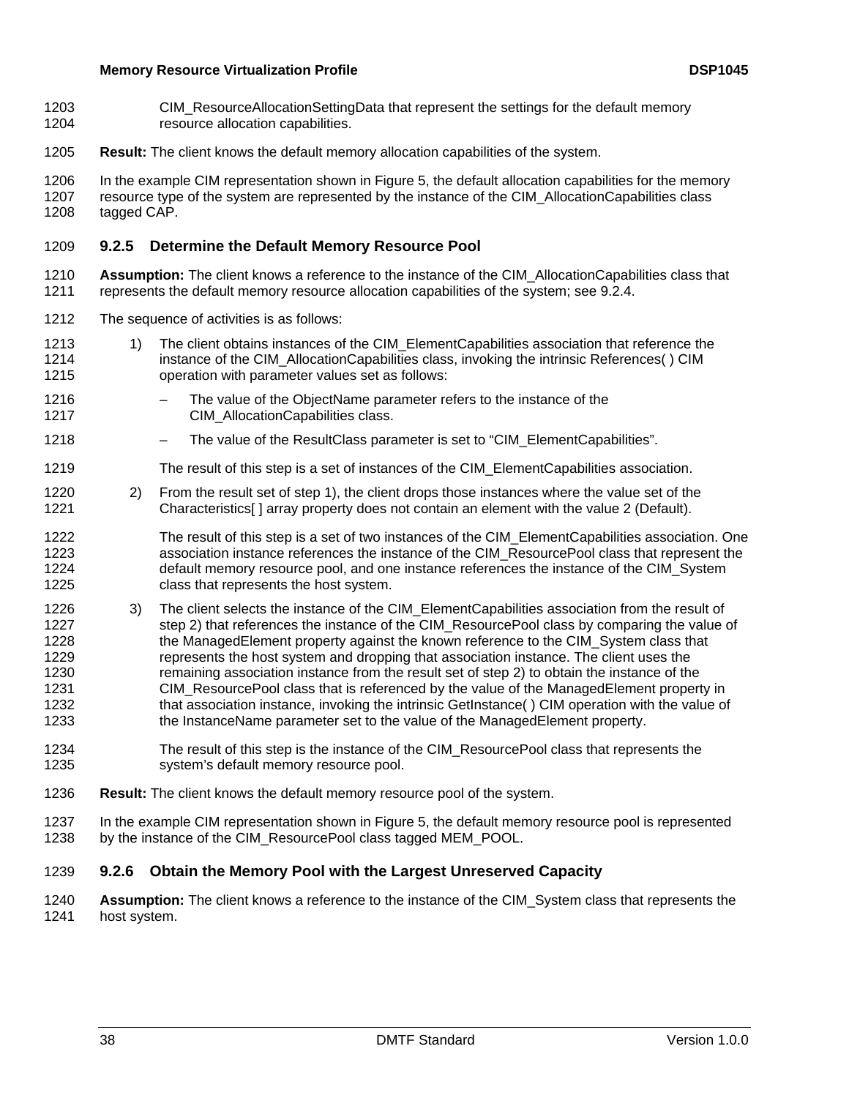- CIM\_ResourceAllocationSettingData that represent the settings for the default memory resource allocation capabilities. 1203 1204
- 1205 **Result:** The client knows the default memory allocation capabilities of the system.

1206 1207 1208 In the example CIM representation shown in Figure [5, the default allocation capabilities for the memory](#page-31-1)  [resource type of the system are represented by the instance of the CIM\\_AllocationCapabilities class](#page-31-1)  [tagged CAP.](#page-31-1) 

## 1209 **9.2.5 Determine the Default Memory Resource Pool**

- 1210 1211 Assumption: The client knows a reference to the instance of the CIM\_AllocationCapabilities class that represents the default memory resource allocation capabilities of the system; see [9.2.4](#page-36-3).
- 1212 The sequence of activities is as follows:
- <span id="page-37-0"></span>1213 1214 1215 1) The client obtains instances of the CIM\_ElementCapabilities association that reference the instance of the CIM\_AllocationCapabilities class, invoking the intrinsic References() CIM operation with parameter values set as follows:
- 1216 1217 The value of the ObjectName parameter refers to the instance of the CIM\_AllocationCapabilities class.
- 1218 The value of the ResultClass parameter is set to "CIM\_ElementCapabilities".
- 1219 The result of this step is a set of instances of the CIM\_ElementCapabilities association.
- <span id="page-37-1"></span>1220 1221 2) From the result set of step [1\),](#page-37-0) the client drops those instances where the value set of the Characteristics[ ] array property does not contain an element with the value 2 (Default).
- 1222 1223 1224 1225 The result of this step is a set of two instances of the CIM\_ElementCapabilities association. One association instance references the instance of the CIM\_ResourcePool class that represent the default memory resource pool, and one instance references the instance of the CIM\_System class that represents the host system.
- 1226 1227 1228 1229 1230 1231 1232 1233 3) The client selects the instance of the CIM\_ElementCapabilities association from the result of step [2\)](#page-37-1) that references the instance of the CIM\_ResourcePool class by comparing the value of the ManagedElement property against the known reference to the CIM\_System class that represents the host system and dropping that association instance. The client uses the remaining association instance from the result set of step [2\)](#page-37-1) to obtain the instance of the CIM\_ResourcePool class that is referenced by the value of the ManagedElement property in that association instance, invoking the intrinsic GetInstance( ) CIM operation with the value of the InstanceName parameter set to the value of the ManagedElement property.
- 1234 1235 The result of this step is the instance of the CIM\_ResourcePool class that represents the system's default memory resource pool.
- 1236 **Result:** The client knows the default memory resource pool of the system.
- 1237 1238 In the example CIM representation shown in [Figure 5](#page-31-1), the default memory resource pool is represented by the instance of the CIM\_ResourcePool class tagged MEM\_POOL.

#### 1239 **9.2.6 Obtain the Memory Pool with the Largest Unreserved Capacity**

1240 1241 **Assumption:** The client knows a reference to the instance of the CIM\_System class that represents the host system.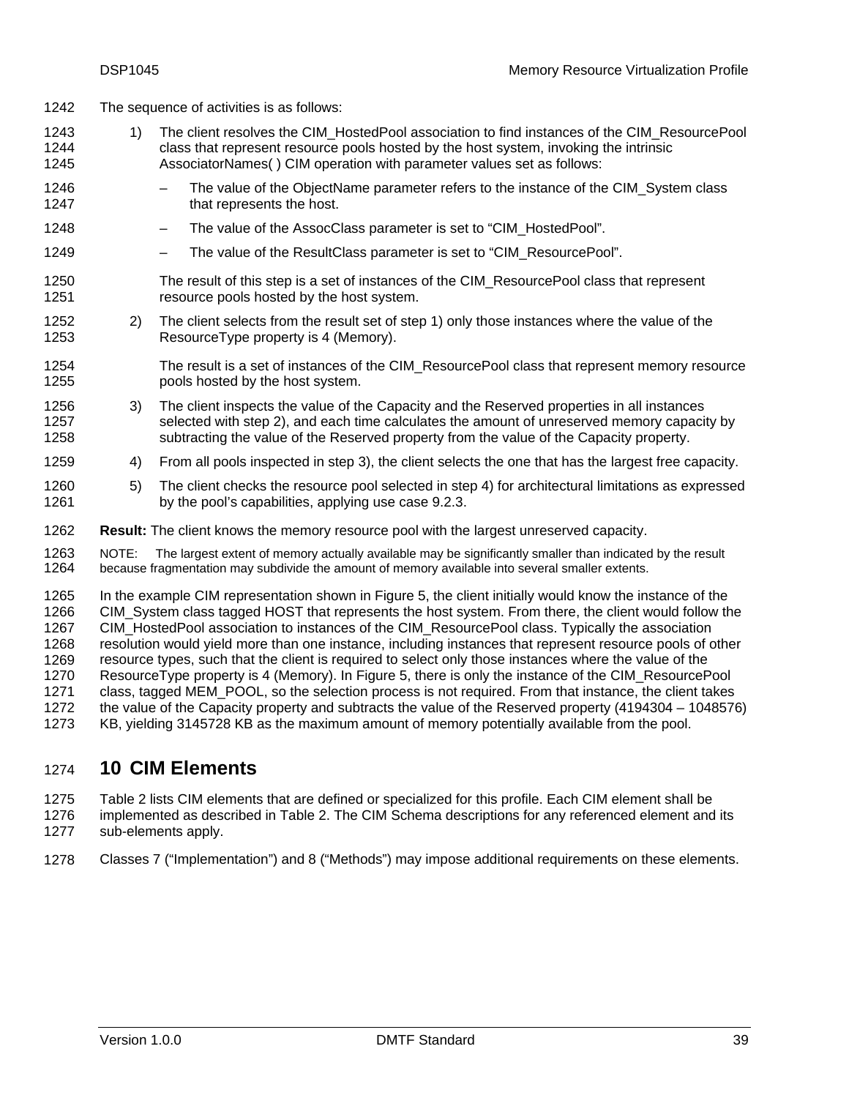- <span id="page-38-0"></span>1242 The sequence of activities is as follows:
- <span id="page-38-2"></span>1243 1244 1245 1) The client resolves the CIM\_HostedPool association to find instances of the CIM\_ResourcePool class that represent resource pools hosted by the host system, invoking the intrinsic AssociatorNames( ) CIM operation with parameter values set as follows:
- 1246 1247 The value of the ObjectName parameter refers to the instance of the CIM System class that represents the host.
- 1248 The value of the AssocClass parameter is set to "CIM\_HostedPool".
- 1249 – The value of the ResultClass parameter is set to "CIM\_ResourcePool".
- 1250 1251 The result of this step is a set of instances of the CIM\_ResourcePool class that represent resource pools hosted by the host system.
- <span id="page-38-3"></span>1252 1253 2) The client selects from the result set of step [1\)](#page-38-2) only those instances where the value of the ResourceType property is 4 (Memory).
- 1254 1255 The result is a set of instances of the CIM\_ResourcePool class that represent memory resource pools hosted by the host system.
- <span id="page-38-4"></span>1256 1257 1258 3) The client inspects the value of the Capacity and the Reserved properties in all instances selected with step [2\)](#page-38-3), and each time calculates the amount of unreserved memory capacity by subtracting the value of the Reserved property from the value of the Capacity property.
- <span id="page-38-5"></span>1259 4) From all pools inspected in step [3\)](#page-38-4), the client selects the one that has the largest free capacity.
- 1260 1261 5) The client checks the resource pool selected in step [4\)](#page-38-5) for architectural limitations as expressed by the pool's capabilities, applying use case [9.2.3](#page-34-3).
- 1262 **Result:** The client knows the memory resource pool with the largest unreserved capacity.

1263 1264 NOTE: The largest extent of memory actually available may be significantly smaller than indicated by the result because fragmentation may subdivide the amount of memory available into several smaller extents.

1265 1266 1267 1268 1269 1270 1271 1272 1273 In the example CIM representation shown in [Figure 5](#page-31-1), the client initially would know the instance of the CIM\_System class tagged HOST that represents the host system. From there, the client would follow the CIM\_HostedPool association to instances of the CIM\_ResourcePool class. Typically the association resolution would yield more than one instance, including instances that represent resource pools of other resource types, such that the client is required to select only those instances where the value of the ResourceType property is 4 (Memory). In [Figure 5,](#page-31-1) there is only the instance of the CIM\_ResourcePool class, tagged MEM\_POOL, so the selection process is not required. From that instance, the client takes the value of the Capacity property and subtracts the value of the Reserved property (4194304 – 1048576) KB, yielding 3145728 KB as the maximum amount of memory potentially available from the pool.

# <span id="page-38-1"></span>1274 **10 CIM Elements**

1275 1276 1277 [Table 2](#page-39-1) lists CIM elements that are defined or specialized for this profile. Each CIM element shall be implemented as described in [Table 2](#page-39-1). The CIM Schema descriptions for any referenced element and its sub-elements apply.

1278 Classes [7](#page-17-2) (["Implementation"](#page-17-2)) and [8](#page-28-2) ("[Methods"](#page-28-2)) may impose additional requirements on these elements.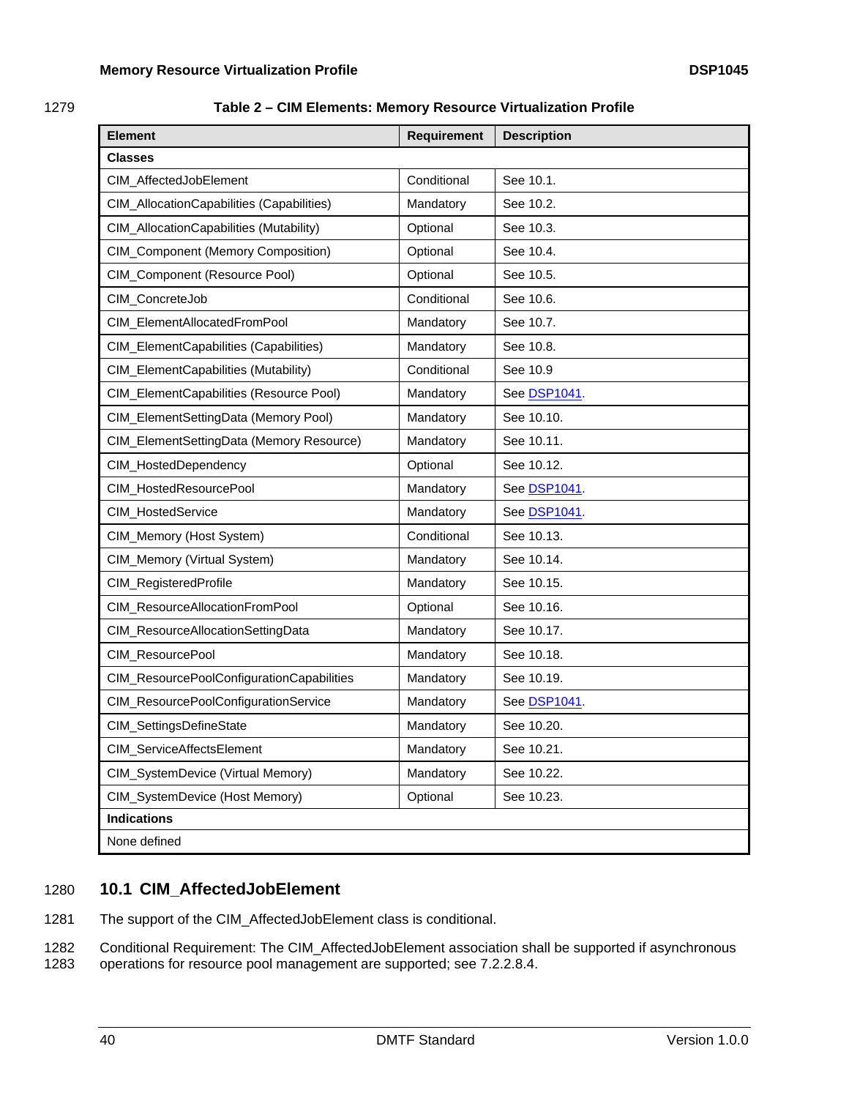<span id="page-39-1"></span><span id="page-39-0"></span>

| 1279 | Table 2 – CIM Elements: Memory Resource Virtualization Profile |  |
|------|----------------------------------------------------------------|--|
|      |                                                                |  |

| <b>Element</b>                            | Requirement | <b>Description</b> |
|-------------------------------------------|-------------|--------------------|
| <b>Classes</b>                            |             |                    |
| CIM_AffectedJobElement                    | Conditional | See 10.1.          |
| CIM_AllocationCapabilities (Capabilities) | Mandatory   | See 10.2.          |
| CIM_AllocationCapabilities (Mutability)   | Optional    | See 10.3.          |
| <b>CIM_Component (Memory Composition)</b> | Optional    | See 10.4.          |
| CIM_Component (Resource Pool)             | Optional    | See 10.5.          |
| CIM_ConcreteJob                           | Conditional | See 10.6.          |
| CIM_ElementAllocatedFromPool              | Mandatory   | See 10.7.          |
| CIM_ElementCapabilities (Capabilities)    | Mandatory   | See 10.8.          |
| CIM_ElementCapabilities (Mutability)      | Conditional | See 10.9           |
| CIM_ElementCapabilities (Resource Pool)   | Mandatory   | See DSP1041.       |
| CIM_ElementSettingData (Memory Pool)      | Mandatory   | See 10.10.         |
| CIM_ElementSettingData (Memory Resource)  | Mandatory   | See 10.11.         |
| CIM_HostedDependency                      | Optional    | See 10.12.         |
| CIM_HostedResourcePool                    | Mandatory   | See DSP1041.       |
| CIM_HostedService                         | Mandatory   | See DSP1041.       |
| CIM_Memory (Host System)                  | Conditional | See 10.13.         |
| CIM_Memory (Virtual System)               | Mandatory   | See 10.14.         |
| CIM_RegisteredProfile                     | Mandatory   | See 10.15.         |
| CIM_ResourceAllocationFromPool            | Optional    | See 10.16.         |
| CIM_ResourceAllocationSettingData         | Mandatory   | See 10.17.         |
| CIM_ResourcePool                          | Mandatory   | See 10.18.         |
| CIM_ResourcePoolConfigurationCapabilities | Mandatory   | See 10.19.         |
| CIM_ResourcePoolConfigurationService      | Mandatory   | See DSP1041.       |
| CIM_SettingsDefineState                   | Mandatory   | See 10.20.         |
| CIM_ServiceAffectsElement                 | Mandatory   | See 10.21.         |
| CIM_SystemDevice (Virtual Memory)         | Mandatory   | See 10.22.         |
| CIM_SystemDevice (Host Memory)            | Optional    | See 10.23.         |
| <b>Indications</b>                        |             |                    |
| None defined                              |             |                    |

# <span id="page-39-2"></span>1280 **10.1 CIM\_AffectedJobElement**

1281 The support of the CIM\_AffectedJobElement class is conditional.

1282 1283 Conditional Requirement: The CIM\_AffectedJobElement association shall be supported if asynchronous operations for resource pool management are supported; see [7.2.2.8.4.](#page-21-0)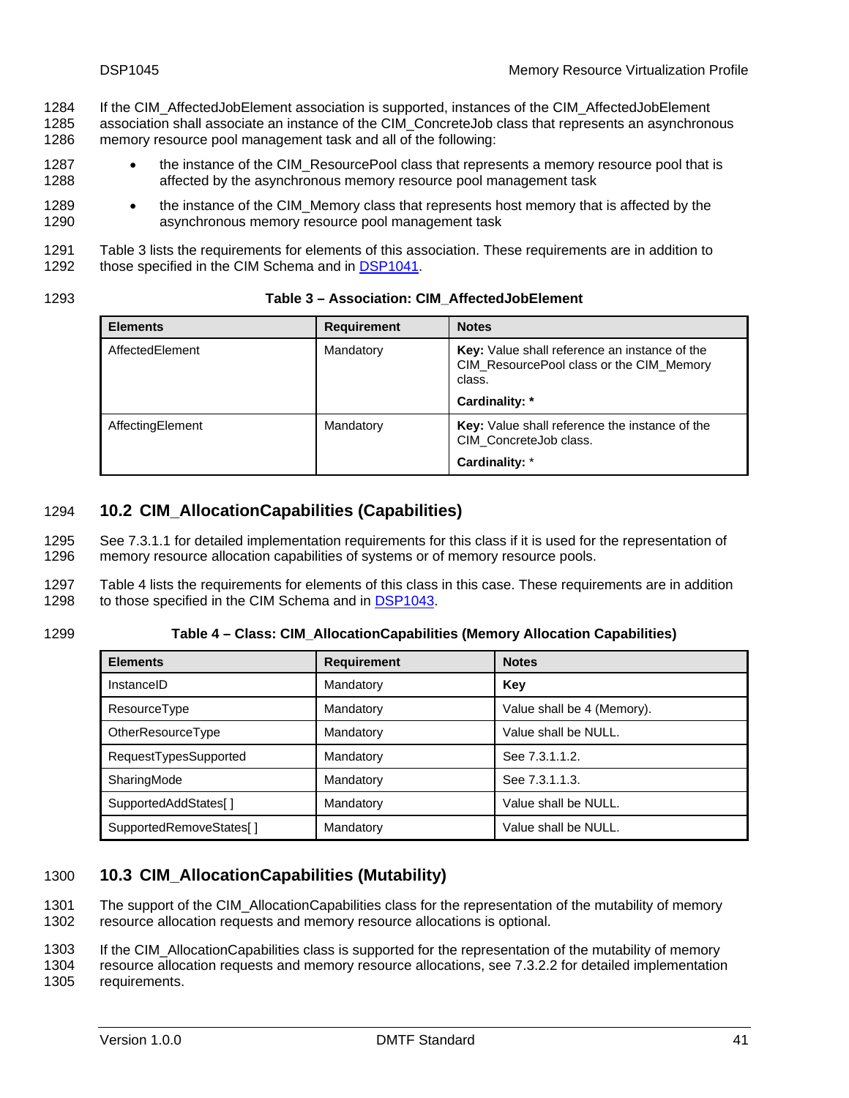<span id="page-40-0"></span>If the CIM\_AffectedJobElement association is supported, instances of the CIM\_AffectedJobElement association shall associate an instance of the CIM\_ConcreteJob class that represents an asynchronous 1284 1285

- memory resource pool management task and all of the following: 1286
- 1287 1288 • the instance of the CIM\_ResourcePool class that represents a memory resource pool that is affected by the asynchronous memory resource pool management task
- 1289 1290 • the instance of the CIM\_Memory class that represents host memory that is affected by the asynchronous memory resource pool management task
- 1291 Table [3 lists the requirements for elements of this association. These requirements are in addition to](#page-40-3)  1292 [those specified in the CIM Schema and in DSP1041.](#page-40-3)

<span id="page-40-3"></span>

| 1293 | Table 3 – Association: CIM AffectedJobElement |
|------|-----------------------------------------------|
|------|-----------------------------------------------|

| <b>Elements</b>  | <b>Requirement</b> | <b>Notes</b>                                                                                                          |  |
|------------------|--------------------|-----------------------------------------------------------------------------------------------------------------------|--|
| AffectedElement  | Mandatory          | Key: Value shall reference an instance of the<br>CIM_ResourcePool class or the CIM_Memory<br>class.<br>Cardinality: * |  |
| AffectingElement | Mandatory          | Key: Value shall reference the instance of the<br>CIM ConcreteJob class.<br>Cardinality: *                            |  |

# <span id="page-40-1"></span>1294 **10.2 CIM\_AllocationCapabilities (Capabilities)**

See [7.3.1.1](#page-25-3) for detailed implementation requirements for this class if it is used for the representation of memory resource allocation capabilities of systems or of memory resource pools. 1295 1296

1297 [Table 4](#page-40-4) lists the requirements for elements of this class in this case. These requirements are in addition 1298 to those specified in the CIM Schema and in [DSP1043](#page-6-0).

<span id="page-40-4"></span>1299 **Table 4 – Class: CIM\_AllocationCapabilities (Memory Allocation Capabilities)** 

| <b>Elements</b>          | <b>Requirement</b> | <b>Notes</b>               |
|--------------------------|--------------------|----------------------------|
| InstanceID               | Mandatory          | Key                        |
| ResourceType             | Mandatory          | Value shall be 4 (Memory). |
| <b>OtherResourceType</b> | Mandatory          | Value shall be NULL.       |
| RequestTypesSupported    | Mandatory          | See 7.3.1.1.2.             |
| SharingMode              | Mandatory          | See 7.3.1.1.3.             |
| SupportedAddStates[]     | Mandatory          | Value shall be NULL.       |
| SupportedRemoveStates[]  | Mandatory          | Value shall be NULL.       |

# <span id="page-40-2"></span>1300 **10.3 CIM\_AllocationCapabilities (Mutability)**

The support of the CIM\_AllocationCapabilities class for the representation of the mutability of memory resource allocation requests and memory resource allocations is optional. 1301 1302

1303 If the CIM\_AllocationCapabilities class is supported for the representation of the mutability of memory

1304 1305 resource allocation requests and memory resource allocations, see [7.3.2.2](#page-27-1) for detailed implementation requirements.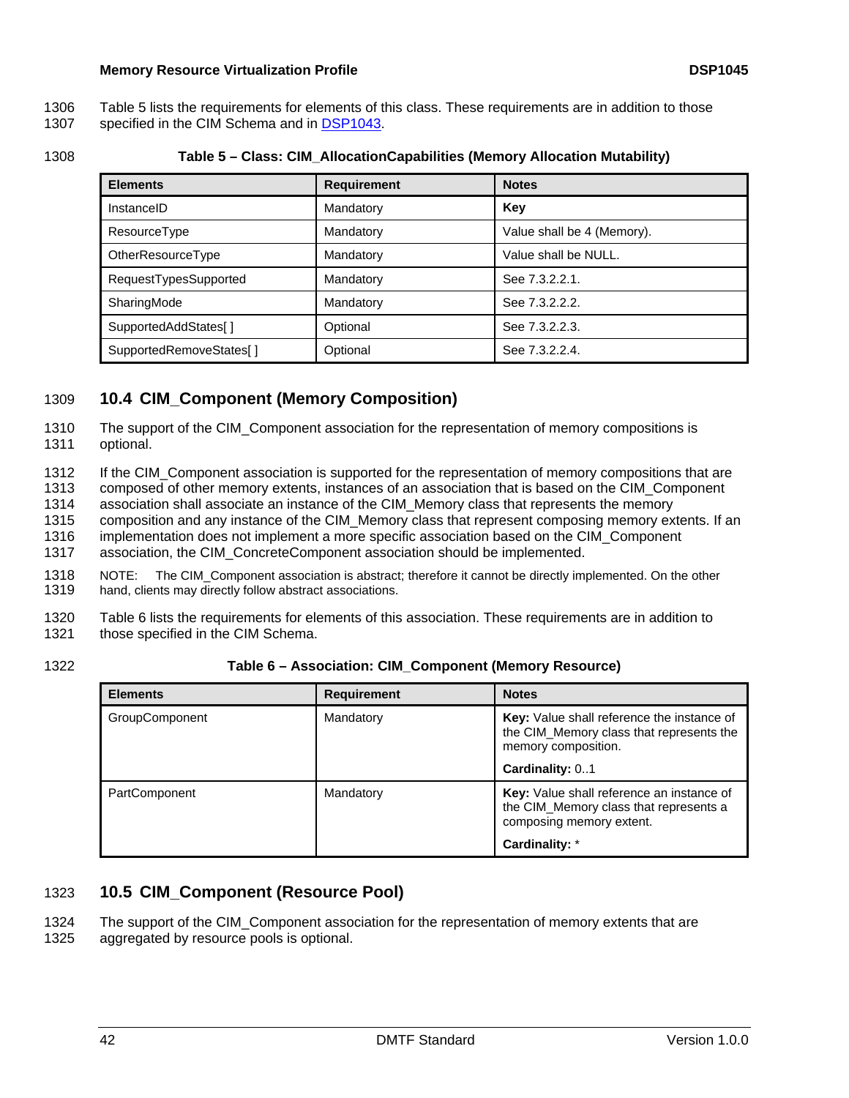- <span id="page-41-0"></span>[Table 5](#page-41-3) lists the requirements for elements of this class. These requirements are in addition to those 1306
- 1307 specified in the CIM Schema and in **DSP1043**.

<span id="page-41-3"></span>1308 **Table 5 – Class: CIM\_AllocationCapabilities (Memory Allocation Mutability)** 

| <b>Elements</b>          | <b>Requirement</b> | <b>Notes</b>               |
|--------------------------|--------------------|----------------------------|
| InstanceID               | Mandatory          | Key                        |
| ResourceType             | Mandatory          | Value shall be 4 (Memory). |
| <b>OtherResourceType</b> | Mandatory          | Value shall be NULL.       |
| RequestTypesSupported    | Mandatory          | See 7.3.2.2.1.             |
| SharingMode              | Mandatory          | See 7.3.2.2.2.             |
| SupportedAddStates[]     | Optional           | See 7.3.2.2.3.             |
| SupportedRemoveStates[]  | Optional           | See 7.3.2.2.4.             |

# <span id="page-41-2"></span>1309 **10.4 CIM\_Component (Memory Composition)**

The support of the CIM\_Component association for the representation of memory compositions is optional. 1310 1311

1312 1313 If the CIM Component association is supported for the representation of memory compositions that are composed of other memory extents, instances of an association that is based on the CIM\_Component

1314 association shall associate an instance of the CIM\_Memory class that represents the memory

1315 composition and any instance of the CIM\_Memory class that represent composing memory extents. If an

1316 implementation does not implement a more specific association based on the CIM\_Component

1317 association, the CIM\_ConcreteComponent association should be implemented.

1318 1319 NOTE: The CIM\_Component association is abstract; therefore it cannot be directly implemented. On the other hand, clients may directly follow abstract associations.

1320 1321 [Table 6](#page-41-4) lists the requirements for elements of this association. These requirements are in addition to those specified in the CIM Schema.

<span id="page-41-4"></span>1322

**Table 6 – Association: CIM\_Component (Memory Resource)** 

| <b>Elements</b>       | <b>Requirement</b> | <b>Notes</b>                                                                                                    |
|-----------------------|--------------------|-----------------------------------------------------------------------------------------------------------------|
| <b>GroupComponent</b> | Mandatory          | Key: Value shall reference the instance of<br>the CIM_Memory class that represents the<br>memory composition.   |
|                       |                    | Cardinality: 01                                                                                                 |
| <b>PartComponent</b>  | Mandatory          | Key: Value shall reference an instance of<br>the CIM_Memory class that represents a<br>composing memory extent. |
|                       |                    | Cardinality: *                                                                                                  |

# <span id="page-41-1"></span>1323 **10.5 CIM\_Component (Resource Pool)**

The support of the CIM\_Component association for the representation of memory extents that are aggregated by resource pools is optional. 1324 1325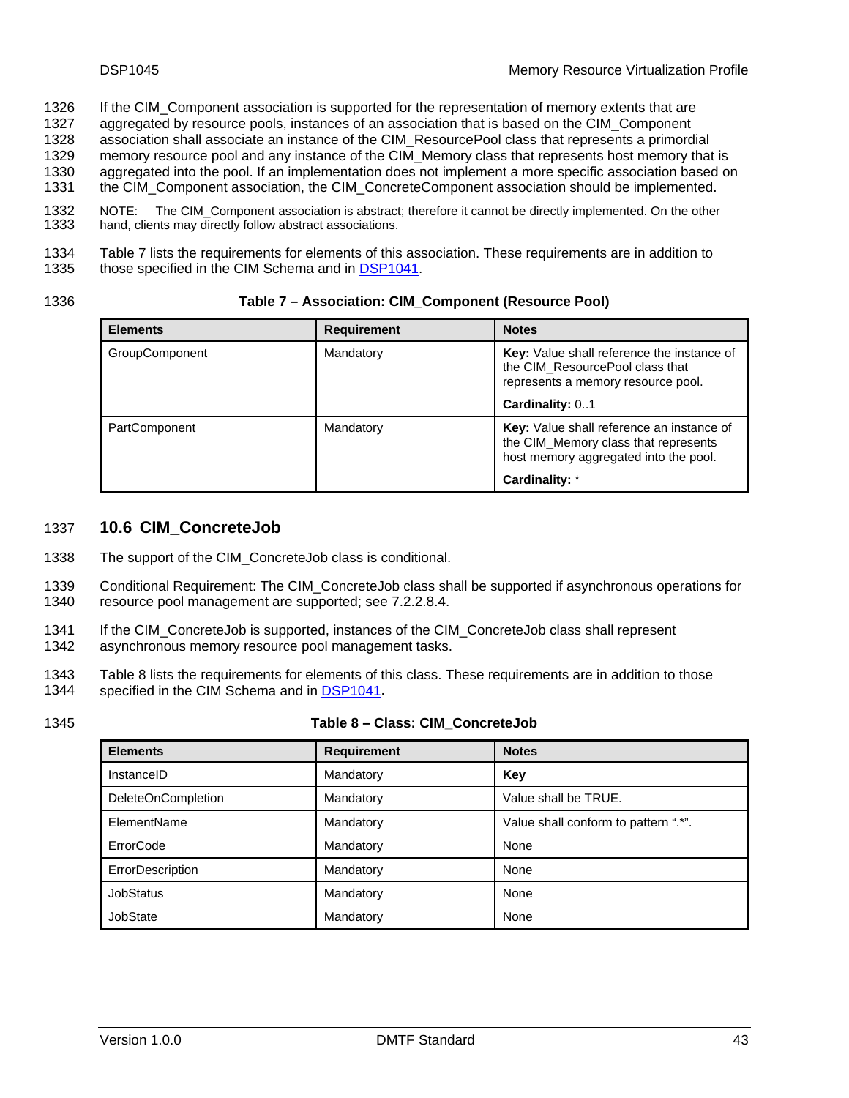- <span id="page-42-0"></span>If the CIM\_Component association is supported for the representation of memory extents that are 1326
- aggregated by resource pools, instances of an association that is based on the CIM\_Component 1327
- association shall associate an instance of the CIM\_ResourcePool class that represents a primordial memory resource pool and any instance of the CIM\_Memory class that represents host memory that is 1328 1329
- aggregated into the pool. If an implementation does not implement a more specific association based on 1330
- the CIM\_Component association, the CIM\_ConcreteComponent association should be implemented. 1331

1332 1333 NOTE: The CIM\_Component association is abstract; therefore it cannot be directly implemented. On the other hand, clients may directly follow abstract associations.

1334<br>1335 [Table 7](#page-42-2) lists the requirements for elements of this association. These requirements are in addition to those specified in the CIM Schema and in [DSP1041](#page-6-0).

#### <span id="page-42-2"></span>1336 **Table 7 – Association: CIM\_Component (Resource Pool)**

| <b>Elements</b>       | <b>Requirement</b> | <b>Notes</b>                                                                                                               |
|-----------------------|--------------------|----------------------------------------------------------------------------------------------------------------------------|
| <b>GroupComponent</b> | Mandatory          | <b>Key:</b> Value shall reference the instance of<br>the CIM ResourcePool class that<br>represents a memory resource pool. |
|                       |                    | Cardinality: 01                                                                                                            |
| PartComponent         | Mandatory          | Key: Value shall reference an instance of<br>the CIM_Memory class that represents<br>host memory aggregated into the pool. |
|                       |                    | Cardinality: *                                                                                                             |

#### <span id="page-42-1"></span>1337 **10.6 CIM\_ConcreteJob**

- 1338 The support of the CIM ConcreteJob class is conditional.
- 1339 1340 Conditional Requirement: The CIM\_ConcreteJob class shall be supported if asynchronous operations for resource pool management are supported; see [7.2.2.8.4.](#page-21-0)
- 1341 If the CIM\_ConcreteJob is supported, instances of the CIM\_ConcreteJob class shall represent
- 1342 asynchronous memory resource pool management tasks.

1343 [Table 8](#page-42-3) lists the requirements for elements of this class. These requirements are in addition to those 1344 specified in the CIM Schema and in [DSP1041.](#page-6-0)

#### <span id="page-42-3"></span>1345 **Table 8 – Class: CIM\_ConcreteJob**

| <b>Elements</b>           | <b>Requirement</b> | <b>Notes</b>                         |
|---------------------------|--------------------|--------------------------------------|
| InstanceID                | Mandatory          | Key                                  |
| <b>DeleteOnCompletion</b> | Mandatory          | Value shall be TRUE.                 |
| ElementName               | Mandatory          | Value shall conform to pattern ".*". |
| ErrorCode                 | Mandatory          | None                                 |
| ErrorDescription          | Mandatory          | None                                 |
| <b>JobStatus</b>          | Mandatory          | None                                 |
| JobState                  | Mandatory          | None                                 |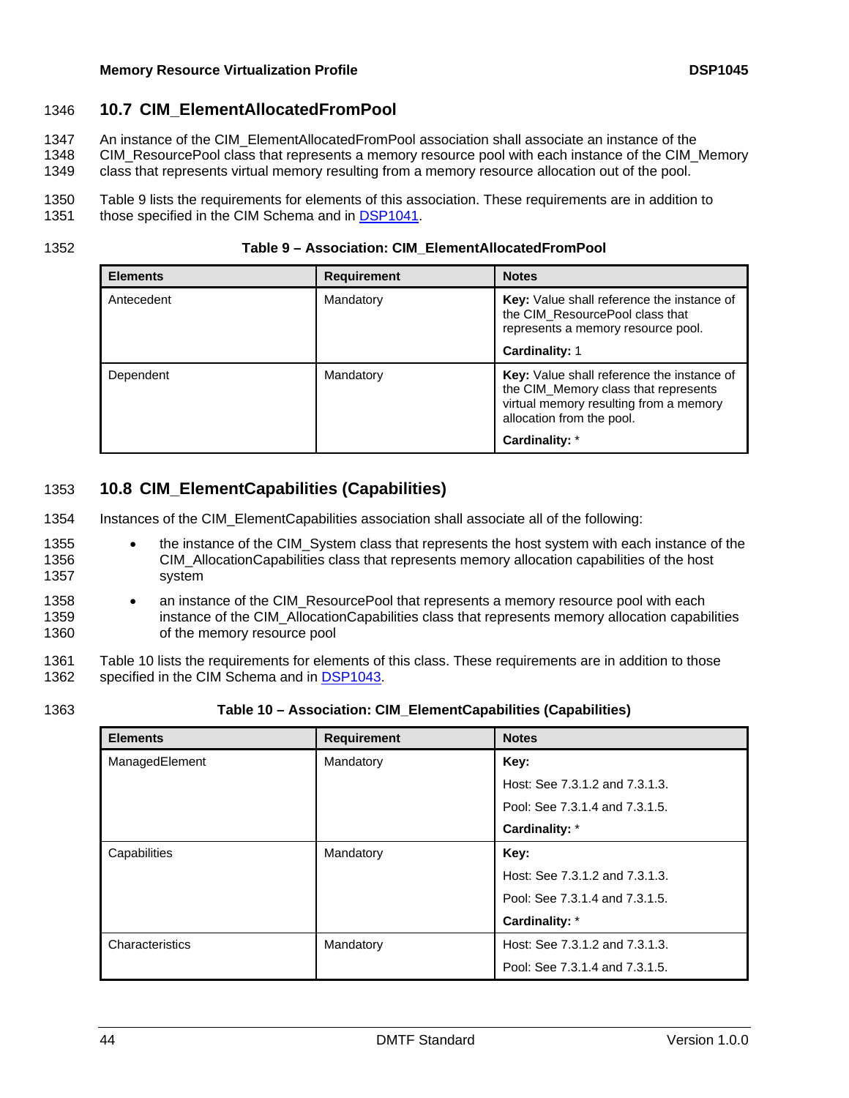# <span id="page-43-1"></span><span id="page-43-0"></span>1346 **10.7 CIM\_ElementAllocatedFromPool**

- An instance of the CIM\_ElementAllocatedFromPool association shall associate an instance of the 1347
- CIM\_ResourcePool class that represents a memory resource pool with each instance of the CIM\_Memory 1348
- class that represents virtual memory resulting from a memory resource allocation out of the pool. 1349
- 1350 [Table 9](#page-43-3) lists the requirements for elements of this association. These requirements are in addition to
- 1351 those specified in the CIM Schema and in [DSP1041](#page-6-0).

<span id="page-43-3"></span>1352 **Table 9 – Association: CIM\_ElementAllocatedFromPool** 

| <b>Elements</b> | <b>Requirement</b> | <b>Notes</b>                                                                                                                                                     |
|-----------------|--------------------|------------------------------------------------------------------------------------------------------------------------------------------------------------------|
| Antecedent      | Mandatory          | Key: Value shall reference the instance of<br>the CIM ResourcePool class that<br>represents a memory resource pool.                                              |
|                 |                    | <b>Cardinality: 1</b>                                                                                                                                            |
| Dependent       | Mandatory          | <b>Key:</b> Value shall reference the instance of<br>the CIM_Memory class that represents<br>virtual memory resulting from a memory<br>allocation from the pool. |
|                 |                    | Cardinality: *                                                                                                                                                   |

# <span id="page-43-2"></span>1353 **10.8 CIM\_ElementCapabilities (Capabilities)**

- 1354 Instances of the CIM\_ElementCapabilities association shall associate all of the following:
- 1355 1356 1357 • the instance of the CIM\_System class that represents the host system with each instance of the CIM\_AllocationCapabilities class that represents memory allocation capabilities of the host system
- 1358 1359 1360 • an instance of the CIM\_ResourcePool that represents a memory resource pool with each instance of the CIM\_AllocationCapabilities class that represents memory allocation capabilities of the memory resource pool
- 1361 [Table 10](#page-43-4) lists the requirements for elements of this class. These requirements are in addition to those 1362 specified in the CIM Schema and in [DSP1043.](#page-6-0)
- 

<span id="page-43-4"></span>1363 **Table 10 – Association: CIM\_ElementCapabilities (Capabilities)** 

| <b>Elements</b> | <b>Requirement</b> | <b>Notes</b>                   |
|-----------------|--------------------|--------------------------------|
| ManagedElement  | Mandatory          | Key:                           |
|                 |                    | Host: See 7.3.1.2 and 7.3.1.3. |
|                 |                    | Pool: See 7.3.1.4 and 7.3.1.5. |
|                 |                    | Cardinality: *                 |
| Capabilities    | Mandatory          | Key:                           |
|                 |                    | Host: See 7.3.1.2 and 7.3.1.3. |
|                 |                    | Pool: See 7.3.1.4 and 7.3.1.5. |
|                 |                    | Cardinality: *                 |
| Characteristics | Mandatory          | Host: See 7.3.1.2 and 7.3.1.3. |
|                 |                    | Pool: See 7.3.1.4 and 7.3.1.5. |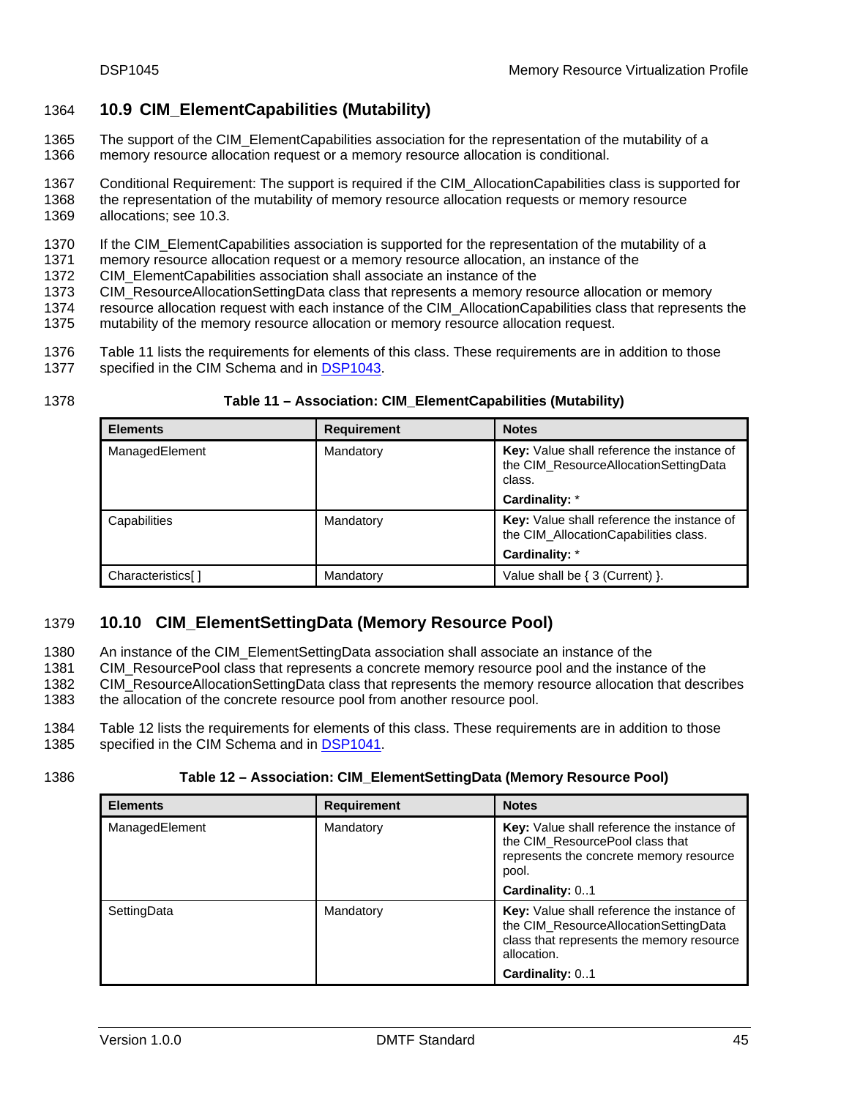# <span id="page-44-1"></span><span id="page-44-0"></span>1364 **10.9 CIM\_ElementCapabilities (Mutability)**

- The support of the CIM ElementCapabilities association for the representation of the mutability of a memory resource allocation request or a memory resource allocation is conditional. 1365 1366
- 1367 Conditional Requirement: The support is required if the CIM\_AllocationCapabilities class is supported for
- 1368 1369 the representation of the mutability of memory resource allocation requests or memory resource allocations; see [10.3](#page-40-2).
- 1370 If the CIM\_ElementCapabilities association is supported for the representation of the mutability of a
- 1371 memory resource allocation request or a memory resource allocation, an instance of the
- 1372 CIM\_ElementCapabilities association shall associate an instance of the
- 1373 CIM\_ResourceAllocationSettingData class that represents a memory resource allocation or memory
- 1374 resource allocation request with each instance of the CIM\_AllocationCapabilities class that represents the
- 1375 mutability of the memory resource allocation or memory resource allocation request.
- 1376 [Table 11](#page-44-3) lists the requirements for elements of this class. These requirements are in addition to those
- 1377 specified in the CIM Schema and in [DSP1043.](#page-6-0)
- 

#### <span id="page-44-3"></span>1378 **Table 11 – Association: CIM\_ElementCapabilities (Mutability)**

| <b>Elements</b>   | <b>Requirement</b> | <b>Notes</b>                                                                                  |
|-------------------|--------------------|-----------------------------------------------------------------------------------------------|
| ManagedElement    | Mandatory          | Key: Value shall reference the instance of<br>the CIM_ResourceAllocationSettingData<br>class. |
|                   |                    | Cardinality: *                                                                                |
| Capabilities      | Mandatory          | Key: Value shall reference the instance of<br>the CIM Allocation Capabilities class.          |
|                   |                    | Cardinality: *                                                                                |
| Characteristics[] | Mandatory          | Value shall be $\{3$ (Current) $\}$ .                                                         |

# <span id="page-44-2"></span>1379 **10.10 CIM\_ElementSettingData (Memory Resource Pool)**

- An instance of the CIM\_ElementSettingData association shall associate an instance of the 1380
- CIM\_ResourcePool class that represents a concrete memory resource pool and the instance of the 1381
- CIM\_ResourceAllocationSettingData class that represents the memory resource allocation that describes 1382 1383
- the allocation of the concrete resource pool from another resource pool.
- 1384 [Table 12](#page-44-4) lists the requirements for elements of this class. These requirements are in addition to those 1385 specified in the CIM Schema and in [DSP1041.](#page-6-0)
- 

#### <span id="page-44-4"></span>1386 **Table 12 – Association: CIM\_ElementSettingData (Memory Resource Pool)**

| <b>Elements</b> | <b>Requirement</b> | <b>Notes</b>                                                                                                                                    |
|-----------------|--------------------|-------------------------------------------------------------------------------------------------------------------------------------------------|
| ManagedElement  | Mandatory          | Key: Value shall reference the instance of<br>the CIM ResourcePool class that<br>represents the concrete memory resource<br>pool.               |
|                 |                    | Cardinality: 01                                                                                                                                 |
| SettingData     | Mandatory          | Key: Value shall reference the instance of<br>the CIM_ResourceAllocationSettingData<br>class that represents the memory resource<br>allocation. |
|                 |                    | Cardinality: 01                                                                                                                                 |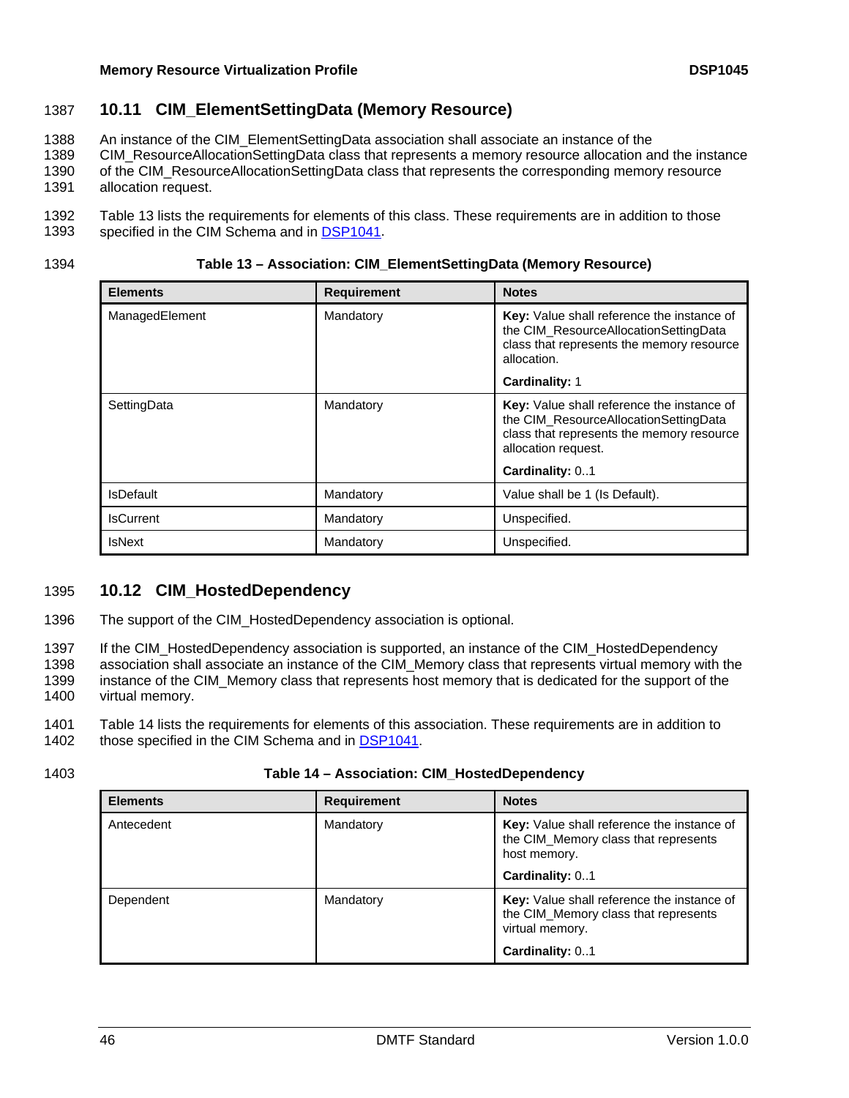# <span id="page-45-1"></span><span id="page-45-0"></span>1387 **10.11 CIM\_ElementSettingData (Memory Resource)**

- An instance of the CIM\_ElementSettingData association shall associate an instance of the 1388
- CIM\_ResourceAllocationSettingData class that represents a memory resource allocation and the instance 1389
- of the CIM\_ResourceAllocationSettingData class that represents the corresponding memory resource 1390
- allocation request. 1391
- 1392 [Table 13](#page-45-3) lists the requirements for elements of this class. These requirements are in addition to those 1393 specified in the CIM Schema and in [DSP1041.](#page-6-0)
- 

<span id="page-45-3"></span>1394 **Table 13 – Association: CIM\_ElementSettingData (Memory Resource)** 

| <b>Elements</b>  | <b>Requirement</b> | <b>Notes</b>                                                                                                                                                               |
|------------------|--------------------|----------------------------------------------------------------------------------------------------------------------------------------------------------------------------|
| ManagedElement   | Mandatory          | Key: Value shall reference the instance of<br>the CIM ResourceAllocationSettingData<br>class that represents the memory resource<br>allocation.                            |
|                  |                    | <b>Cardinality: 1</b>                                                                                                                                                      |
| SettingData      | Mandatory          | Key: Value shall reference the instance of<br>the CIM ResourceAllocationSettingData<br>class that represents the memory resource<br>allocation request.<br>Cardinality: 01 |
| IsDefault        | Mandatory          | Value shall be 1 (Is Default).                                                                                                                                             |
| <b>IsCurrent</b> | Mandatory          | Unspecified.                                                                                                                                                               |
| <b>IsNext</b>    | Mandatory          | Unspecified.                                                                                                                                                               |

# <span id="page-45-2"></span>1395 **10.12 CIM\_HostedDependency**

1396 The support of the CIM HostedDependency association is optional.

1397 1398 1399 1400 If the CIM\_HostedDependency association is supported, an instance of the CIM\_HostedDependency association shall associate an instance of the CIM\_Memory class that represents virtual memory with the instance of the CIM\_Memory class that represents host memory that is dedicated for the support of the virtual memory.

1401<br>1402 [Table 14](#page-45-4) lists the requirements for elements of this association. These requirements are in addition to those specified in the CIM Schema and in [DSP1041](#page-6-0).

#### <span id="page-45-4"></span>1403 **Table 14 – Association: CIM\_HostedDependency**

| <b>Elements</b> | <b>Requirement</b> | <b>Notes</b>                                                                                                 |
|-----------------|--------------------|--------------------------------------------------------------------------------------------------------------|
| Antecedent      | Mandatory          | Key: Value shall reference the instance of<br>the CIM_Memory class that represents<br>host memory.           |
|                 |                    | Cardinality: 01                                                                                              |
| Dependent       | Mandatory          | <b>Key:</b> Value shall reference the instance of<br>the CIM_Memory class that represents<br>virtual memory. |
|                 |                    | Cardinality: 01                                                                                              |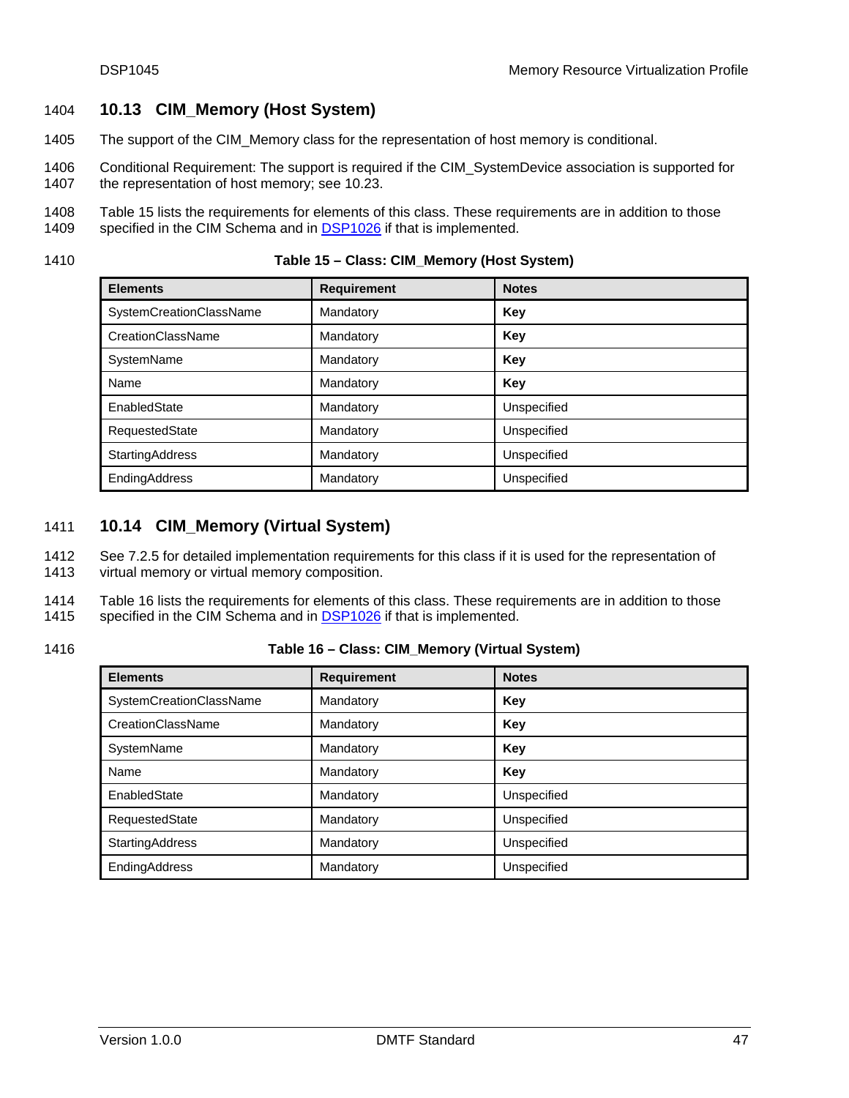# <span id="page-46-1"></span><span id="page-46-0"></span>1404 **10.13 CIM\_Memory (Host System)**

- 1405 The support of the CIM\_Memory class for the representation of host memory is conditional.
- 1406 1407 Conditional Requirement: The support is required if the CIM\_SystemDevice association is supported for the representation of host memory; see [10.23.](#page-50-2)
- 1408<br>1409 [Table 15](#page-46-3) lists the requirements for elements of this class. These requirements are in addition to those
- specified in the CIM Schema and in **DSP1026** if that is implemented.
- <span id="page-46-3"></span>

| <b>Elements</b>         | <b>Requirement</b> | <b>Notes</b> |
|-------------------------|--------------------|--------------|
| SystemCreationClassName | Mandatory          | Key          |
| CreationClassName       | Mandatory          | Key          |
| SystemName              | Mandatory          | Key          |
| Name                    | Mandatory          | Key          |
| EnabledState            | Mandatory          | Unspecified  |
| RequestedState          | Mandatory          | Unspecified  |
| <b>StartingAddress</b>  | Mandatory          | Unspecified  |
| EndingAddress           | Mandatory          | Unspecified  |

# <span id="page-46-2"></span>1411 **10.14 CIM\_Memory (Virtual System)**

See [7.2.5](#page-24-0) for detailed implementation requirements for this class if it is used for the representation of virtual memory or virtual memory composition. 1412 1413

1414 [Table 16](#page-46-4) lists the requirements for elements of this class. These requirements are in addition to those 1415 specified in the CIM Schema and in **DSP1026** if that is implemented.

### <span id="page-46-4"></span>1416 **Table 16 – Class: CIM\_Memory (Virtual System)**

| <b>Elements</b>         | <b>Requirement</b> | <b>Notes</b> |
|-------------------------|--------------------|--------------|
| SystemCreationClassName | Mandatory          | Key          |
| CreationClassName       | Mandatory          | Key          |
| SystemName              | Mandatory          | Key          |
| Name                    | Mandatory          | Key          |
| EnabledState            | Mandatory          | Unspecified  |
| RequestedState          | Mandatory          | Unspecified  |
| StartingAddress         | Mandatory          | Unspecified  |
| EndingAddress           | Mandatory          | Unspecified  |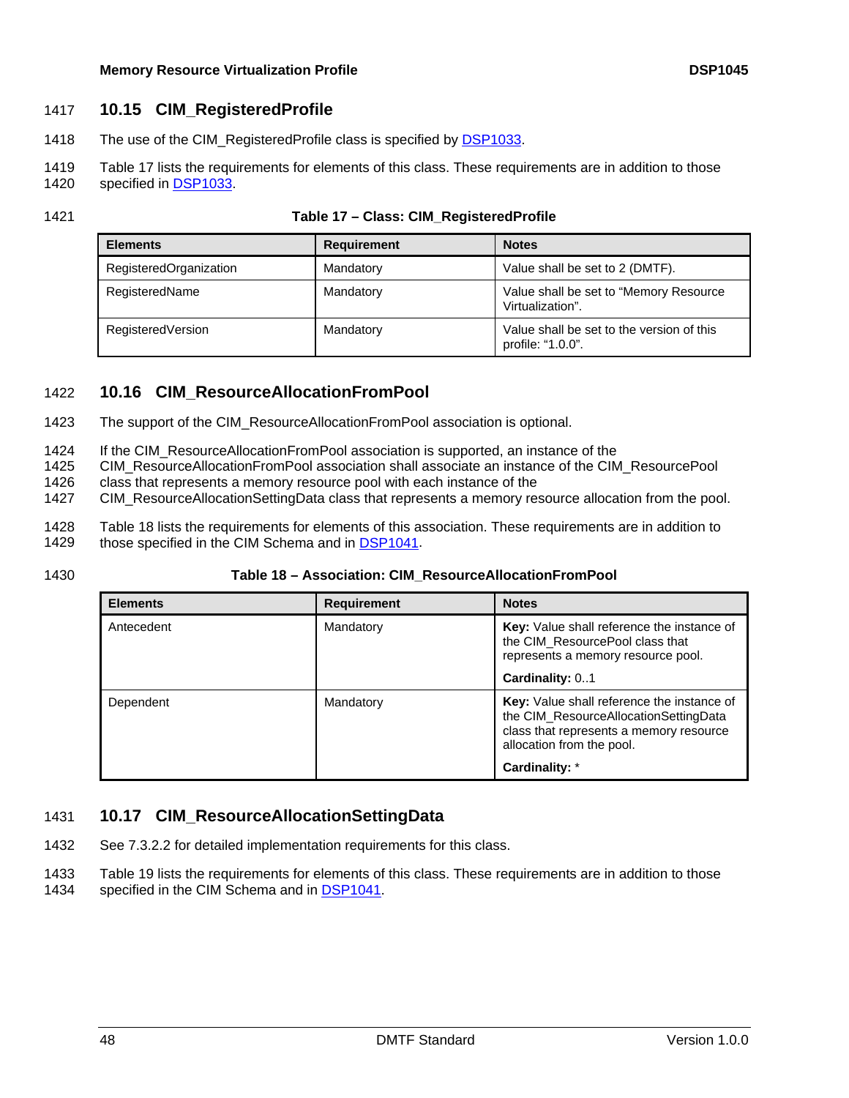### <span id="page-47-1"></span><span id="page-47-0"></span>1417 **10.15 CIM\_RegisteredProfile**

- 1418 The use of the CIM\_RegisteredProfile class is specified by [DSP1033](#page-6-0).
- 1419 [Table 17](#page-47-4) lists the requirements for elements of this class. These requirements are in addition to those 1420 specified in [DSP1033.](#page-6-0)
- 
- 

#### <span id="page-47-4"></span>1421 **Table 17 – Class: CIM\_RegisteredProfile**

| <b>Elements</b>        | <b>Requirement</b> | <b>Notes</b>                                                   |
|------------------------|--------------------|----------------------------------------------------------------|
| RegisteredOrganization | Mandatory          | Value shall be set to 2 (DMTF).                                |
| RegisteredName         | Mandatory          | Value shall be set to "Memory Resource"<br>Virtualization".    |
| RegisteredVersion      | Mandatory          | Value shall be set to the version of this<br>profile: "1.0.0". |

# <span id="page-47-2"></span>1422 **10.16 CIM\_ResourceAllocationFromPool**

- 1423 The support of the CIM\_ResourceAllocationFromPool association is optional.
- 1424 If the CIM\_ResourceAllocationFromPool association is supported, an instance of the
- 1425 CIM\_ResourceAllocationFromPool association shall associate an instance of the CIM\_ResourcePool
- 1426 class that represents a memory resource pool with each instance of the
- 1427 CIM\_ResourceAllocationSettingData class that represents a memory resource allocation from the pool.
- 1428 [Table 18](#page-47-5) lists the requirements for elements of this association. These requirements are in addition to
- 1429 those specified in the CIM Schema and in [DSP1041](#page-6-0).
- 

#### <span id="page-47-5"></span>1430 **Table 18 – Association: CIM\_ResourceAllocationFromPool**

| <b>Elements</b> | <b>Requirement</b> | <b>Notes</b>                                                                                                                                                                         |
|-----------------|--------------------|--------------------------------------------------------------------------------------------------------------------------------------------------------------------------------------|
| Antecedent      | Mandatory          | Key: Value shall reference the instance of<br>the CIM ResourcePool class that<br>represents a memory resource pool.                                                                  |
|                 |                    | Cardinality: 01                                                                                                                                                                      |
| Dependent       | Mandatory          | <b>Key:</b> Value shall reference the instance of<br>the CIM ResourceAllocationSettingData<br>class that represents a memory resource<br>allocation from the pool.<br>Cardinality: * |

# <span id="page-47-3"></span>1431 **10.17 CIM\_ResourceAllocationSettingData**

- 1432 See [7.3.2.2](#page-27-1) for detailed implementation requirements for this class.
- 1433 [Table 19](#page-48-2) lists the requirements for elements of this class. These requirements are in addition to those
- 1434 specified in the CIM Schema and in [DSP1041.](#page-6-0)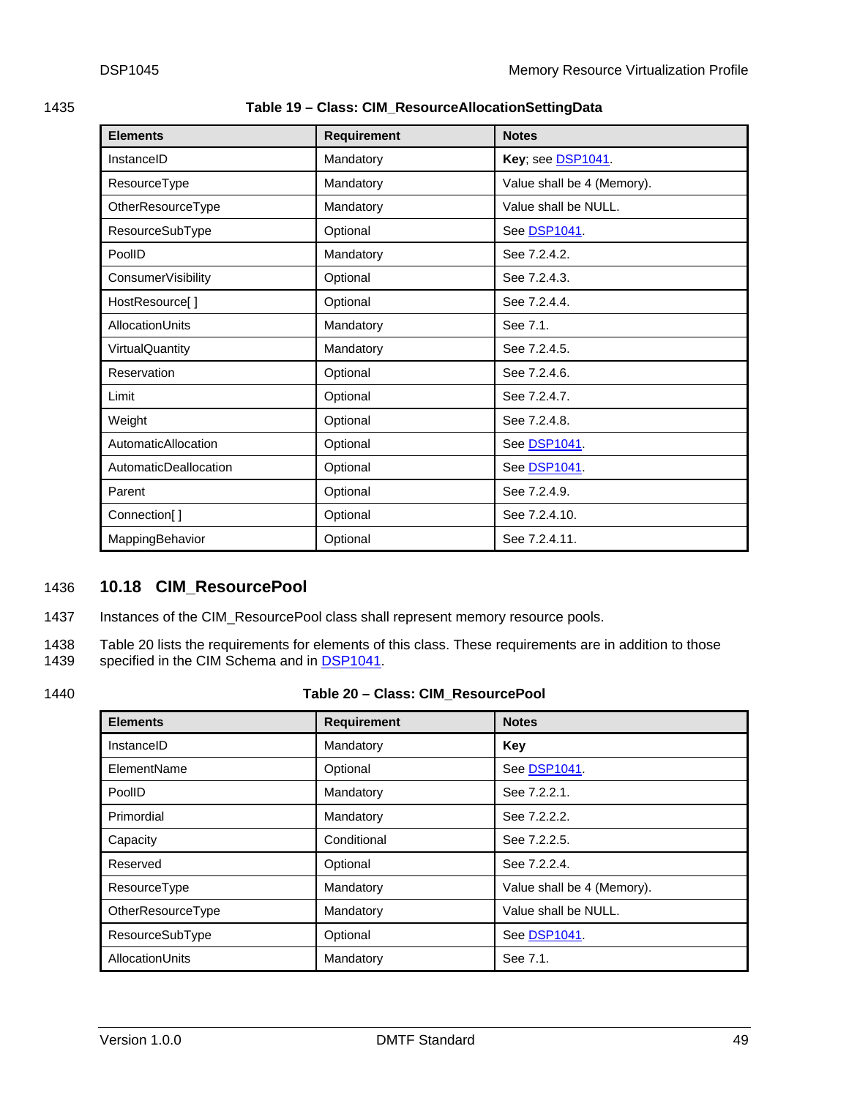<span id="page-48-2"></span><span id="page-48-0"></span>1435 **Table 19 – Class: CIM\_ResourceAllocationSettingData** 

| <b>Elements</b>       | <b>Requirement</b> | <b>Notes</b>               |
|-----------------------|--------------------|----------------------------|
| InstanceID            | Mandatory          | Key; see DSP1041.          |
| ResourceType          | Mandatory          | Value shall be 4 (Memory). |
| OtherResourceType     | Mandatory          | Value shall be NULL.       |
| ResourceSubType       | Optional           | See DSP1041                |
| PoolID                | Mandatory          | See 7.2.4.2.               |
| ConsumerVisibility    | Optional           | See 7.2.4.3.               |
| HostResource[]        | Optional           | See 7.2.4.4.               |
| AllocationUnits       | Mandatory          | See 7.1.                   |
| VirtualQuantity       | Mandatory          | See 7.2.4.5.               |
| Reservation           | Optional           | See 7.2.4.6.               |
| Limit                 | Optional           | See 7.2.4.7.               |
| Weight                | Optional           | See 7.2.4.8.               |
| AutomaticAllocation   | Optional           | See DSP1041.               |
| AutomaticDeallocation | Optional           | See DSP1041.               |
| Parent                | Optional           | See 7.2.4.9.               |
| Connection[]          | Optional           | See 7.2.4.10.              |
| MappingBehavior       | Optional           | See 7.2.4.11.              |

# <span id="page-48-1"></span>1436 **10.18 CIM\_ResourcePool**

1437 Instances of the CIM\_ResourcePool class shall represent memory resource pools.

1438 [Table 20](#page-48-3) lists the requirements for elements of this class. These requirements are in addition to those 1439 specified in the CIM Schema and in DSP1041. specified in the CIM Schema and in [DSP1041.](#page-6-0)

# <span id="page-48-3"></span>1440 **Table 20 – Class: CIM\_ResourcePool**

| <b>Elements</b>   | <b>Requirement</b> | <b>Notes</b>               |
|-------------------|--------------------|----------------------------|
| InstanceID        | Mandatory          | Key                        |
| ElementName       | Optional           | See DSP1041.               |
| PoolID            | Mandatory          | See 7.2.2.1.               |
| Primordial        | Mandatory          | See 7.2.2.2.               |
| Capacity          | Conditional        | See 7.2.2.5.               |
| Reserved          | Optional           | See 7.2.2.4.               |
| ResourceType      | Mandatory          | Value shall be 4 (Memory). |
| OtherResourceType | Mandatory          | Value shall be NULL.       |
| ResourceSubType   | Optional           | See DSP1041.               |
| AllocationUnits   | Mandatory          | See 7.1.                   |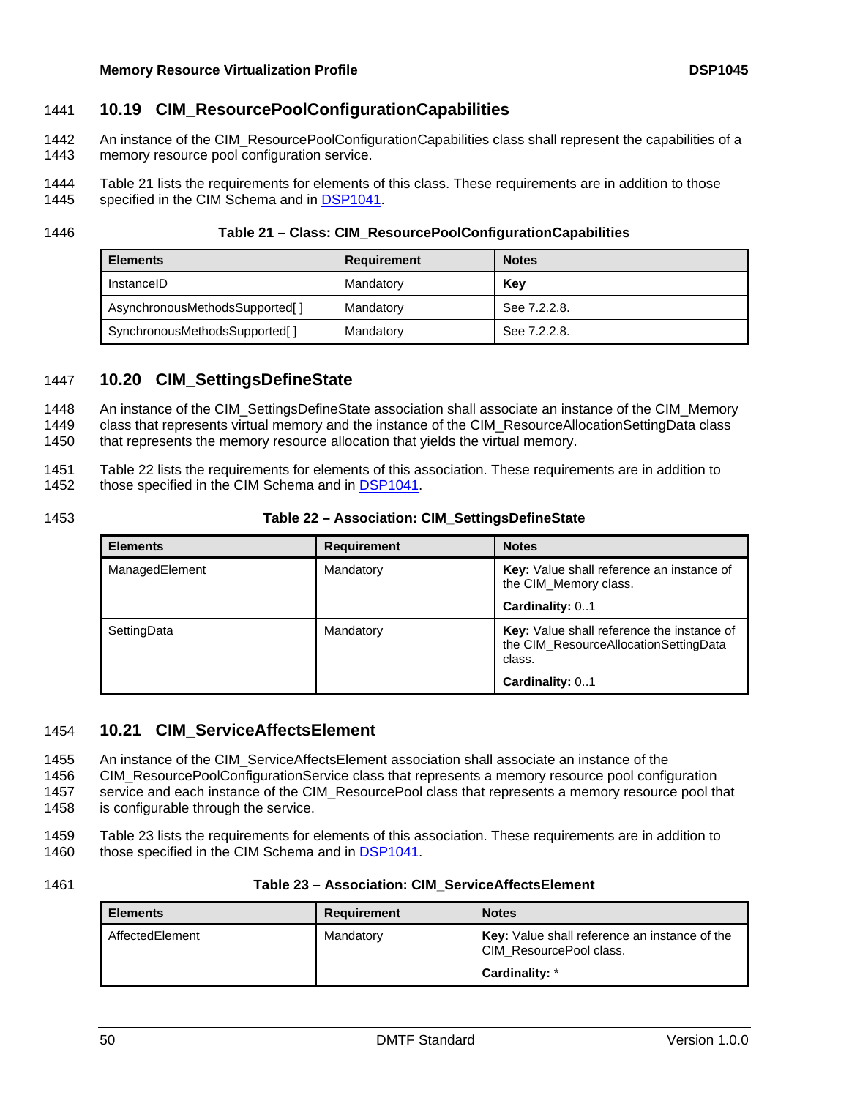# <span id="page-49-1"></span><span id="page-49-0"></span>1441 **10.19 CIM\_ResourcePoolConfigurationCapabilities**

- An instance of the CIM\_ResourcePoolConfigurationCapabilities class shall represent the capabilities of a memory resource pool configuration service. 1442 1443
- 1444 [Table 21](#page-49-4) lists the requirements for elements of this class. These requirements are in addition to those 1445 specified in the CIM Schema and in [DSP1041.](#page-6-0)
- 

#### <span id="page-49-4"></span>1446 **Table 21 – Class: CIM\_ResourcePoolConfigurationCapabilities**

| <b>Elements</b>                | Requirement | <b>Notes</b> |
|--------------------------------|-------------|--------------|
| InstanceID                     | Mandatory   | Kev          |
| AsynchronousMethodsSupported[] | Mandatory   | See 7.2.2.8. |
| SynchronousMethodsSupported[]  | Mandatory   | See 7.2.2.8. |

## <span id="page-49-2"></span>1447 **10.20 CIM\_SettingsDefineState**

An instance of the CIM\_SettingsDefineState association shall associate an instance of the CIM\_Memory class that represents virtual memory and the instance of the CIM\_ResourceAllocationSettingData class that represents the memory resource allocation that yields the virtual memory. 1448 1449 1450

1451 [Table 22](#page-49-5) lists the requirements for elements of this association. These requirements are in addition to 1452 those specified in the CIM Schema and in [DSP1041](#page-6-0).

## <span id="page-49-5"></span>1453 **Table 22 – Association: CIM\_SettingsDefineState**

| <b>Elements</b> | <b>Requirement</b> | <b>Notes</b>                                                                                  |
|-----------------|--------------------|-----------------------------------------------------------------------------------------------|
| ManagedElement  | Mandatory          | Key: Value shall reference an instance of<br>the CIM Memory class.                            |
|                 |                    | Cardinality: 01                                                                               |
| SettingData     | Mandatory          | Key: Value shall reference the instance of<br>the CIM_ResourceAllocationSettingData<br>class. |
|                 |                    | Cardinality: 01                                                                               |

#### <span id="page-49-3"></span>1454 **10.21 CIM\_ServiceAffectsElement**

An instance of the CIM\_ServiceAffectsElement association shall associate an instance of the 1455

CIM\_ResourcePoolConfigurationService class that represents a memory resource pool configuration 1456

service and each instance of the CIM\_ResourcePool class that represents a memory resource pool that is configurable through the service. 1457 1458

- 1459 [Table 23](#page-49-6) lists the requirements for elements of this association. These requirements are in addition to 1460 those specified in the CIM Schema and in [DSP1041](#page-6-0).
- <span id="page-49-6"></span>

| <b>Elements</b> | <b>Requirement</b> | <b>Notes</b>                                                             |
|-----------------|--------------------|--------------------------------------------------------------------------|
| AffectedElement | Mandatory          | Key: Value shall reference an instance of the<br>CIM ResourcePool class. |
|                 |                    | Cardinality: *                                                           |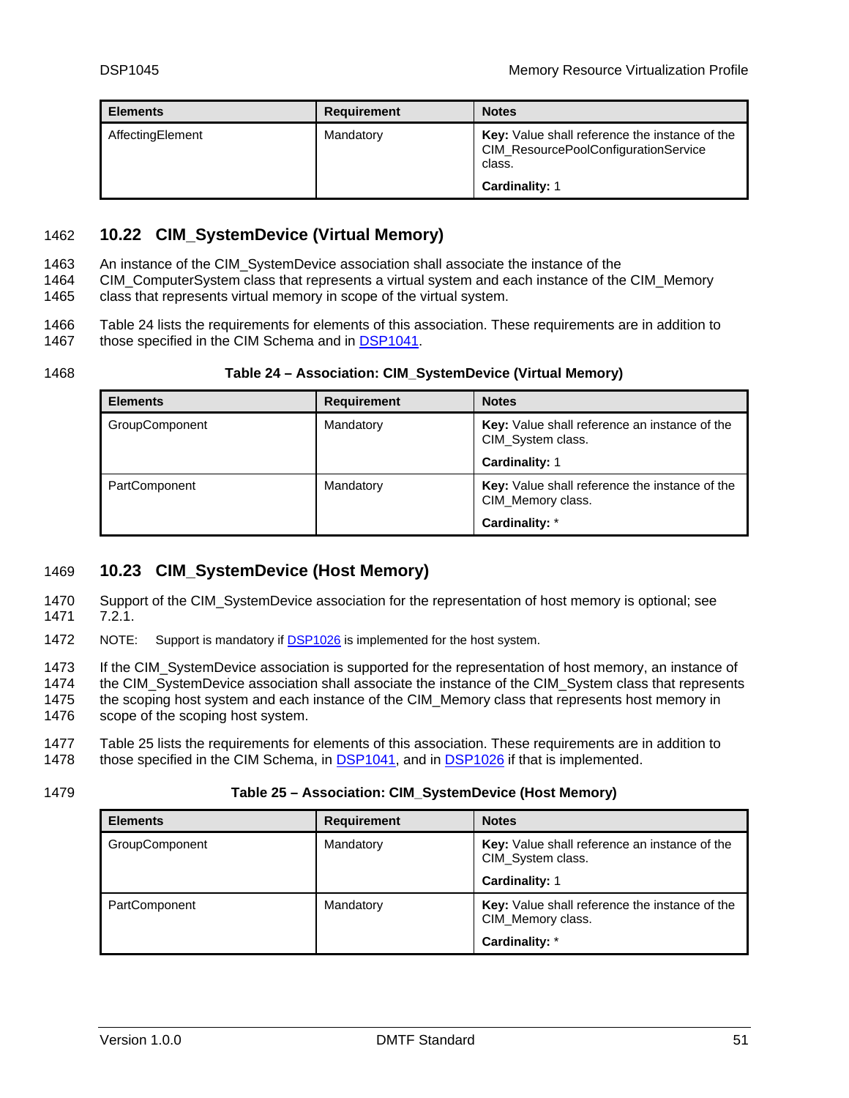<span id="page-50-0"></span>

| <b>Elements</b>  | Requirement | <b>Notes</b>                                                                                     |
|------------------|-------------|--------------------------------------------------------------------------------------------------|
| AffectingElement | Mandatory   | Key: Value shall reference the instance of the<br>CIM_ResourcePoolConfigurationService<br>class. |
|                  |             | <b>Cardinality: 1</b>                                                                            |

# <span id="page-50-1"></span>1462 **10.22 CIM\_SystemDevice (Virtual Memory)**

An instance of the CIM\_SystemDevice association shall associate the instance of the 1463

CIM\_ComputerSystem class that represents a virtual system and each instance of the CIM\_Memory 1464

class that represents virtual memory in scope of the virtual system. 1465

1466 [Table 24](#page-50-3) lists the requirements for elements of this association. These requirements are in addition to 1467 those specified in the CIM Schema and in [DSP1041](#page-6-0).

## <span id="page-50-3"></span>1468 **Table 24 – Association: CIM\_SystemDevice (Virtual Memory)**

| <b>Elements</b> | <b>Requirement</b> | <b>Notes</b>                                                        |
|-----------------|--------------------|---------------------------------------------------------------------|
| GroupComponent  | Mandatory          | Key: Value shall reference an instance of the<br>CIM_System class.  |
|                 |                    | Cardinality: 1                                                      |
| PartComponent   | Mandatory          | Key: Value shall reference the instance of the<br>CIM Memory class. |
|                 |                    | Cardinality: *                                                      |

# <span id="page-50-2"></span>1469 **10.23 CIM\_SystemDevice (Host Memory)**

1470 Support of the CIM\_SystemDevice association for the representation of host memory is optional; see 1471 [7.2.1](#page-18-3).

1472 NOTE: Support is mandatory if [DSP1026](#page-6-0) is implemented for the host system.

1473 1474 If the CIM\_SystemDevice association is supported for the representation of host memory, an instance of the CIM SystemDevice association shall associate the instance of the CIM System class that represents

1475 the scoping host system and each instance of the CIM\_Memory class that represents host memory in

1476 scope of the scoping host system.

1477 [Table 25](#page-50-4) lists the requirements for elements of this association. These requirements are in addition to

1478 those specified in the CIM Schema, in [DSP1041](#page-6-0), and in [DSP1026](#page-6-0) if that is implemented.

#### <span id="page-50-4"></span>1479 **Table 25 – Association: CIM\_SystemDevice (Host Memory)**

| <b>Elements</b>       | <b>Requirement</b> | <b>Notes</b>                                                        |
|-----------------------|--------------------|---------------------------------------------------------------------|
| <b>GroupComponent</b> | Mandatory          | Key: Value shall reference an instance of the<br>CIM_System class.  |
|                       |                    | Cardinality: 1                                                      |
| PartComponent         | Mandatory          | Key: Value shall reference the instance of the<br>CIM Memory class. |
|                       |                    | Cardinality: *                                                      |